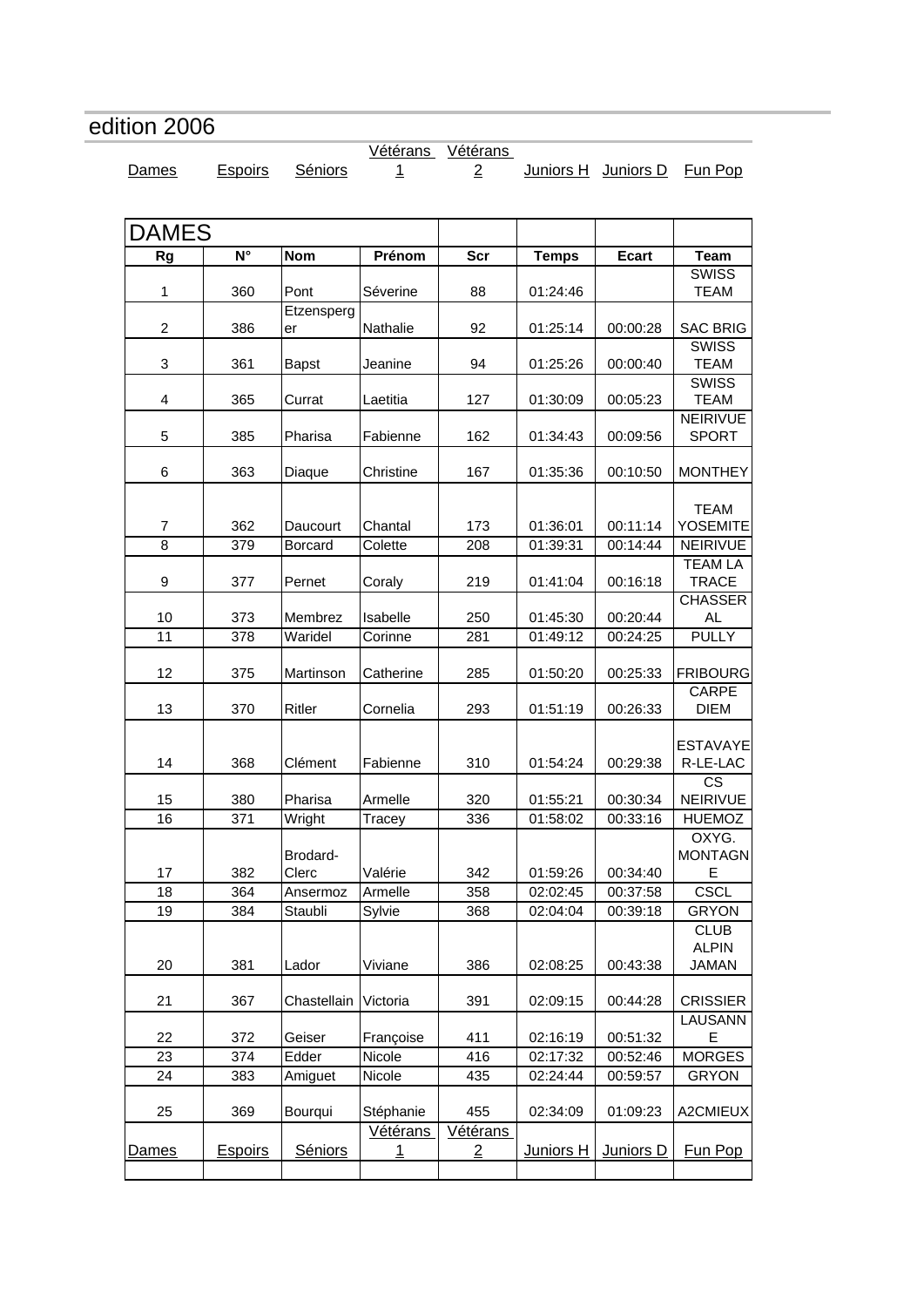## <span id="page-0-0"></span>edition 2006

[Vétérans](#page-7-0)  [Vétérans](#page-11-0) 

[Dames](#page-0-0) [Espoirs](#page-1-0) [Séniors](#page-1-0) 1 2 [Juniors H](#page-12-0) [Juniors D](#page-14-0) [Fun Pop](#page-14-0)

| <b>DAMES</b>       |                       |                           |                                   |                                          |                              |                       |                                             |
|--------------------|-----------------------|---------------------------|-----------------------------------|------------------------------------------|------------------------------|-----------------------|---------------------------------------------|
| <b>Rg</b>          | $N^{\circ}$           | <b>Nom</b>                | Prénom                            | Scr                                      | <b>Temps</b>                 | <b>Ecart</b>          | <b>Team</b>                                 |
| 1                  | 360                   | Pont                      | Séverine                          | 88                                       | 01:24:46                     |                       | <b>SWISS</b><br>TEAM                        |
| $\overline{2}$     | 386                   | Etzensperg<br>er          | Nathalie                          | 92                                       | 01:25:14                     | 00:00:28              | <b>SAC BRIG</b>                             |
| 3                  | 361                   | <b>Bapst</b>              | Jeanine                           | 94                                       | 01:25:26                     | 00:00:40              | <b>SWISS</b><br><b>TEAM</b>                 |
| 4                  | 365                   | Currat                    | Laetitia                          | 127                                      | 01:30:09                     | 00:05:23              | <b>SWISS</b><br><b>TEAM</b>                 |
| 5                  | 385                   | Pharisa                   | Fabienne                          | 162                                      | 01:34:43                     | 00:09:56              | <b>NEIRIVUE</b><br><b>SPORT</b>             |
| 6                  | 363                   | Diaque                    | Christine                         | 167                                      | 01:35:36                     | 00:10:50              | <b>MONTHEY</b>                              |
| $\overline{7}$     | 362                   | Daucourt                  | Chantal                           | 173                                      | 01:36:01                     | 00:11:14              | <b>TEAM</b><br><b>YOSEMITE</b>              |
| $\overline{8}$     | 379                   | <b>Borcard</b>            | Colette                           | 208                                      | 01:39:31                     | 00:14:44              | <b>NEIRIVUE</b><br><b>TEAM LA</b>           |
| 9                  | 377                   | Pernet                    | Coraly                            | 219                                      | 01:41:04                     | 00:16:18              | <b>TRACE</b>                                |
| 10                 | 373                   | Membrez                   | Isabelle                          | 250                                      | 01:45:30                     | 00:20:44              | <b>CHASSER</b><br>AL                        |
| 11                 | 378                   | Waridel                   | Corinne                           | 281                                      | 01:49:12                     | 00:24:25              | <b>PULLY</b>                                |
| 12                 | 375                   | Martinson                 | Catherine                         | 285                                      | 01:50:20                     | 00:25:33              | <b>FRIBOURG</b>                             |
| 13                 | 370                   | Ritler                    | Cornelia                          | 293                                      | 01:51:19                     | 00:26:33              | CARPE<br><b>DIEM</b>                        |
| 14                 | 368                   | Clément                   | Fabienne                          | 310                                      | 01:54:24                     | 00:29:38              | <b>ESTAVAYE</b><br>R-LE-LAC                 |
| 15                 | 380                   | Pharisa                   | Armelle                           | 320                                      | 01:55:21                     | 00:30:34              | $\overline{\text{cs}}$<br>NEIRIVUE          |
| 16                 | 371                   | Wright                    | Tracey                            | 336                                      | 01:58:02                     | 00:33:16              | <b>HUEMOZ</b>                               |
| 17                 | 382                   | Brodard-<br>Clerc         | Valérie                           | 342                                      | 01:59:26                     | 00:34:40              | OXYG.<br><b>MONTAGN</b><br>E                |
| 18                 | 364                   | Ansermoz                  | Armelle                           | 358                                      | 02:02:45                     | 00:37:58              | <b>CSCL</b>                                 |
| 19                 | 384                   | Staubli                   | Sylvie                            | 368                                      | 02:04:04                     | 00:39:18              | <b>GRYON</b>                                |
| 20                 | 381                   | Lador                     | Viviane                           | 386                                      | 02:08:25                     | 00:43:38              | <b>CLUB</b><br><b>ALPIN</b><br><b>JAMAN</b> |
| 21                 | 367                   | Chastellain               | Victoria                          | 391                                      | 02:09:15                     | 00:44:28              | <b>CRISSIER</b>                             |
|                    |                       |                           |                                   |                                          |                              |                       | <b>LAUSANN</b>                              |
| 22<br>23           | 372<br>374            | Geiser<br>Edder           | Françoise<br>Nicole               | 411<br>416                               | 02:16:19<br>02:17:32         | 00:51:32<br>00:52:46  | Ε<br><b>MORGES</b>                          |
| 24                 | 383                   | Amiguet                   | Nicole                            | 435                                      | 02:24:44                     | 00:59:57              | <b>GRYON</b>                                |
|                    |                       |                           |                                   |                                          |                              |                       |                                             |
| 25<br><u>Dames</u> | 369<br><b>Espoirs</b> | Bourqui<br><b>Séniors</b> | Stéphanie<br>Vétérans<br><u>1</u> | 455<br><u>Vétérans</u><br>$\overline{2}$ | 02:34:09<br><b>Juniors H</b> | 01:09:23<br>Juniors D | A2CMIEUX<br>Fun Pop                         |
|                    |                       |                           |                                   |                                          |                              |                       |                                             |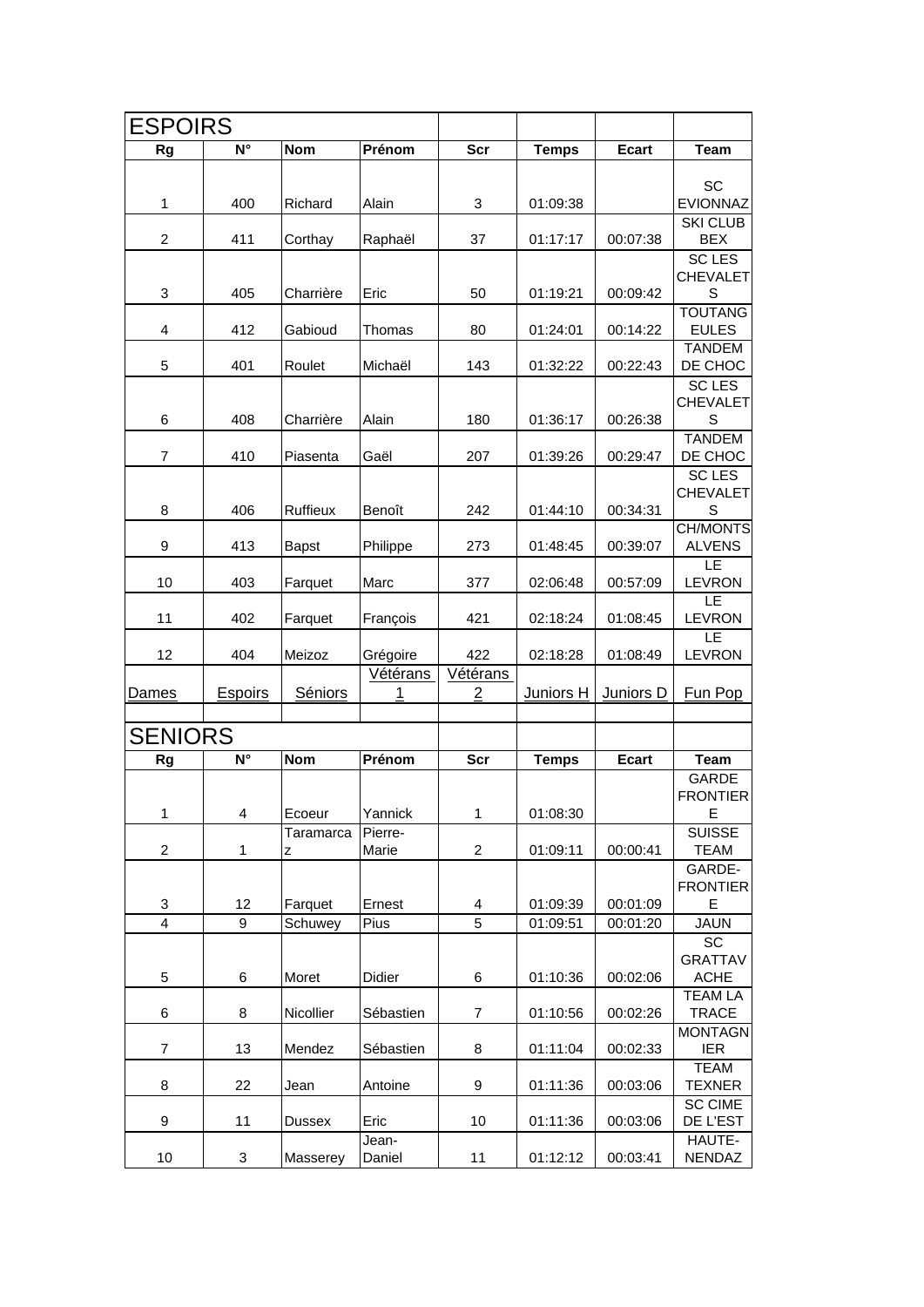<span id="page-1-0"></span>

| <b>ESPOIRS</b> |                |                |                      |                        |                  |              |                                                       |
|----------------|----------------|----------------|----------------------|------------------------|------------------|--------------|-------------------------------------------------------|
| Rg             | N°             | <b>Nom</b>     | Prénom               | <b>Scr</b>             | <b>Temps</b>     | <b>Ecart</b> | <b>Team</b>                                           |
| 1              | 400            | Richard        | Alain                | 3                      | 01:09:38         |              | SC<br><b>EVIONNAZ</b>                                 |
| $\overline{2}$ | 411            | Corthay        | Raphaël              | 37                     | 01:17:17         | 00:07:38     | <b>SKI CLUB</b><br><b>BEX</b>                         |
| 3              | 405            | Charrière      | Eric                 | 50                     | 01:19:21         | 00:09:42     | <b>SC LES</b><br><b>CHEVALET</b><br>S                 |
| 4              | 412            | Gabioud        | Thomas               | 80                     | 01:24:01         | 00:14:22     | <b>TOUTANG</b><br><b>EULES</b>                        |
| 5              | 401            | Roulet         | Michaël              | 143                    | 01:32:22         | 00:22:43     | <b>TANDEM</b><br>DE CHOC                              |
| 6              | 408            | Charrière      | Alain                | 180                    | 01:36:17         | 00:26:38     | <b>SCLES</b><br><b>CHEVALET</b><br>S<br><b>TANDEM</b> |
| 7              | 410            | Piasenta       | Gaël                 | 207                    | 01:39:26         | 00:29:47     | DE CHOC                                               |
| 8              | 406            | Ruffieux       | Benoît               | 242                    | 01:44:10         | 00:34:31     | <b>SCLES</b><br><b>CHEVALET</b><br>S                  |
| 9              | 413            | Bapst          | Philippe             | 273                    | 01:48:45         | 00:39:07     | <b>CH/MONTS</b><br><b>ALVENS</b>                      |
| 10             | 403            | Farquet        | Marc                 | 377                    | 02:06:48         | 00:57:09     | LE<br><b>LEVRON</b>                                   |
| 11             | 402            | Farquet        | François             | 421                    | 02:18:24         | 01:08:45     | LE<br><b>LEVRON</b>                                   |
| 12             | 404            | Meizoz         | Grégoire<br>Vétérans | 422<br><b>Vétérans</b> | 02:18:28         | 01:08:49     | LE<br><b>LEVRON</b>                                   |
| <b>Dames</b>   | <b>Espoirs</b> | Séniors        | 1                    | $\overline{2}$         | <b>Juniors H</b> | Juniors D    | Fun Pop                                               |
| <b>SENIORS</b> |                |                |                      |                        |                  |              |                                                       |
| Rg             | N°             | <b>Nom</b>     | Prénom               | <b>Scr</b>             | <b>Temps</b>     | <b>Ecart</b> | <b>Team</b>                                           |
| 1              | 4              | Ecoeur         | Yannick              | 1                      | 01:08:30         |              | GARDE<br><b>FRONTIER</b><br>Е                         |
| 2              | $\mathbf{1}$   | Taramarca<br>z | Pierre-<br>Marie     | $\overline{2}$         | 01:09:11         | 00:00:41     | <b>SUISSE</b><br><b>TEAM</b>                          |
| 3              | 12             | Farquet        | Ernest               | 4                      | 01:09:39         | 00:01:09     | GARDE-<br><b>FRONTIER</b><br>E                        |
| $\overline{4}$ | 9              | Schuwey        | Pius                 | $\overline{5}$         | 01:09:51         | 00:01:20     | <b>JAUN</b>                                           |
| 5              | 6              | Moret          | Didier               | 6                      | 01:10:36         | 00:02:06     | SC<br><b>GRATTAV</b><br><b>ACHE</b>                   |
| 6              | 8              | Nicollier      | Sébastien            | 7                      | 01:10:56         | 00:02:26     | <b>TEAM LA</b><br><b>TRACE</b>                        |
| 7              | 13             | Mendez         | Sébastien            | 8                      | 01:11:04         | 00:02:33     | <b>MONTAGN</b><br><b>IER</b>                          |
| 8              | 22             | Jean           | Antoine              | 9                      | 01:11:36         | 00:03:06     | <b>TEAM</b><br><b>TEXNER</b>                          |
| 9              | 11             | <b>Dussex</b>  | Eric                 | 10                     | 01:11:36         | 00:03:06     | <b>SC CIME</b><br>DE L'EST                            |
| 10             | 3              | Masserey       | Jean-<br>Daniel      | 11                     | 01:12:12         | 00:03:41     | HAUTE-<br><b>NENDAZ</b>                               |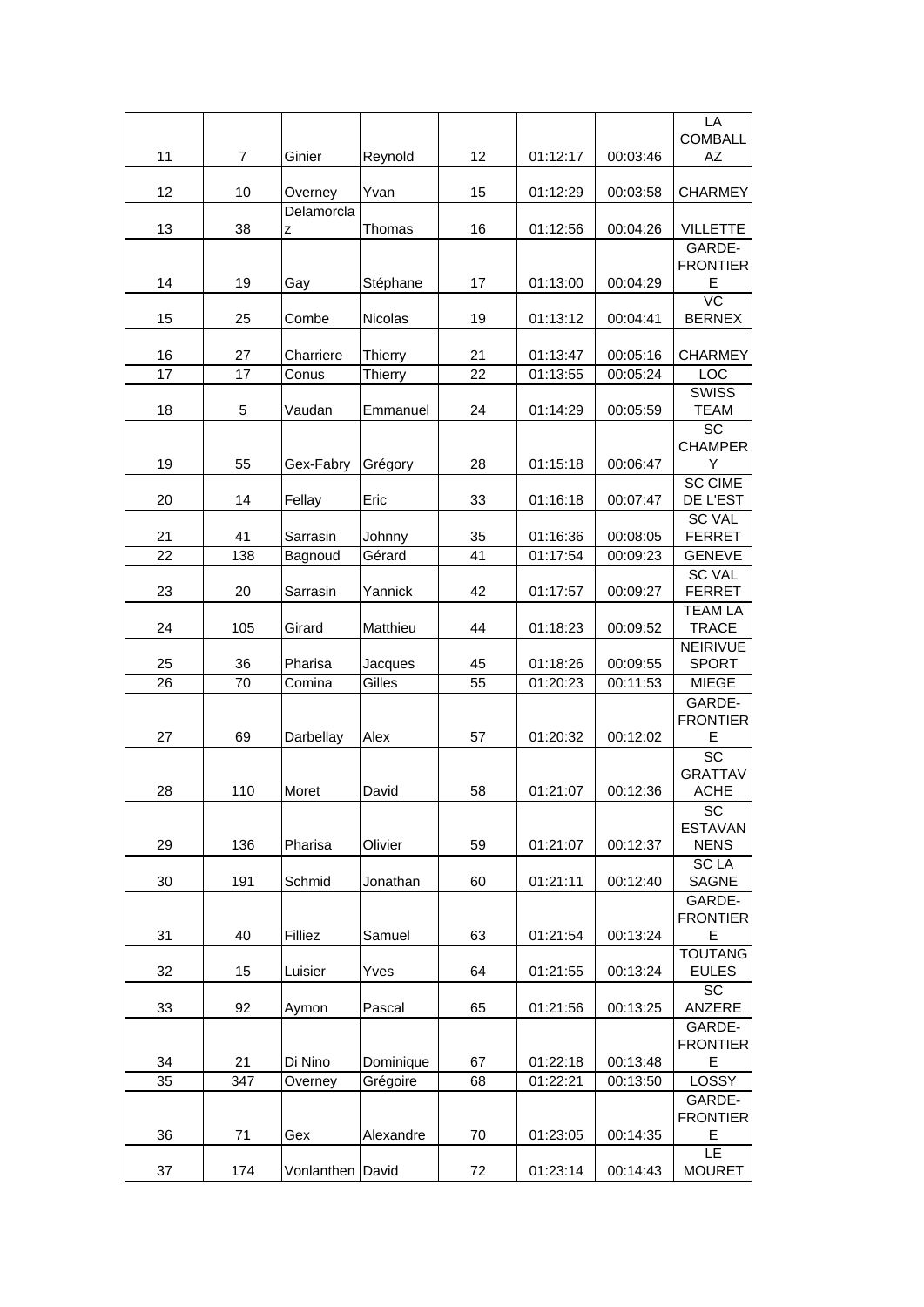| 11              | $\overline{7}$ | Ginier              | Reynold           | 12       | 01:12:17             | 00:03:46             | LA<br><b>COMBALL</b><br>AZ       |
|-----------------|----------------|---------------------|-------------------|----------|----------------------|----------------------|----------------------------------|
| 12              | 10             | Overney             | Yvan              | 15       | 01:12:29             | 00:03:58             | <b>CHARMEY</b>                   |
| 13              | 38             | Delamorcla<br>Z     | Thomas            | 16       | 01:12:56             | 00:04:26             | <b>VILLETTE</b>                  |
|                 |                |                     |                   |          |                      |                      | GARDE-                           |
| 14              | 19             | Gay                 | Stéphane          | 17       | 01:13:00             | 00:04:29             | <b>FRONTIER</b><br>Е             |
| 15              | 25             | Combe               | Nicolas           | 19       | 01:13:12             | 00:04:41             | $\overline{VC}$<br><b>BERNEX</b> |
| 16              | 27             | Charriere           | <b>Thierry</b>    | 21       | 01:13:47             | 00:05:16             | <b>CHARMEY</b>                   |
| $\overline{17}$ | 17             | Conus               | Thierry           | 22       | 01:13:55             | 00:05:24             | LOC                              |
| 18              | 5              | Vaudan              | Emmanuel          | 24       | 01:14:29             | 00:05:59             | <b>SWISS</b><br><b>TEAM</b>      |
| 19              | 55             | Gex-Fabry           | Grégory           | 28       | 01:15:18             | 00:06:47             | SC<br><b>CHAMPER</b><br>Υ        |
| 20              | 14             | Fellay              | Eric              | 33       | 01:16:18             | 00:07:47             | <b>SC CIME</b><br>DE L'EST       |
|                 |                |                     |                   |          |                      |                      | <b>SC VAL</b>                    |
| 21<br>22        | 41<br>138      | Sarrasin<br>Bagnoud | Johnny<br>Gérard  | 35<br>41 | 01:16:36<br>01:17:54 | 00:08:05<br>00:09:23 | <b>FERRET</b><br><b>GENEVE</b>   |
|                 |                |                     |                   |          |                      |                      | <b>SC VAL</b>                    |
| 23              | 20             | Sarrasin            | Yannick           | 42       | 01:17:57             | 00:09:27             | <b>FERRET</b>                    |
| 24              | 105            | Girard              | Matthieu          | 44       | 01:18:23             | 00:09:52             | <b>TEAM LA</b><br><b>TRACE</b>   |
|                 |                |                     |                   |          |                      |                      | <b>NEIRIVUE</b>                  |
| 25<br>26        | 36<br>70       | Pharisa<br>Comina   | Jacques<br>Gilles | 45<br>55 | 01:18:26<br>01:20:23 | 00:09:55<br>00:11:53 | <b>SPORT</b><br><b>MIEGE</b>     |
|                 |                |                     |                   |          |                      |                      | GARDE-                           |
| 27              | 69             | Darbellay           | Alex              | 57       | 01:20:32             | 00:12:02             | <b>FRONTIER</b><br>E             |
|                 |                |                     |                   |          |                      |                      | SC                               |
| 28              | 110            | Moret               |                   | 58       | 01:21:07             | 00:12:36             | <b>GRATTAV</b><br><b>ACHE</b>    |
|                 |                |                     | David             |          |                      |                      | SC                               |
| 29              | 136            | Pharisa             | Olivier           | 59       | 01:21:07             | 00:12:37             | <b>ESTAVAN</b><br><b>NENS</b>    |
|                 |                |                     |                   |          |                      |                      | <b>SCLA</b>                      |
| 30              | 191            | Schmid              | Jonathan          | 60       | 01:21:11             | 00:12:40             | <b>SAGNE</b>                     |
|                 |                |                     |                   |          |                      |                      | GARDE-                           |
|                 |                |                     |                   |          |                      |                      | <b>FRONTIER</b>                  |
| 31              | 40             | Filliez             | Samuel            | 63       | 01:21:54             | 00:13:24             | E<br><b>TOUTANG</b>              |
| 32              | 15             | Luisier             | Yves              | 64       | 01:21:55             | 00:13:24             | <b>EULES</b>                     |
| 33              | 92             | Aymon               | Pascal            | 65       | 01:21:56             | 00:13:25             | $\overline{SC}$<br>ANZERE        |
|                 |                |                     |                   |          |                      |                      | GARDE-                           |
| 34              | 21             | Di Nino             | Dominique         | 67       | 01:22:18             | 00:13:48             | <b>FRONTIER</b><br>E             |
| 35              | 347            | Overney             | Grégoire          | 68       | 01:22:21             | 00:13:50             | LOSSY                            |
|                 |                |                     |                   |          |                      |                      | GARDE-                           |
|                 |                |                     |                   |          |                      |                      | <b>FRONTIER</b>                  |
| 36              | 71             | Gex                 | Alexandre         | 70       | 01:23:05             | 00:14:35             | E<br>LE.                         |
| 37              | 174            | Vonlanthen David    |                   | 72       | 01:23:14             | 00:14:43             | <b>MOURET</b>                    |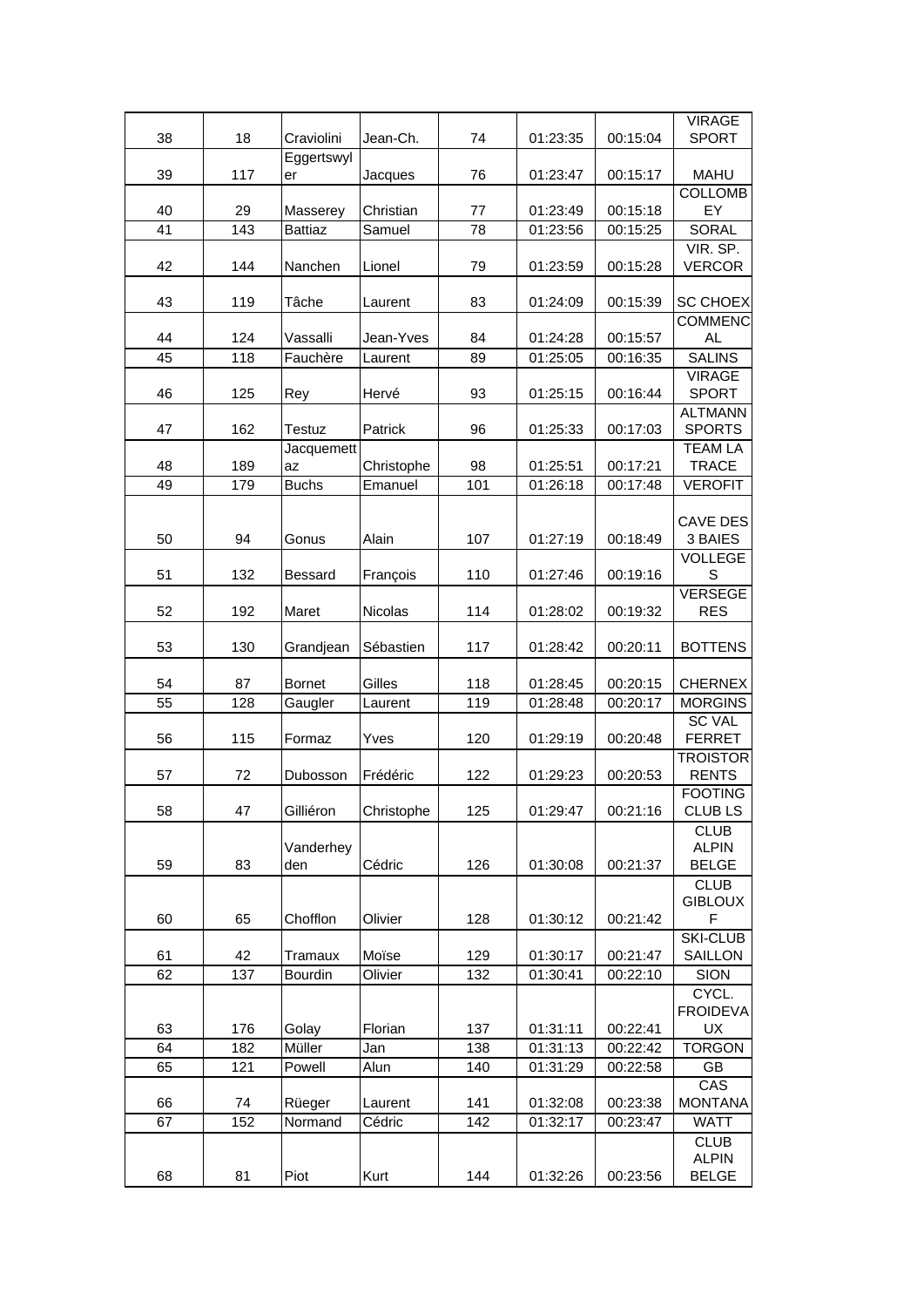|    |     |                |            |     |          |          | <b>VIRAGE</b>                  |
|----|-----|----------------|------------|-----|----------|----------|--------------------------------|
| 38 | 18  | Craviolini     | Jean-Ch.   | 74  | 01:23:35 | 00:15:04 | <b>SPORT</b>                   |
|    |     | Eggertswyl     |            |     |          |          |                                |
| 39 | 117 | er             | Jacques    | 76  | 01:23:47 | 00:15:17 | <b>MAHU</b>                    |
|    |     |                |            |     |          |          | <b>COLLOMB</b>                 |
| 40 | 29  | Masserey       | Christian  | 77  | 01:23:49 | 00:15:18 | EY                             |
| 41 | 143 | <b>Battiaz</b> | Samuel     | 78  | 01:23:56 | 00:15:25 | <b>SORAL</b>                   |
|    |     |                |            |     |          |          | VIR. SP.                       |
| 42 | 144 | Nanchen        | Lionel     | 79  | 01:23:59 | 00:15:28 | <b>VERCOR</b>                  |
|    |     |                |            |     |          |          |                                |
| 43 | 119 | Tâche          | Laurent    | 83  | 01:24:09 | 00:15:39 | <b>SC CHOEX</b>                |
|    |     |                |            |     |          |          | <b>COMMENC</b>                 |
| 44 | 124 | Vassalli       | Jean-Yves  | 84  | 01:24:28 | 00:15:57 | AL.                            |
| 45 | 118 | Fauchère       | Laurent    | 89  | 01:25:05 | 00:16:35 | <b>SALINS</b>                  |
|    |     |                |            |     |          |          | <b>VIRAGE</b>                  |
| 46 | 125 | Rey            | Hervé      | 93  | 01:25:15 | 00:16:44 | <b>SPORT</b>                   |
|    |     |                |            |     |          |          | <b>ALTMANN</b>                 |
| 47 | 162 | <b>Testuz</b>  | Patrick    | 96  | 01:25:33 | 00:17:03 | <b>SPORTS</b>                  |
|    |     | Jacquemett     |            |     |          |          | <b>TEAM LA</b>                 |
| 48 | 189 | az             | Christophe | 98  | 01:25:51 | 00:17:21 | <b>TRACE</b>                   |
| 49 | 179 | <b>Buchs</b>   | Emanuel    | 101 | 01:26:18 | 00:17:48 | <b>VEROFIT</b>                 |
|    |     |                |            |     |          |          |                                |
|    |     |                |            |     |          |          | CAVE DES                       |
| 50 | 94  | Gonus          | Alain      | 107 | 01:27:19 | 00:18:49 | 3 BAIES                        |
|    |     |                |            |     |          |          | <b>VOLLEGE</b>                 |
| 51 | 132 | <b>Bessard</b> | François   | 110 | 01:27:46 | 00:19:16 | S                              |
|    |     |                |            |     |          |          | <b>VERSEGE</b>                 |
| 52 | 192 | Maret          | Nicolas    | 114 | 01:28:02 | 00:19:32 | <b>RES</b>                     |
|    |     |                |            |     |          |          |                                |
| 53 | 130 | Grandjean      | Sébastien  | 117 | 01:28:42 | 00:20:11 | <b>BOTTENS</b>                 |
| 54 | 87  | <b>Bornet</b>  | Gilles     | 118 | 01:28:45 | 00:20:15 | <b>CHERNEX</b>                 |
| 55 | 128 |                |            | 119 | 01:28:48 |          | <b>MORGINS</b>                 |
|    |     | Gaugler        | Laurent    |     |          | 00:20:17 |                                |
| 56 | 115 | Formaz         | Yves       | 120 | 01:29:19 | 00:20:48 | <b>SC VAL</b><br><b>FERRET</b> |
|    |     |                |            |     |          |          | <b>TROISTOR</b>                |
| 57 | 72  | Dubosson       | Frédéric   | 122 | 01:29:23 | 00:20:53 | <b>RENTS</b>                   |
|    |     |                |            |     |          |          | <b>FOOTING</b>                 |
| 58 | 47  | Gilliéron      | Christophe | 125 | 01:29:47 | 00:21:16 | <b>CLUBLS</b>                  |
|    |     |                |            |     |          |          | <b>CLUB</b>                    |
|    |     | Vanderhey      |            |     |          |          | <b>ALPIN</b>                   |
| 59 | 83  | den            | Cédric     | 126 | 01:30:08 | 00:21:37 | <b>BELGE</b>                   |
|    |     |                |            |     |          |          | <b>CLUB</b>                    |
|    |     |                |            |     |          |          | <b>GIBLOUX</b>                 |
| 60 | 65  | Chofflon       | Olivier    | 128 | 01:30:12 | 00:21:42 | F                              |
|    |     |                |            |     |          |          | <b>SKI-CLUB</b>                |
| 61 | 42  | Tramaux        | Moïse      | 129 | 01:30:17 | 00:21:47 | SAILLON                        |
| 62 | 137 | Bourdin        | Olivier    | 132 | 01:30:41 | 00:22:10 | <b>SION</b>                    |
|    |     |                |            |     |          |          | CYCL.                          |
|    |     |                |            |     |          |          | <b>FROIDEVA</b>                |
| 63 | 176 | Golay          | Florian    | 137 | 01:31:11 | 00:22:41 | UX                             |
| 64 | 182 | Müller         | Jan        | 138 | 01:31:13 | 00:22:42 | <b>TORGON</b>                  |
| 65 | 121 | Powell         | Alun       | 140 | 01:31:29 | 00:22:58 | GB                             |
|    |     |                |            |     |          |          | CAS                            |
| 66 | 74  | Rüeger         | Laurent    | 141 | 01:32:08 | 00:23:38 | <b>MONTANA</b>                 |
| 67 | 152 | Normand        | Cédric     | 142 | 01:32:17 | 00:23:47 | <b>WATT</b>                    |
|    |     |                |            |     |          |          | <b>CLUB</b>                    |
|    |     |                |            |     |          |          | <b>ALPIN</b>                   |
| 68 | 81  | Piot           | Kurt       | 144 | 01:32:26 | 00:23:56 | <b>BELGE</b>                   |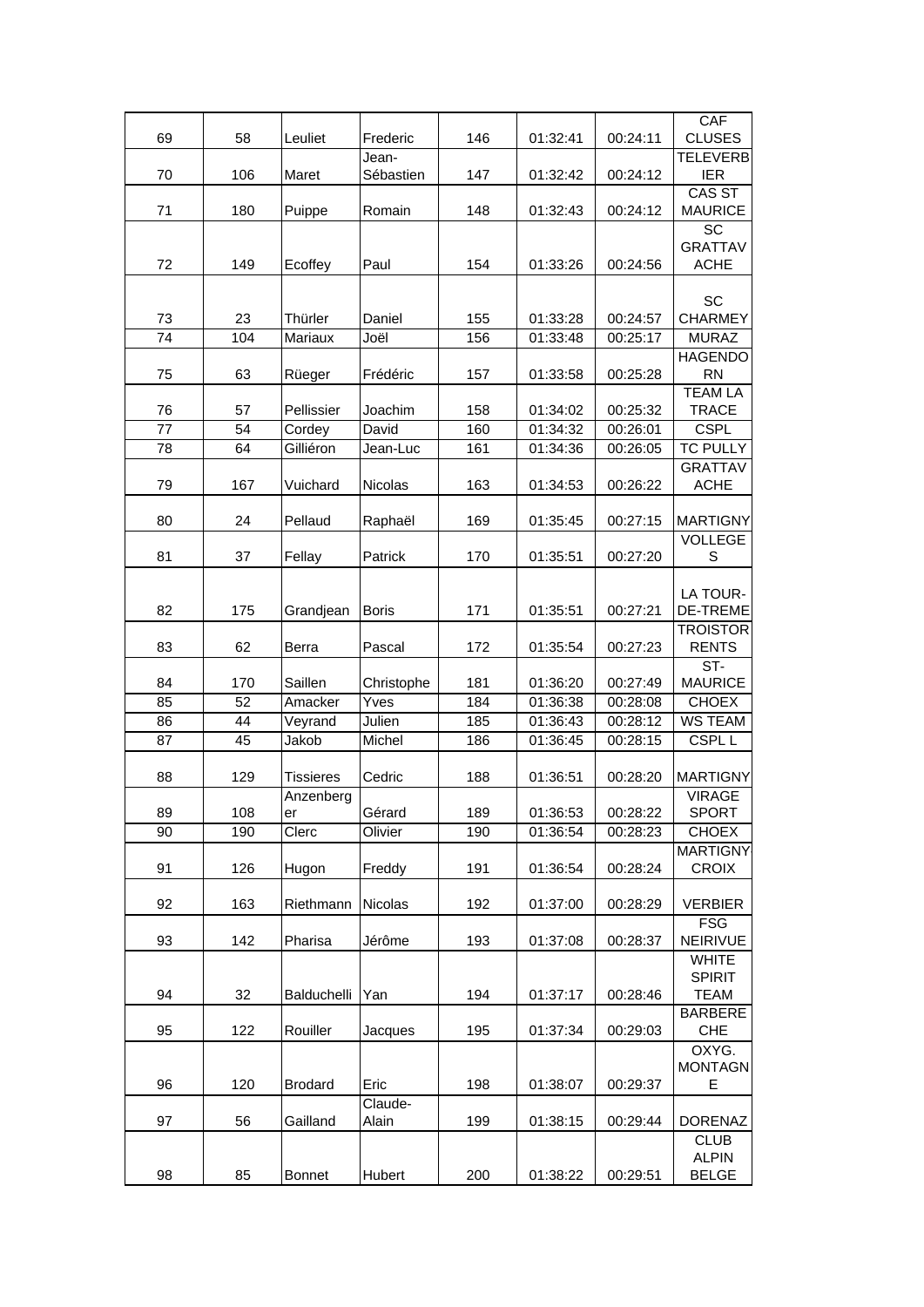|                 |          |                     |                    |            |                      |                      | CAF                             |
|-----------------|----------|---------------------|--------------------|------------|----------------------|----------------------|---------------------------------|
| 69              | 58       | Leuliet             | Frederic           | 146        | 01:32:41             | 00:24:11             | <b>CLUSES</b>                   |
| 70              | 106      | Maret               | Jean-<br>Sébastien | 147        | 01:32:42             | 00:24:12             | <b>TELEVERB</b><br><b>IER</b>   |
|                 |          |                     | Romain             |            | 01:32:43             |                      | <b>CAS ST</b>                   |
| 71              | 180      | Puippe              |                    | 148        |                      | 00:24:12             | <b>MAURICE</b><br>SC            |
|                 |          |                     |                    |            |                      |                      | <b>GRATTAV</b>                  |
| 72              | 149      | Ecoffey             | Paul               | 154        | 01:33:26             | 00:24:56             | <b>ACHE</b>                     |
|                 |          |                     |                    |            |                      |                      |                                 |
| 73              | 23       | Thürler             | Daniel             | 155        | 01:33:28             | 00:24:57             | SC<br><b>CHARMEY</b>            |
| $\overline{74}$ | 104      | Mariaux             | Joël               | 156        | 01:33:48             | 00:25:17             | <b>MURAZ</b>                    |
|                 |          |                     |                    |            |                      |                      | <b>HAGENDO</b>                  |
| 75              | 63       | Rüeger              | Frédéric           | 157        | 01:33:58             | 00:25:28             | <b>RN</b>                       |
|                 |          |                     |                    |            |                      |                      | <b>TEAM LA</b>                  |
| 76              | 57       | Pellissier          | Joachim            | 158        | 01:34:02             | 00:25:32             | <b>TRACE</b>                    |
| 77<br>78        | 54<br>64 | Cordey<br>Gilliéron | David<br>Jean-Luc  | 160<br>161 | 01:34:32<br>01:34:36 | 00:26:01<br>00:26:05 | <b>CSPL</b><br><b>TC PULLY</b>  |
|                 |          |                     |                    |            |                      |                      | <b>GRATTAV</b>                  |
| 79              | 167      | Vuichard            | Nicolas            | 163        | 01:34:53             | 00:26:22             | <b>ACHE</b>                     |
|                 |          |                     |                    |            |                      |                      |                                 |
| 80              | 24       | Pellaud             | Raphaël            | 169        | 01:35:45             | 00:27:15             | <b>MARTIGNY</b>                 |
|                 |          |                     |                    |            |                      |                      | <b>VOLLEGE</b>                  |
| 81              | 37       | Fellay              | Patrick            | 170        | 01:35:51             | 00:27:20             | S                               |
|                 |          |                     |                    |            |                      |                      | LA TOUR-                        |
| 82              | 175      | Grandjean           | <b>Boris</b>       | 171        | 01:35:51             | 00:27:21             | <b>DE-TREME</b>                 |
|                 |          |                     |                    |            |                      |                      | <b>TROISTOR</b>                 |
| 83              | 62       | Berra               | Pascal             | 172        | 01:35:54             | 00:27:23             | <b>RENTS</b>                    |
|                 |          |                     |                    |            |                      |                      | $ST-$                           |
| 84              | 170      | Saillen             | Christophe         | 181        | 01:36:20             | 00:27:49             | <b>MAURICE</b>                  |
| 85              | 52<br>44 | Amacker             | Yves               | 184<br>185 | 01:36:38<br>01:36:43 | 00:28:08<br>00:28:12 | <b>CHOEX</b><br><b>WS TEAM</b>  |
| 86<br>87        | 45       | Veyrand<br>Jakob    | Julien<br>Michel   | 186        | 01:36:45             | 00:28:15             | CSPL <sub>L</sub>               |
|                 |          |                     |                    |            |                      |                      |                                 |
| 88              | 129      | <b>Tissieres</b>    | Cedric             | 188        | 01:36:51             | 00:28:20             | <b>MARTIGNY</b>                 |
|                 |          | Anzenberg           |                    |            |                      |                      | <b>VIRAGE</b>                   |
| 89              | 108      | er                  | Gérard             | 189        | 01:36:53             | 00:28:22             | <b>SPORT</b>                    |
| 90              | 190      | Clerc               | Olivier            | 190        | 01:36:54             | 00:28:23             | <b>CHOEX</b>                    |
| 91              | 126      | Hugon               | Freddy             | 191        | 01:36:54             | 00:28:24             | <b>MARTIGNY</b><br><b>CROIX</b> |
|                 |          |                     |                    |            |                      |                      |                                 |
| 92              | 163      | Riethmann           | Nicolas            | 192        | 01:37:00             | 00:28:29             | <b>VERBIER</b>                  |
|                 |          |                     |                    |            |                      |                      | <b>FSG</b>                      |
| 93              | 142      | Pharisa             | Jérôme             | 193        | 01:37:08             | 00:28:37             | NEIRIVUE                        |
|                 |          |                     |                    |            |                      |                      | <b>WHITE</b>                    |
| 94              | 32       | Balduchelli         | Yan                | 194        | 01:37:17             | 00:28:46             | <b>SPIRIT</b><br><b>TEAM</b>    |
|                 |          |                     |                    |            |                      |                      | <b>BARBERE</b>                  |
| 95              | 122      | Rouiller            | Jacques            | 195        | 01:37:34             | 00:29:03             | <b>CHE</b>                      |
|                 |          |                     |                    |            |                      |                      | OXYG.                           |
|                 |          |                     |                    |            |                      |                      | <b>MONTAGN</b>                  |
| 96              | 120      | <b>Brodard</b>      | Eric               | 198        | 01:38:07             | 00:29:37             | E                               |
| 97              | 56       | Gailland            | Claude-<br>Alain   | 199        | 01:38:15             | 00:29:44             | <b>DORENAZ</b>                  |
|                 |          |                     |                    |            |                      |                      | <b>CLUB</b>                     |
|                 |          |                     |                    |            |                      |                      | <b>ALPIN</b>                    |
| 98              | 85       | <b>Bonnet</b>       | Hubert             | 200        | 01:38:22             | 00:29:51             | <b>BELGE</b>                    |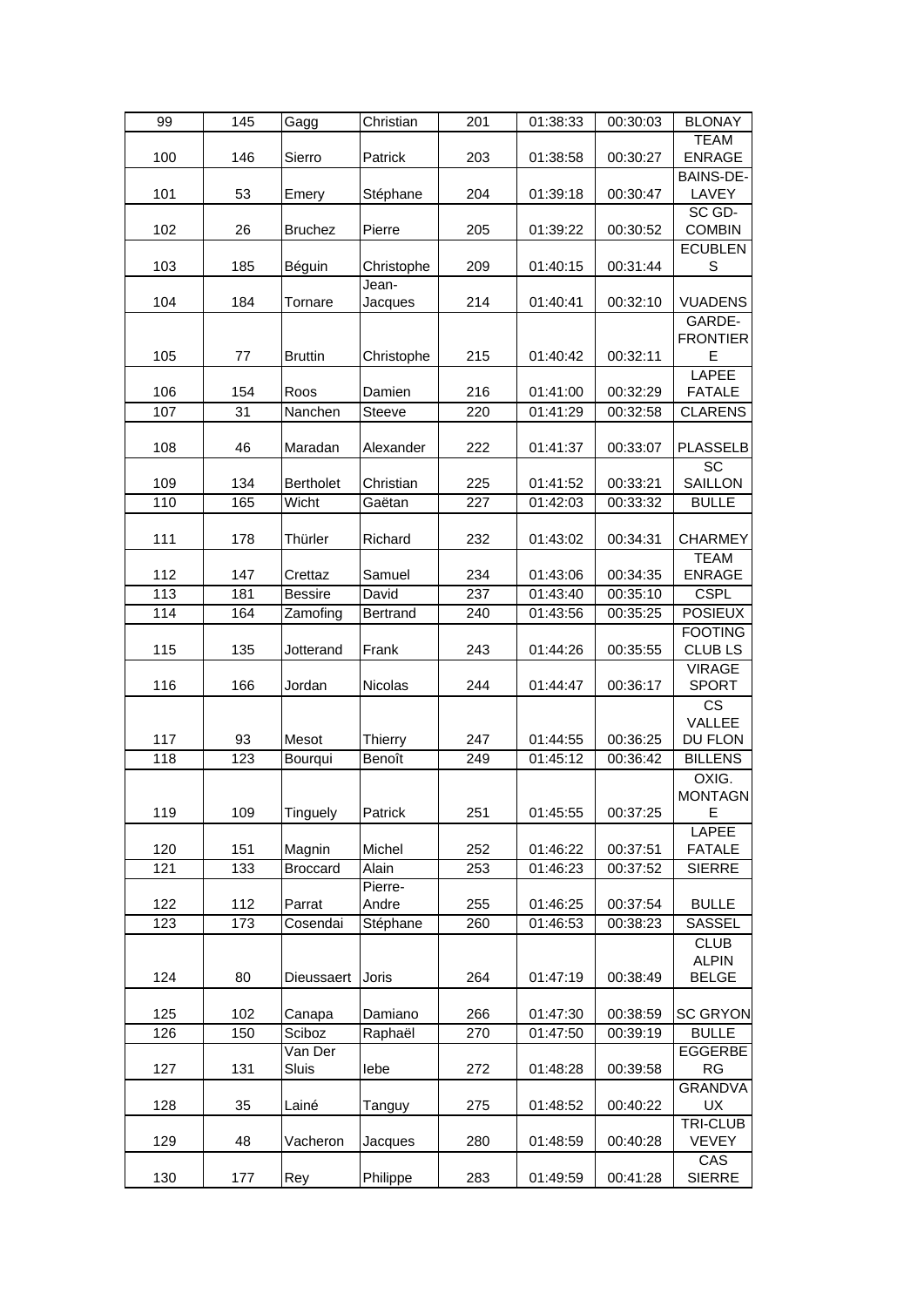| 99  | 145 | Gagg             | Christian  | 201 | 01:38:33 | 00:30:03 | <b>BLONAY</b>    |
|-----|-----|------------------|------------|-----|----------|----------|------------------|
|     |     |                  |            |     |          |          | <b>TEAM</b>      |
| 100 | 146 | Sierro           | Patrick    | 203 | 01:38:58 | 00:30:27 | <b>ENRAGE</b>    |
|     |     |                  |            |     |          |          | <b>BAINS-DE-</b> |
| 101 | 53  | Emery            | Stéphane   | 204 | 01:39:18 | 00:30:47 | LAVEY            |
|     |     |                  |            |     |          |          | SC GD-           |
| 102 | 26  | <b>Bruchez</b>   | Pierre     | 205 | 01:39:22 | 00:30:52 | <b>COMBIN</b>    |
|     |     |                  |            |     |          |          | <b>ECUBLEN</b>   |
| 103 | 185 | Béguin           | Christophe | 209 | 01:40:15 | 00:31:44 | $\mathbb S$      |
|     |     |                  | Jean-      |     |          |          |                  |
| 104 | 184 | Tornare          | Jacques    | 214 | 01:40:41 | 00:32:10 | <b>VUADENS</b>   |
|     |     |                  |            |     |          |          | GARDE-           |
|     |     |                  |            |     |          |          | <b>FRONTIER</b>  |
| 105 | 77  | <b>Bruttin</b>   | Christophe | 215 | 01:40:42 | 00:32:11 | E                |
|     |     |                  |            |     |          |          | LAPEE            |
| 106 | 154 | Roos             | Damien     | 216 | 01:41:00 | 00:32:29 | <b>FATALE</b>    |
| 107 | 31  | Nanchen          | Steeve     | 220 | 01:41:29 | 00:32:58 | <b>CLARENS</b>   |
|     |     |                  |            |     |          |          |                  |
| 108 | 46  | Maradan          | Alexander  | 222 | 01:41:37 | 00:33:07 | <b>PLASSELB</b>  |
|     |     |                  |            |     |          |          | SC               |
| 109 | 134 | <b>Bertholet</b> | Christian  | 225 | 01:41:52 | 00:33:21 | SAILLON          |
| 110 | 165 | Wicht            | Gaëtan     | 227 | 01:42:03 | 00:33:32 | <b>BULLE</b>     |
|     |     |                  |            |     |          |          |                  |
| 111 | 178 | Thürler          | Richard    | 232 | 01:43:02 | 00:34:31 | <b>CHARMEY</b>   |
|     |     |                  |            |     |          |          | <b>TEAM</b>      |
| 112 | 147 | Crettaz          | Samuel     | 234 | 01:43:06 | 00:34:35 | <b>ENRAGE</b>    |
| 113 | 181 | <b>Bessire</b>   | David      | 237 | 01:43:40 | 00:35:10 | <b>CSPL</b>      |
| 114 | 164 | Zamofing         | Bertrand   | 240 | 01:43:56 | 00:35:25 | <b>POSIEUX</b>   |
|     |     |                  |            |     |          |          | <b>FOOTING</b>   |
| 115 | 135 | Jotterand        | Frank      | 243 | 01:44:26 | 00:35:55 | <b>CLUBLS</b>    |
|     |     |                  |            |     |          |          | <b>VIRAGE</b>    |
| 116 | 166 | Jordan           | Nicolas    | 244 | 01:44:47 | 00:36:17 | <b>SPORT</b>     |
|     |     |                  |            |     |          |          | <b>CS</b>        |
|     |     |                  |            |     |          |          | VALLEE           |
| 117 | 93  | Mesot            | Thierry    | 247 | 01:44:55 | 00:36:25 | DU FLON          |
| 118 | 123 | Bourqui          | Benoît     | 249 | 01:45:12 | 00:36:42 | <b>BILLENS</b>   |
|     |     |                  |            |     |          |          | OXIG.            |
|     |     |                  |            |     |          |          | <b>MONTAGN</b>   |
| 119 | 109 | Tinguely         | Patrick    | 251 | 01:45:55 | 00:37:25 | Е                |
|     |     |                  |            |     |          |          | <b>LAPEE</b>     |
| 120 | 151 | Magnin           | Michel     | 252 | 01:46:22 | 00:37:51 | <b>FATALE</b>    |
| 121 | 133 | <b>Broccard</b>  | Alain      | 253 | 01:46:23 | 00:37:52 | <b>SIERRE</b>    |
|     |     |                  | Pierre-    |     |          |          |                  |
| 122 | 112 | Parrat           | Andre      | 255 | 01:46:25 | 00:37:54 | <b>BULLE</b>     |
| 123 | 173 | Cosendai         | Stéphane   | 260 | 01:46:53 | 00:38:23 | SASSEL           |
|     |     |                  |            |     |          |          | <b>CLUB</b>      |
|     |     |                  |            |     |          |          | <b>ALPIN</b>     |
| 124 | 80  | Dieussaert       | Joris      | 264 | 01:47:19 | 00:38:49 | <b>BELGE</b>     |
|     |     |                  |            |     |          |          |                  |
| 125 | 102 | Canapa           | Damiano    | 266 | 01:47:30 | 00:38:59 | <b>SC GRYON</b>  |
| 126 | 150 | Sciboz           | Raphaël    | 270 | 01:47:50 | 00:39:19 | <b>BULLE</b>     |
|     |     | Van Der          |            |     |          |          | EGGERBE          |
| 127 | 131 | Sluis            | lebe       | 272 | 01:48:28 | 00:39:58 | <b>RG</b>        |
|     |     |                  |            |     |          |          | <b>GRANDVA</b>   |
| 128 | 35  | Lainé            | Tanguy     | 275 | 01:48:52 | 00:40:22 | UX               |
|     |     |                  |            |     |          |          | <b>TRI-CLUB</b>  |
| 129 | 48  | Vacheron         | Jacques    | 280 | 01:48:59 | 00:40:28 | <b>VEVEY</b>     |
|     |     |                  |            |     |          |          | CAS              |
| 130 | 177 | Rey              | Philippe   | 283 | 01:49:59 | 00:41:28 | <b>SIERRE</b>    |
|     |     |                  |            |     |          |          |                  |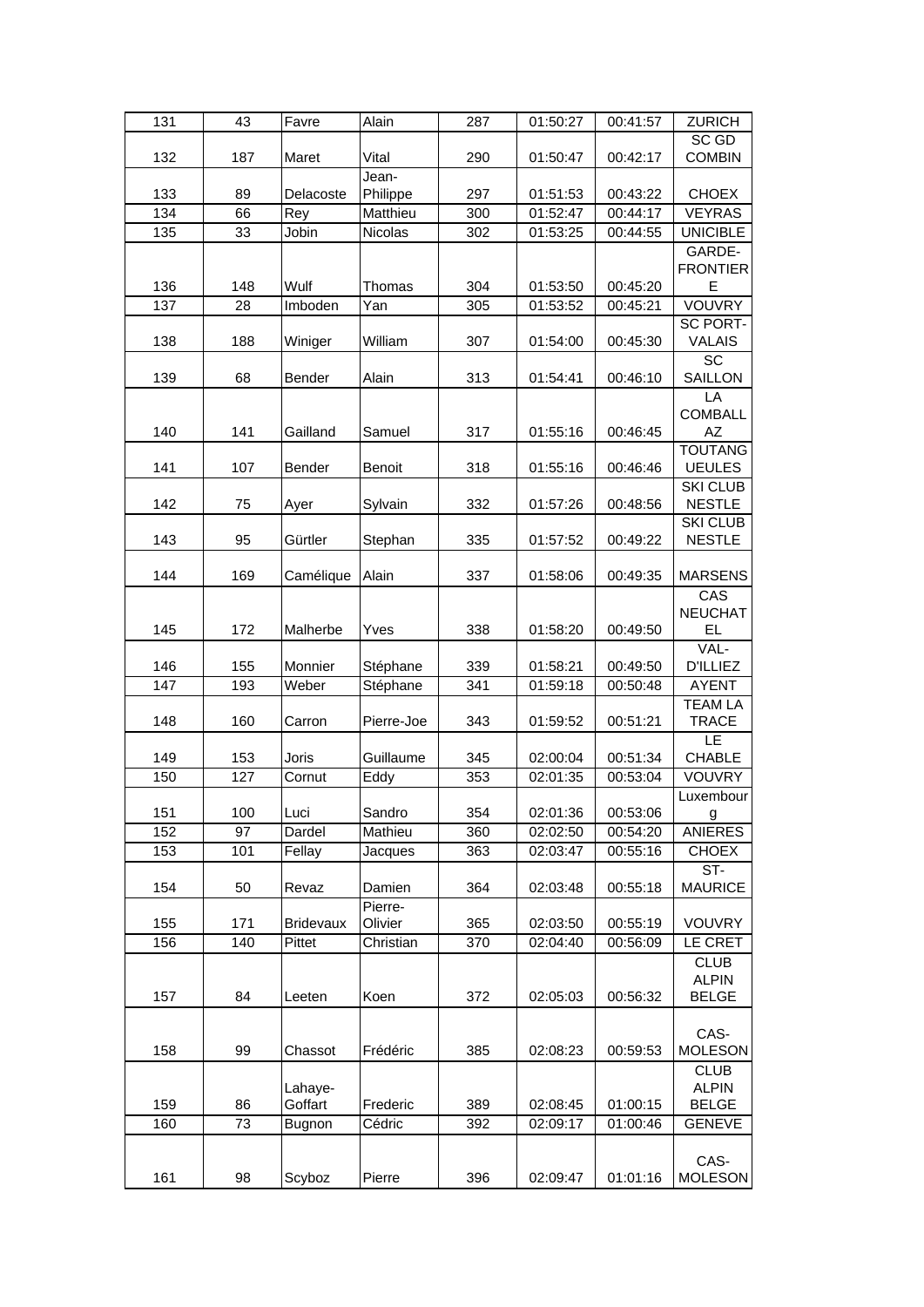| 131 | 43  | Favre            | Alain         | 287 | 01:50:27 | 00:41:57 | <b>ZURICH</b>   |
|-----|-----|------------------|---------------|-----|----------|----------|-----------------|
|     |     |                  |               |     |          |          | SC GD           |
| 132 | 187 | Maret            | Vital         | 290 | 01:50:47 | 00:42:17 | <b>COMBIN</b>   |
|     |     |                  | Jean-         |     |          |          |                 |
| 133 | 89  | Delacoste        | Philippe      | 297 | 01:51:53 | 00:43:22 | <b>CHOEX</b>    |
| 134 | 66  | Rey              | Matthieu      | 300 | 01:52:47 | 00:44:17 | <b>VEYRAS</b>   |
| 135 | 33  | Jobin            | Nicolas       | 302 | 01:53:25 | 00:44:55 | <b>UNICIBLE</b> |
|     |     |                  |               |     |          |          | GARDE-          |
|     |     |                  |               |     |          |          | <b>FRONTIER</b> |
| 136 | 148 | Wulf             | Thomas        | 304 | 01:53:50 | 00:45:20 | E               |
| 137 | 28  | Imboden          | Yan           | 305 | 01:53:52 | 00:45:21 | <b>VOUVRY</b>   |
|     |     |                  |               |     |          |          | <b>SC PORT-</b> |
| 138 | 188 | Winiger          | William       | 307 | 01:54:00 | 00:45:30 | <b>VALAIS</b>   |
|     |     |                  |               |     |          |          | <b>SC</b>       |
| 139 | 68  | <b>Bender</b>    | Alain         | 313 | 01:54:41 | 00:46:10 | SAILLON         |
|     |     |                  |               |     |          |          | LA              |
|     |     |                  |               |     |          |          | <b>COMBALL</b>  |
| 140 | 141 | Gailland         | Samuel        | 317 | 01:55:16 | 00:46:45 | AZ              |
|     |     |                  |               |     |          |          | <b>TOUTANG</b>  |
| 141 | 107 | Bender           | <b>Benoit</b> | 318 | 01:55:16 | 00:46:46 | <b>UEULES</b>   |
|     |     |                  |               |     |          |          | <b>SKI CLUB</b> |
| 142 | 75  | Ayer             | Sylvain       | 332 | 01:57:26 | 00:48:56 | <b>NESTLE</b>   |
|     |     |                  |               |     |          |          | <b>SKI CLUB</b> |
| 143 | 95  | Gürtler          | Stephan       | 335 | 01:57:52 | 00:49:22 | <b>NESTLE</b>   |
|     |     |                  |               |     |          |          |                 |
| 144 | 169 | Camélique        | Alain         | 337 | 01:58:06 | 00:49:35 | <b>MARSENS</b>  |
|     |     |                  |               |     |          |          | CAS             |
|     |     |                  |               |     |          |          | <b>NEUCHAT</b>  |
| 145 | 172 | Malherbe         | Yves          | 338 | 01:58:20 | 00:49:50 | <b>EL</b>       |
|     |     |                  |               |     |          |          | VAL-            |
| 146 | 155 | Monnier          | Stéphane      | 339 | 01:58:21 | 00:49:50 | <b>D'ILLIEZ</b> |
| 147 | 193 | Weber            | Stéphane      | 341 | 01:59:18 | 00:50:48 | <b>AYENT</b>    |
|     |     |                  |               |     |          |          | <b>TEAM LA</b>  |
| 148 | 160 | Carron           | Pierre-Joe    | 343 | 01:59:52 | 00:51:21 | <b>TRACE</b>    |
|     |     |                  |               |     |          |          | LE              |
| 149 | 153 | Joris            | Guillaume     | 345 | 02:00:04 | 00:51:34 | <b>CHABLE</b>   |
| 150 | 127 | Cornut           | Eddy          | 353 | 02:01:35 | 00:53:04 | VOUVRY          |
|     |     |                  |               |     |          |          | Luxembour       |
| 151 | 100 | Luci             | Sandro        | 354 | 02:01:36 | 00:53:06 | g               |
| 152 | 97  | Dardel           | Mathieu       | 360 | 02:02:50 | 00:54:20 | <b>ANIERES</b>  |
| 153 | 101 | Fellay           | Jacques       | 363 | 02:03:47 | 00:55:16 | <b>CHOEX</b>    |
|     |     |                  |               |     |          |          | ST-             |
| 154 | 50  | Revaz            | Damien        | 364 | 02:03:48 | 00:55:18 | <b>MAURICE</b>  |
|     |     |                  | Pierre-       |     |          |          |                 |
| 155 | 171 | <b>Bridevaux</b> | Olivier       | 365 | 02:03:50 | 00:55:19 | VOUVRY          |
| 156 | 140 | Pittet           | Christian     | 370 | 02:04:40 | 00:56:09 | LE CRET         |
|     |     |                  |               |     |          |          | <b>CLUB</b>     |
|     |     |                  |               |     |          |          | <b>ALPIN</b>    |
| 157 | 84  | Leeten           | Koen          | 372 | 02:05:03 | 00:56:32 | <b>BELGE</b>    |
|     |     |                  |               |     |          |          |                 |
|     |     |                  |               |     |          |          | CAS-            |
| 158 | 99  | Chassot          | Frédéric      | 385 | 02:08:23 | 00:59:53 | <b>MOLESON</b>  |
|     |     |                  |               |     |          |          | <b>CLUB</b>     |
|     |     | Lahaye-          |               |     |          |          | <b>ALPIN</b>    |
| 159 | 86  | Goffart          | Frederic      | 389 | 02:08:45 | 01:00:15 | <b>BELGE</b>    |
| 160 | 73  | Bugnon           | Cédric        | 392 | 02:09:17 | 01:00:46 | <b>GENEVE</b>   |
|     |     |                  |               |     |          |          |                 |
|     |     |                  |               |     |          |          | CAS-            |
| 161 | 98  | Scyboz           | Pierre        | 396 | 02:09:47 | 01:01:16 | <b>MOLESON</b>  |
|     |     |                  |               |     |          |          |                 |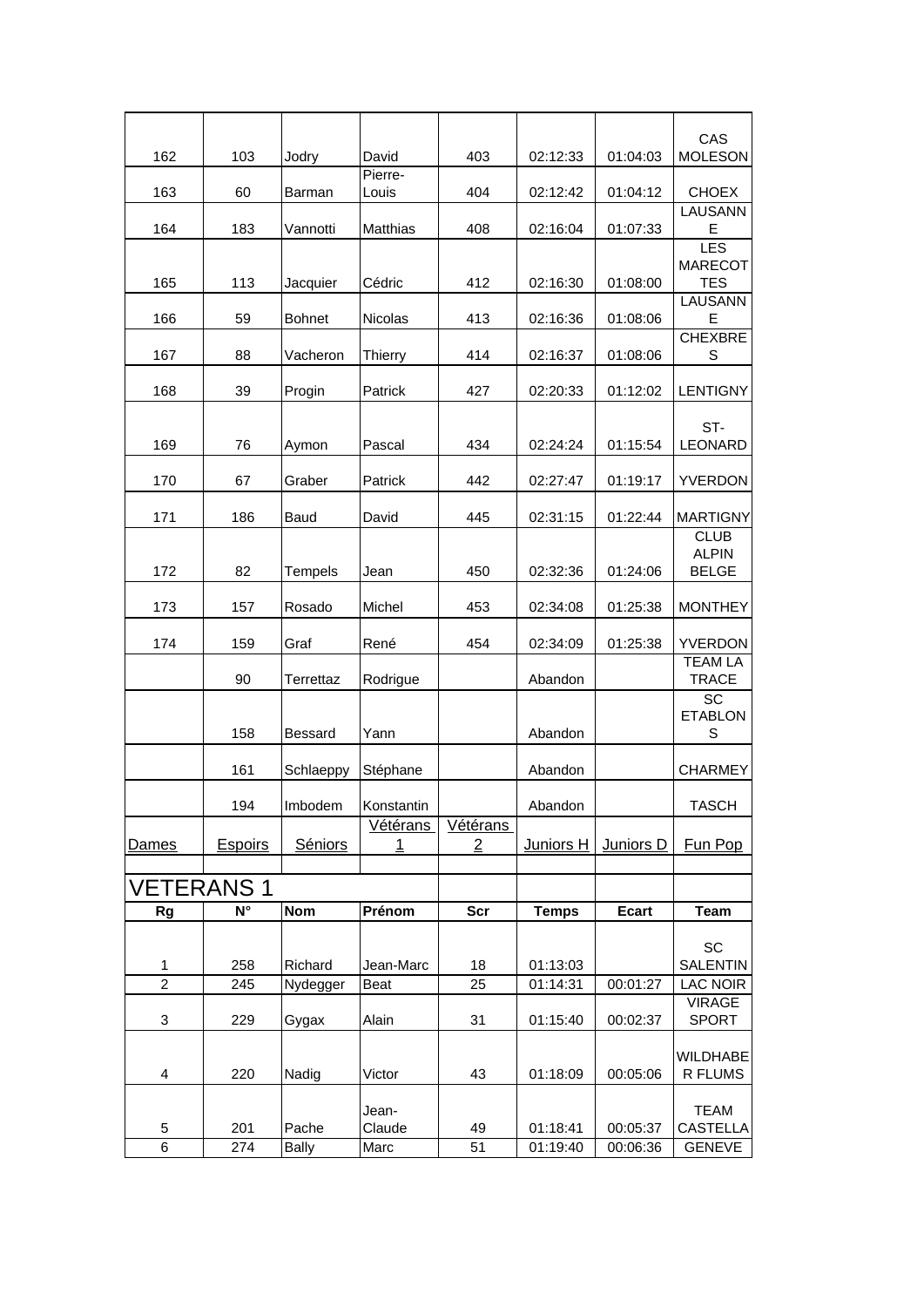<span id="page-7-0"></span>

|                                |                |                       |                  |                                   |                      |                      | CAS                            |
|--------------------------------|----------------|-----------------------|------------------|-----------------------------------|----------------------|----------------------|--------------------------------|
| 162                            | 103            | Jodry                 | David            | 403                               | 02:12:33             | 01:04:03             | <b>MOLESON</b>                 |
| 163                            | 60             | Barman                | Pierre-<br>Louis | 404                               | 02:12:42             | 01:04:12             | <b>CHOEX</b>                   |
| 164                            | 183            | Vannotti              | Matthias         | 408                               | 02:16:04             | 01:07:33             | LAUSANN<br>E                   |
|                                |                |                       |                  |                                   |                      |                      | LES<br><b>MARECOT</b>          |
| 165                            | 113            | Jacquier              | Cédric           | 412                               | 02:16:30             | 01:08:00             | <b>TES</b>                     |
| 166                            | 59             | <b>Bohnet</b>         | <b>Nicolas</b>   | 413                               | 02:16:36             | 01:08:06             | <b>LAUSANN</b><br>E            |
| 167                            | 88             | Vacheron              | <b>Thierry</b>   | 414                               | 02:16:37             | 01:08:06             | <b>CHEXBRE</b><br>S            |
| 168                            | 39             | Progin                | Patrick          | 427                               | 02:20:33             | 01:12:02             | <b>LENTIGNY</b>                |
|                                |                |                       |                  |                                   |                      |                      | ST-                            |
| 169                            | 76             | Aymon                 | Pascal           | 434                               | 02:24:24             | 01:15:54             | LEONARD                        |
| 170                            | 67             | Graber                | Patrick          | 442                               | 02:27:47             | 01:19:17             | YVERDON                        |
| 171                            | 186            | Baud                  | David            | 445                               | 02:31:15             | 01:22:44             | <b>MARTIGNY</b>                |
|                                |                |                       |                  |                                   |                      |                      | <b>CLUB</b><br><b>ALPIN</b>    |
| 172                            | 82             | <b>Tempels</b>        | Jean             | 450                               | 02:32:36             | 01:24:06             | <b>BELGE</b>                   |
| 173                            | 157            | Rosado                | Michel           | 453                               | 02:34:08             | 01:25:38             | <b>MONTHEY</b>                 |
| 174                            | 159            | Graf                  | René             | 454                               | 02:34:09             | 01:25:38             | YVERDON                        |
|                                | 90             | Terrettaz             | Rodrigue         |                                   | Abandon              |                      | <b>TEAM LA</b><br><b>TRACE</b> |
|                                |                |                       |                  |                                   |                      |                      | SC<br><b>ETABLON</b>           |
|                                | 158            | <b>Bessard</b>        | Yann             |                                   | Abandon              |                      | S                              |
|                                | 161            | Schlaeppy             | Stéphane         |                                   | Abandon              |                      | <b>CHARMEY</b>                 |
|                                | 194            | Imbodem               | Konstantin       |                                   | Abandon              |                      | <b>TASCH</b>                   |
| Dames                          | <b>Espoirs</b> | Séniors               | Vétérans<br>1    | <b>Vétérans</b><br>$\overline{2}$ | Juniors H            | Juniors D            | Fun Pop                        |
|                                |                |                       |                  |                                   |                      |                      |                                |
| <b>VETERANS 1</b><br><b>Rg</b> | N°             | <b>Nom</b>            | Prénom           | <b>Scr</b>                        | <b>Temps</b>         | <b>Ecart</b>         | <b>Team</b>                    |
|                                |                |                       |                  |                                   |                      |                      |                                |
| 1                              | 258            | Richard               | Jean-Marc        | 18                                | 01:13:03             |                      | <b>SC</b><br><b>SALENTIN</b>   |
| $\overline{2}$                 | 245            | Nydegger              | Beat             | 25                                | 01:14:31             | 00:01:27             | <b>LAC NOIR</b>                |
| 3                              | 229            | Gygax                 | Alain            | 31                                | 01:15:40             | 00:02:37             | <b>VIRAGE</b><br><b>SPORT</b>  |
|                                |                |                       |                  |                                   |                      |                      | WILDHABE                       |
| 4                              | 220            | Nadig                 | Victor           | 43                                | 01:18:09             | 00:05:06             | R FLUMS                        |
|                                |                |                       | Jean-            |                                   |                      |                      | <b>TEAM</b>                    |
| 5<br>6                         | 201<br>274     | Pache<br><b>Bally</b> | Claude<br>Marc   | 49<br>51                          | 01:18:41<br>01:19:40 | 00:05:37<br>00:06:36 | CASTELLA<br><b>GENEVE</b>      |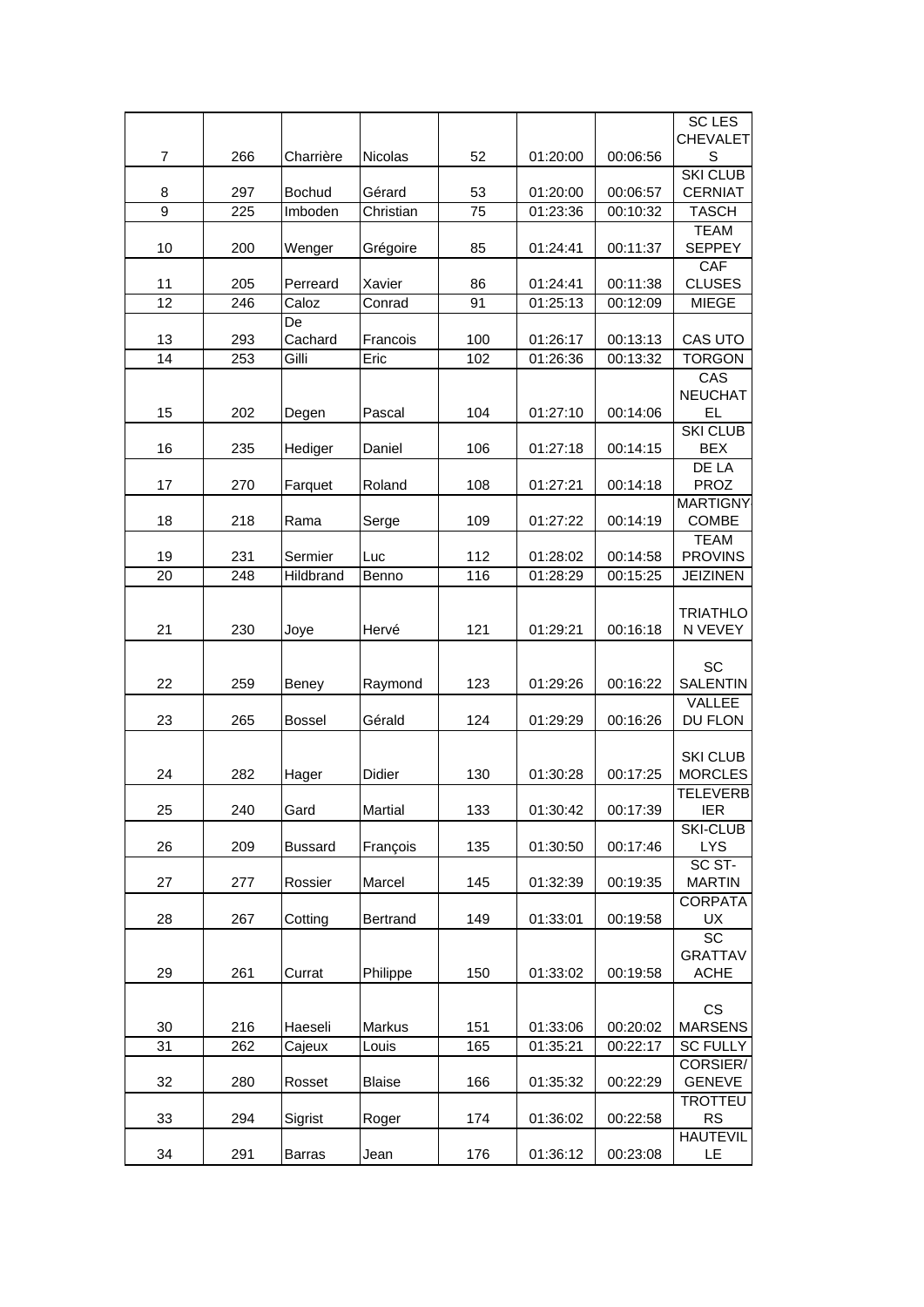|                     |            |                          |                     |          |                      |                      | <b>SC LES</b><br><b>CHEVALET</b>  |
|---------------------|------------|--------------------------|---------------------|----------|----------------------|----------------------|-----------------------------------|
| $\overline{7}$      | 266        | Charrière                | <b>Nicolas</b>      | 52       | 01:20:00             | 00:06:56             | S                                 |
|                     |            |                          |                     |          |                      |                      | <b>SKI CLUB</b>                   |
| 8<br>$\overline{9}$ | 297<br>225 | <b>Bochud</b><br>Imboden | Gérard<br>Christian | 53<br>75 | 01:20:00<br>01:23:36 | 00:06:57<br>00:10:32 | <b>CERNIAT</b><br><b>TASCH</b>    |
|                     |            |                          |                     |          |                      |                      | <b>TEAM</b>                       |
| 10                  | 200        | Wenger                   | Grégoire            | 85       | 01:24:41             | 00:11:37             | <b>SEPPEY</b>                     |
|                     |            |                          |                     |          |                      |                      | <b>CAF</b>                        |
| 11                  | 205        | Perreard                 | Xavier              | 86       | 01:24:41             | 00:11:38             | <b>CLUSES</b>                     |
| 12                  | 246        | Caloz                    | Conrad              | 91       | 01:25:13             | 00:12:09             | <b>MIEGE</b>                      |
| 13                  | 293        | De<br>Cachard            | Francois            | 100      | 01:26:17             | 00:13:13             | CAS UTO                           |
| 14                  | 253        | Gilli                    | Eric                | 102      | 01:26:36             | 00:13:32             | <b>TORGON</b>                     |
|                     |            |                          |                     |          |                      |                      | CAS                               |
|                     |            |                          |                     |          |                      |                      | <b>NEUCHAT</b>                    |
| 15                  | 202        | Degen                    | Pascal              | 104      | 01:27:10             | 00:14:06             | <b>EL</b>                         |
| 16                  | 235        | Hediger                  | Daniel              | 106      | 01:27:18             | 00:14:15             | <b>SKI CLUB</b><br><b>BEX</b>     |
|                     |            |                          |                     |          |                      |                      | <b>DE LA</b>                      |
| 17                  | 270        | Farquet                  | Roland              | 108      | 01:27:21             | 00:14:18             | <b>PROZ</b>                       |
|                     |            |                          |                     |          |                      |                      | <b>MARTIGNY</b>                   |
| 18                  | 218        | Rama                     | Serge               | 109      | 01:27:22             | 00:14:19             | <b>COMBE</b>                      |
| 19                  | 231        | Sermier                  |                     | 112      | 01:28:02             | 00:14:58             | <b>TEAM</b><br><b>PROVINS</b>     |
| 20                  | 248        | Hildbrand                | Luc<br>Benno        | 116      | 01:28:29             | 00:15:25             | <b>JEIZINEN</b>                   |
|                     |            |                          |                     |          |                      |                      |                                   |
|                     |            |                          |                     |          |                      |                      | <b>TRIATHLO</b>                   |
| 21                  | 230        | Joye                     | Hervé               | 121      | 01:29:21             | 00:16:18             | N VEVEY                           |
|                     |            |                          |                     |          |                      |                      | <b>SC</b>                         |
| 22                  | 259        | Beney                    | Raymond             | 123      | 01:29:26             | 00:16:22             | <b>SALENTIN</b>                   |
|                     |            |                          |                     |          |                      |                      | VALLEE                            |
| 23                  | 265        | <b>Bossel</b>            | Gérald              | 124      | 01:29:29             | 00:16:26             | DU FLON                           |
|                     |            |                          |                     |          |                      |                      |                                   |
| 24                  | 282        | Hager                    | <b>Didier</b>       | 130      | 01:30:28             | 00:17:25             | <b>SKI CLUB</b><br><b>MORCLES</b> |
|                     |            |                          |                     |          |                      |                      | <b>TELEVERB</b>                   |
| 25                  | 240        | Gard                     | Martial             | 133      | 01:30:42             | 00:17:39             | <b>IER</b>                        |
|                     |            |                          |                     |          |                      |                      | <b>SKI-CLUB</b>                   |
| 26                  | 209        | <b>Bussard</b>           | François            | 135      | 01:30:50             | 00:17:46             | <b>LYS</b>                        |
| 27                  | 277        | Rossier                  | Marcel              | 145      | 01:32:39             | 00:19:35             | SC ST-<br><b>MARTIN</b>           |
|                     |            |                          |                     |          |                      |                      | <b>CORPATA</b>                    |
| 28                  | 267        | Cotting                  | Bertrand            | 149      | 01:33:01             | 00:19:58             | UX                                |
|                     |            |                          |                     |          |                      |                      | <b>SC</b>                         |
|                     |            |                          |                     |          |                      |                      | <b>GRATTAV</b>                    |
| 29                  | 261        | Currat                   | Philippe            | 150      | 01:33:02             | 00:19:58             | <b>ACHE</b>                       |
|                     |            |                          |                     |          |                      |                      | <b>CS</b>                         |
| 30                  | 216        | Haeseli                  | Markus              | 151      | 01:33:06             | 00:20:02             | <b>MARSENS</b>                    |
| 31                  | 262        | Cajeux                   | Louis               | 165      | 01:35:21             | 00:22:17             | <b>SC FULLY</b>                   |
|                     |            |                          |                     |          |                      |                      | CORSIER/                          |
| 32                  | 280        | Rosset                   | <b>Blaise</b>       | 166      | 01:35:32             | 00:22:29             | <b>GENEVE</b><br><b>TROTTEU</b>   |
| 33                  | 294        | Sigrist                  | Roger               | 174      | 01:36:02             | 00:22:58             | <b>RS</b>                         |
|                     |            |                          |                     |          |                      |                      | <b>HAUTEVIL</b>                   |
| 34                  | 291        | <b>Barras</b>            | Jean                | 176      | 01:36:12             | 00:23:08             | LE.                               |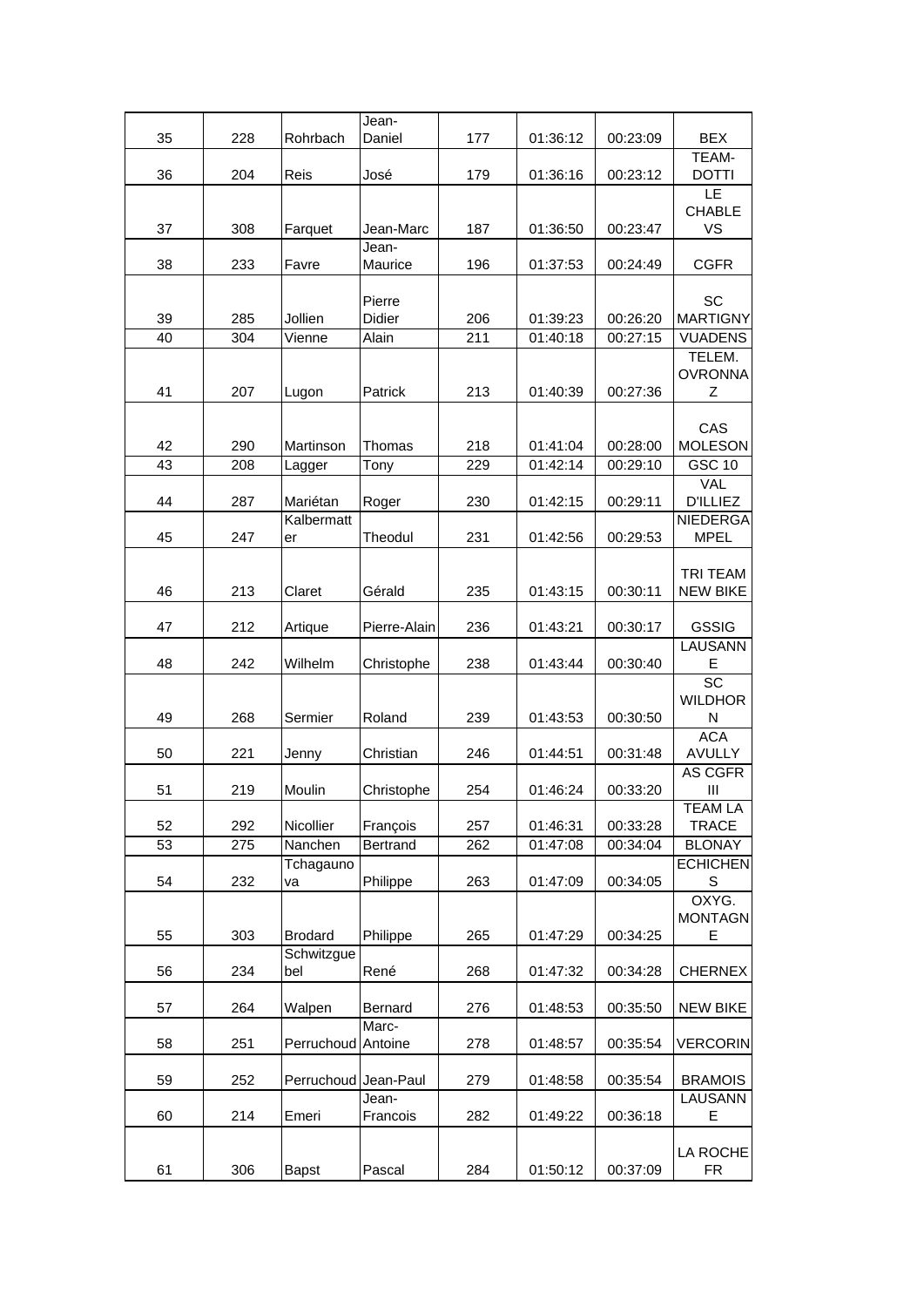|          |            |                      | Jean-                  |                         |                      |                      |                                   |
|----------|------------|----------------------|------------------------|-------------------------|----------------------|----------------------|-----------------------------------|
| 35       | 228        | Rohrbach             | Daniel                 | 177                     | 01:36:12             | 00:23:09             | <b>BEX</b><br>TEAM-               |
| 36       | 204        | Reis                 | José                   | 179                     | 01:36:16             | 00:23:12             | <b>DOTTI</b>                      |
|          |            |                      |                        |                         |                      |                      | LE<br><b>CHABLE</b>               |
| 37       | 308        | Farquet              | Jean-Marc              | 187                     | 01:36:50             | 00:23:47             | <b>VS</b>                         |
| 38       | 233        | Favre                | Jean-<br>Maurice       | 196                     | 01:37:53             | 00:24:49             | <b>CGFR</b>                       |
|          |            |                      |                        |                         |                      |                      |                                   |
|          |            |                      | Pierre                 |                         |                      |                      | SC                                |
| 39<br>40 | 285<br>304 | Jollien<br>Vienne    | <b>Didier</b><br>Alain | 206<br>$\overline{211}$ | 01:39:23<br>01:40:18 | 00:26:20<br>00:27:15 | <b>MARTIGNY</b><br><b>VUADENS</b> |
|          |            |                      |                        |                         |                      |                      | TELEM.                            |
|          |            |                      |                        |                         |                      |                      | <b>OVRONNA</b>                    |
| 41       | 207        | Lugon                | Patrick                | 213                     | 01:40:39             | 00:27:36             | Ζ                                 |
|          |            |                      |                        |                         |                      |                      |                                   |
| 42       | 290        | Martinson            | Thomas                 | 218                     | 01:41:04             | 00:28:00             | CAS<br><b>MOLESON</b>             |
| 43       | 208        | Lagger               | Tony                   | 229                     | 01:42:14             | 00:29:10             | <b>GSC 10</b>                     |
|          |            |                      |                        |                         |                      |                      | <b>VAL</b>                        |
| 44       | 287        | Mariétan             | Roger                  | 230                     | 01:42:15             | 00:29:11             | <b>D'ILLIEZ</b>                   |
|          |            | Kalbermatt           |                        |                         |                      |                      | NIEDERGA                          |
| 45       | 247        | er                   | Theodul                | 231                     | 01:42:56             | 00:29:53             | <b>MPEL</b>                       |
|          |            |                      |                        |                         |                      |                      | <b>TRI TEAM</b>                   |
| 46       | 213        | Claret               | Gérald                 | 235                     | 01:43:15             | 00:30:11             | <b>NEW BIKE</b>                   |
| 47       | 212        | Artique              | Pierre-Alain           | 236                     | 01:43:21             | 00:30:17             | <b>GSSIG</b>                      |
|          |            |                      |                        |                         |                      |                      | <b>LAUSANN</b>                    |
| 48       | 242        | Wilhelm              | Christophe             | 238                     | 01:43:44             | 00:30:40             | Е<br>$\overline{SC}$              |
|          |            |                      |                        |                         |                      |                      | <b>WILDHOR</b>                    |
| 49       | 268        | Sermier              | Roland                 | 239                     | 01:43:53             | 00:30:50             | N                                 |
|          |            |                      |                        |                         |                      |                      | <b>ACA</b>                        |
| 50       | 221        | Jenny                | Christian              | 246                     | 01:44:51             | 00:31:48             | <b>AVULLY</b><br><b>AS CGFR</b>   |
| 51       | 219        | Moulin               | Christophe             | 254                     | 01:46:24             | 00:33:20             | Ш                                 |
|          |            |                      |                        |                         |                      |                      | <b>TEAM LA</b>                    |
| 52       | 292        | Nicollier            | François               | 257                     | 01:46:31             | 00:33:28             | <b>TRACE</b>                      |
| 53       | 275        | Nanchen              | Bertrand               | 262                     | 01:47:08             | 00:34:04             | <b>BLONAY</b>                     |
| 54       | 232        | Tchagauno<br>va      | Philippe               | 263                     | 01:47:09             | 00:34:05             | <b>ECHICHEN</b><br>S              |
|          |            |                      |                        |                         |                      |                      | OXYG.                             |
|          |            |                      |                        |                         |                      |                      | <b>MONTAGN</b>                    |
| 55       | 303        | <b>Brodard</b>       | Philippe               | 265                     | 01:47:29             | 00:34:25             | Ε                                 |
|          |            | Schwitzgue           |                        |                         |                      |                      |                                   |
| 56       | 234        | bel                  | René                   | 268                     | 01:47:32             | 00:34:28             | <b>CHERNEX</b>                    |
| 57       | 264        | Walpen               | <b>Bernard</b>         | 276                     | 01:48:53             | 00:35:50             | <b>NEW BIKE</b>                   |
|          |            |                      | Marc-                  |                         |                      |                      |                                   |
| 58       | 251        | Perruchoud           | Antoine                | 278                     | 01:48:57             | 00:35:54             | VERCORIN                          |
| 59       | 252        | Perruchoud Jean-Paul |                        | 279                     | 01:48:58             | 00:35:54             | <b>BRAMOIS</b>                    |
|          |            |                      | Jean-                  |                         |                      |                      | LAUSANN                           |
| 60       | 214        | Emeri                | Francois               | 282                     | 01:49:22             | 00:36:18             | Е                                 |
|          |            |                      |                        |                         |                      |                      |                                   |
| 61       | 306        | <b>Bapst</b>         | Pascal                 | 284                     | 01:50:12             | 00:37:09             | LA ROCHE<br><b>FR</b>             |
|          |            |                      |                        |                         |                      |                      |                                   |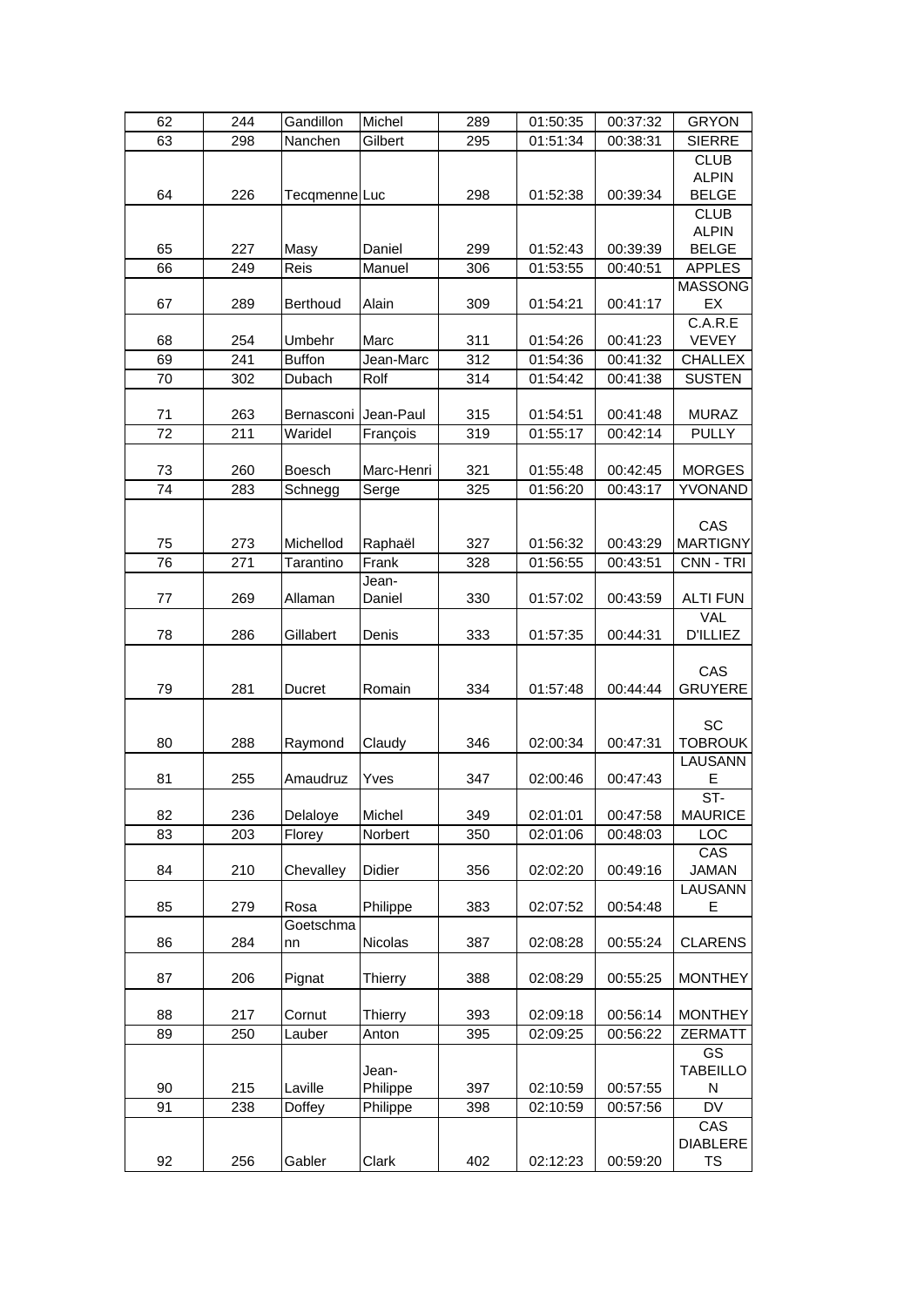| 62 | 244 | Gandillon         | Michel            | 289 | 01:50:35 | 00:37:32 | <b>GRYON</b>                                |
|----|-----|-------------------|-------------------|-----|----------|----------|---------------------------------------------|
| 63 | 298 | Nanchen           | Gilbert           | 295 | 01:51:34 | 00:38:31 | <b>SIERRE</b>                               |
| 64 | 226 | TecqmenneLuc      |                   | 298 | 01:52:38 | 00:39:34 | <b>CLUB</b><br><b>ALPIN</b><br><b>BELGE</b> |
| 65 | 227 | Masy              | Daniel            | 299 | 01:52:43 | 00:39:39 | <b>CLUB</b><br><b>ALPIN</b><br><b>BELGE</b> |
| 66 | 249 | Reis              | Manuel            | 306 | 01:53:55 | 00:40:51 | <b>APPLES</b>                               |
| 67 | 289 | <b>Berthoud</b>   | Alain             | 309 | 01:54:21 | 00:41:17 | <b>MASSONG</b><br>EX<br>C.A.R.E             |
| 68 | 254 | Umbehr            | Marc              | 311 | 01:54:26 | 00:41:23 | <b>VEVEY</b>                                |
| 69 | 241 | <b>Buffon</b>     | Jean-Marc         | 312 | 01:54:36 | 00:41:32 | <b>CHALLEX</b>                              |
| 70 | 302 | Dubach            | Rolf              | 314 | 01:54:42 | 00:41:38 | <b>SUSTEN</b>                               |
| 71 | 263 | Bernasconi        | Jean-Paul         | 315 | 01:54:51 | 00:41:48 | <b>MURAZ</b>                                |
| 72 | 211 | Waridel           | François          | 319 | 01:55:17 | 00:42:14 | <b>PULLY</b>                                |
| 73 | 260 | <b>Boesch</b>     | Marc-Henri        | 321 | 01:55:48 | 00:42:45 | <b>MORGES</b>                               |
| 74 | 283 | Schnegg           | Serge             | 325 | 01:56:20 | 00:43:17 | YVONAND                                     |
| 75 | 273 | Michellod         | Raphaël           | 327 | 01:56:32 | 00:43:29 | CAS<br><b>MARTIGNY</b>                      |
| 76 | 271 | Tarantino         | Frank             | 328 | 01:56:55 | 00:43:51 | CNN - TRI                                   |
| 77 | 269 | Allaman           | Jean-<br>Daniel   | 330 | 01:57:02 | 00:43:59 | <b>ALTI FUN</b>                             |
| 78 | 286 | Gillabert         | Denis             | 333 | 01:57:35 | 00:44:31 | <b>VAL</b><br><b>D'ILLIEZ</b>               |
| 79 | 281 | Ducret            | Romain            | 334 | 01:57:48 | 00:44:44 | CAS<br><b>GRUYERE</b>                       |
| 80 | 288 | Raymond           | Claudy            | 346 | 02:00:34 | 00:47:31 | SC<br><b>TOBROUK</b><br>LAUSANN             |
| 81 | 255 | Amaudruz          | Yves              | 347 | 02:00:46 | 00:47:43 | E                                           |
| 82 | 236 | Delaloye          | Michel            | 349 | 02:01:01 | 00:47:58 | $ST -$<br><b>MAURICE</b>                    |
| 83 | 203 | Florey            | Norbert           | 350 | 02:01:06 | 00:48:03 | LOC                                         |
| 84 | 210 | Chevalley         | Didier            | 356 | 02:02:20 | 00:49:16 | CAS<br><b>JAMAN</b>                         |
| 85 | 279 | Rosa<br>Goetschma | Philippe          | 383 | 02:07:52 | 00:54:48 | <b>LAUSANN</b><br>E                         |
| 86 | 284 | nn                | Nicolas           | 387 | 02:08:28 | 00:55:24 | <b>CLARENS</b>                              |
| 87 | 206 | Pignat            | Thierry           | 388 | 02:08:29 | 00:55:25 | <b>MONTHEY</b>                              |
| 88 | 217 | Cornut            | Thierry           | 393 | 02:09:18 | 00:56:14 | <b>MONTHEY</b>                              |
| 89 | 250 | Lauber            | Anton             | 395 | 02:09:25 | 00:56:22 | <b>ZERMATT</b>                              |
| 90 | 215 | Laville           | Jean-<br>Philippe | 397 | 02:10:59 | 00:57:55 | GS<br><b>TABEILLO</b><br>N                  |
| 91 | 238 | Doffey            | Philippe          | 398 | 02:10:59 | 00:57:56 | DV                                          |
| 92 | 256 | Gabler            | Clark             | 402 | 02:12:23 | 00:59:20 | CAS<br><b>DIABLERE</b><br>TS                |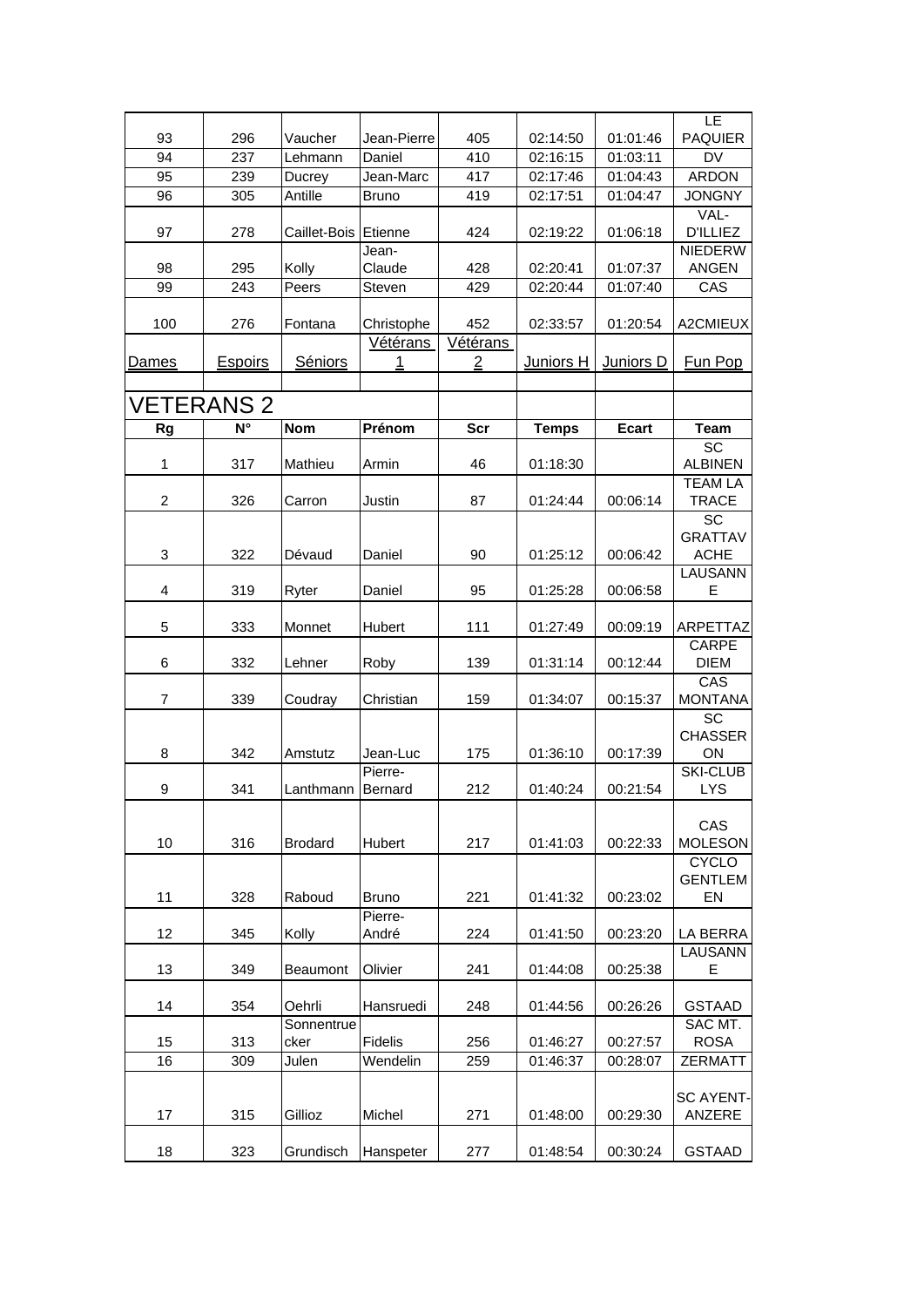<span id="page-11-0"></span>

| 93             | 296               | Vaucher         | Jean-Pierre      | 405            | 02:14:50             | 01:01:46             | LE<br><b>PAQUIER</b>             |
|----------------|-------------------|-----------------|------------------|----------------|----------------------|----------------------|----------------------------------|
| 94             | 237               | Lehmann         | Daniel           | 410            | 02:16:15             | 01:03:11             | <b>DV</b>                        |
| 95             | 239               | Ducrey          | Jean-Marc        | 417            | 02:17:46             | 01:04:43             | <b>ARDON</b>                     |
| 96             | 305               | Antille         | <b>Bruno</b>     | 419            | 02:17:51             | 01:04:47             | <b>JONGNY</b>                    |
|                |                   |                 |                  |                |                      |                      | VAL-                             |
| 97             | 278               | Caillet-Bois    | Etienne          | 424            | 02:19:22             | 01:06:18             | <b>D'ILLIEZ</b>                  |
|                |                   |                 | Jean-            |                |                      |                      | <b>NIEDERW</b>                   |
| 98<br>99       | 295               | Kolly           | Claude<br>Steven | 428<br>429     | 02:20:41<br>02:20:44 | 01:07:37<br>01:07:40 | <b>ANGEN</b><br>CAS              |
|                | 243               | Peers           |                  |                |                      |                      |                                  |
| 100            | 276               | Fontana         | Christophe       | 452            | 02:33:57             | 01:20:54             | A2CMIEUX                         |
|                |                   |                 | Vétérans         | Vétérans       |                      |                      |                                  |
| Dames          | Espoirs           | Séniors         | 1                | $\overline{2}$ | Juniors H            | Juniors D            | Fun Pop                          |
|                |                   |                 |                  |                |                      |                      |                                  |
|                | <b>VETERANS 2</b> |                 |                  |                |                      |                      |                                  |
| Rg             | N°                | <b>Nom</b>      | Prénom           | Scr            | <b>Temps</b>         | <b>Ecart</b>         | <b>Team</b>                      |
|                |                   |                 |                  |                |                      |                      | <b>SC</b>                        |
| 1              | 317               | Mathieu         | Armin            | 46             | 01:18:30             |                      | <b>ALBINEN</b><br><b>TEAM LA</b> |
| $\overline{c}$ | 326               | Carron          | Justin           | 87             | 01:24:44             | 00:06:14             | <b>TRACE</b>                     |
|                |                   |                 |                  |                |                      |                      | SC                               |
| 3              | 322               | Dévaud          | Daniel           | 90             | 01:25:12             | 00:06:42             | <b>GRATTAV</b><br><b>ACHE</b>    |
|                |                   |                 |                  |                |                      |                      | LAUSANN                          |
| 4              | 319               | Ryter           | Daniel           | 95             | 01:25:28             | 00:06:58             | E                                |
|                |                   |                 |                  |                |                      |                      |                                  |
| 5              | 333               | Monnet          | Hubert           | 111            | 01:27:49             | 00:09:19             | ARPETTAZ                         |
| 6              | 332               | Lehner          | Roby             | 139            | 01:31:14             | 00:12:44             | CARPE<br><b>DIEM</b>             |
|                |                   |                 |                  |                |                      |                      | CAS                              |
| 7              | 339               | Coudray         | Christian        | 159            | 01:34:07             | 00:15:37             | <b>MONTANA</b>                   |
|                |                   |                 |                  |                |                      |                      | SC                               |
| 8              | 342               | Amstutz         | Jean-Luc         | 175            | 01:36:10             | 00:17:39             | <b>CHASSER</b><br>ON             |
|                |                   |                 | Pierre-          |                |                      |                      | <b>SKI-CLUB</b>                  |
| 9              | 341               | Lanthmann       | Bernard          | 212            | 01:40:24             | 00:21:54             | <b>LYS</b>                       |
|                |                   |                 |                  |                |                      |                      |                                  |
| 10             |                   |                 |                  |                |                      |                      | CAS                              |
|                | 316               | <b>Brodard</b>  | Hubert           | 217            | 01:41:03             | 00:22:33             | <b>MOLESON</b><br><b>CYCLO</b>   |
|                |                   |                 |                  |                |                      |                      | <b>GENTLEM</b>                   |
| 11             | 328               | Raboud          | Bruno            | 221            | 01:41:32             | 00:23:02             | EN                               |
|                |                   |                 | Pierre-          |                |                      |                      |                                  |
| 12             | 345               | Kolly           | André            | 224            | 01:41:50             | 00:23:20             | LA BERRA                         |
| 13             | 349               | <b>Beaumont</b> | Olivier          | 241            | 01:44:08             | 00:25:38             | LAUSANN<br>Е                     |
|                |                   |                 |                  |                |                      |                      |                                  |
| 14             | 354               | Oehrli          | Hansruedi        | 248            | 01:44:56             | 00:26:26             | <b>GSTAAD</b>                    |
|                |                   | Sonnentrue      |                  |                |                      |                      | SAC MT.                          |
| 15             | 313               | cker            | Fidelis          | 256            | 01:46:27             | 00:27:57             | <b>ROSA</b>                      |
| 16             | 309               | Julen           | Wendelin         | 259            | 01:46:37             | 00:28:07             | <b>ZERMATT</b>                   |
|                |                   |                 |                  |                |                      |                      | <b>SC AYENT-</b>                 |
| 17             | 315               | Gillioz         | Michel           | 271            | 01:48:00             | 00:29:30             | ANZERE                           |
|                |                   |                 |                  |                |                      |                      |                                  |
| 18             | 323               | Grundisch       | Hanspeter        | 277            | 01:48:54             | 00:30:24             | <b>GSTAAD</b>                    |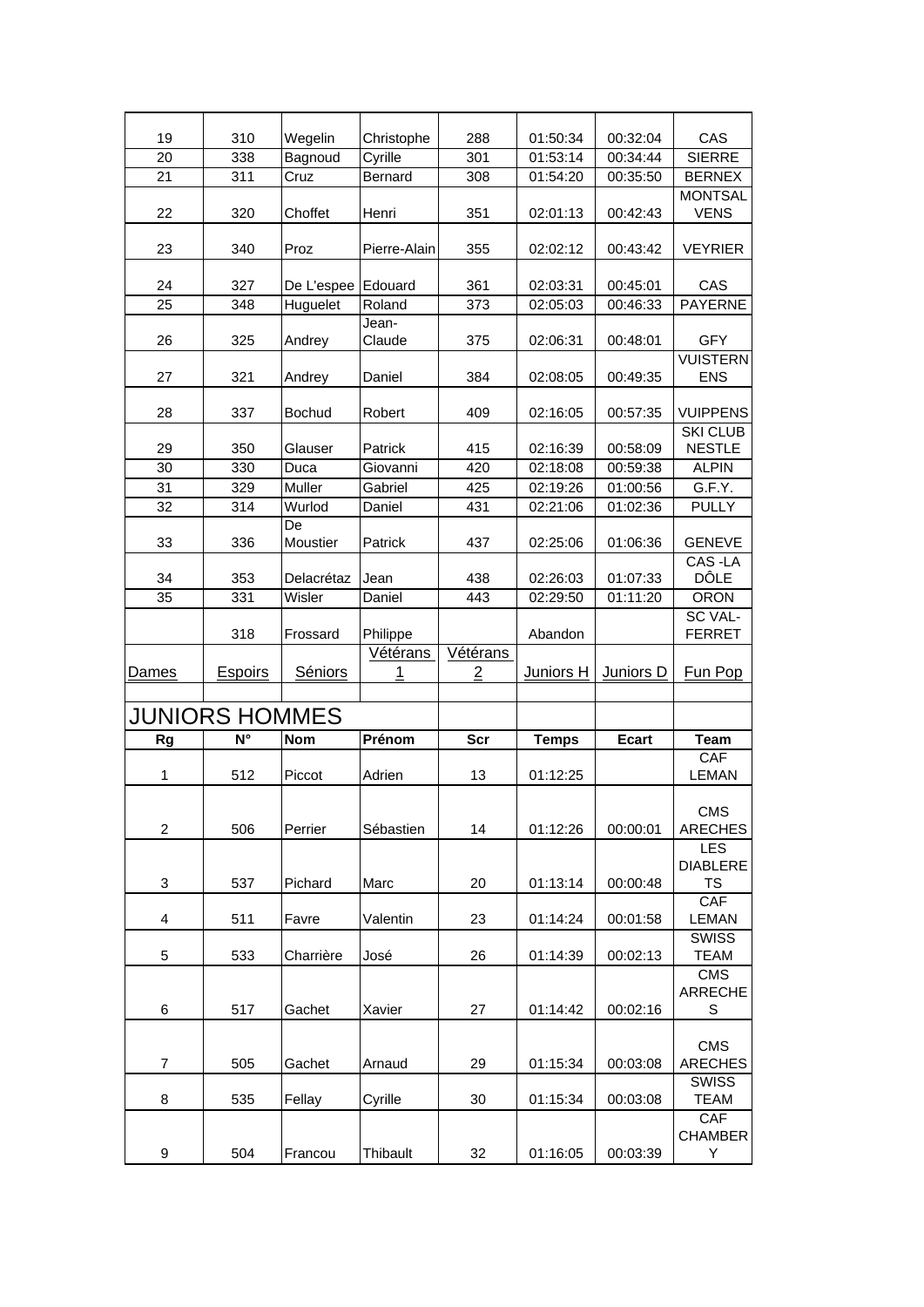<span id="page-12-0"></span>

| 19             | 310                   | Wegelin        | Christophe      | 288           | 01:50:34     | 00:32:04     | CAS                                        |
|----------------|-----------------------|----------------|-----------------|---------------|--------------|--------------|--------------------------------------------|
| 20             | 338                   | Bagnoud        | Cyrille         | 301           | 01:53:14     | 00:34:44     | <b>SIERRE</b>                              |
| 21             | 311                   | Cruz           | Bernard         | 308           | 01:54:20     | 00:35:50     | <b>BERNEX</b>                              |
| 22             | 320                   | Choffet        | Henri           | 351           | 02:01:13     | 00:42:43     | <b>MONTSAL</b><br><b>VENS</b>              |
| 23             | 340                   | Proz           | Pierre-Alain    | 355           | 02:02:12     | 00:43:42     | <b>VEYRIER</b>                             |
| 24             | 327                   | De L'espee     | Edouard         | 361           | 02:03:31     | 00:45:01     | CAS                                        |
| 25             | 348                   | Huguelet       | Roland          | 373           | 02:05:03     | 00:46:33     | <b>PAYERNE</b>                             |
| 26             | 325                   | Andrey         | Jean-<br>Claude | 375           | 02:06:31     | 00:48:01     | <b>GFY</b>                                 |
| 27             | 321                   | Andrey         | Daniel          | 384           | 02:08:05     | 00:49:35     | <b>VUISTERN</b><br><b>ENS</b>              |
| 28             | 337                   | <b>Bochud</b>  | Robert          | 409           | 02:16:05     | 00:57:35     | <b>VUIPPENS</b>                            |
| 29             | 350                   | Glauser        | Patrick         | 415           | 02:16:39     | 00:58:09     | <b>SKI CLUB</b><br><b>NESTLE</b>           |
| 30             | 330                   | Duca           | Giovanni        | 420           | 02:18:08     | 00:59:38     | <b>ALPIN</b>                               |
| 31             | 329                   | Muller         | Gabriel         | 425           | 02:19:26     | 01:00:56     | G.F.Y.                                     |
| 32             | 314                   | Wurlod         | Daniel          | 431           | 02:21:06     | 01:02:36     | <b>PULLY</b>                               |
| 33             | 336                   | De<br>Moustier | Patrick         | 437           | 02:25:06     | 01:06:36     | <b>GENEVE</b>                              |
| 34             | 353                   | Delacrétaz     | Jean            | 438           | 02:26:03     | 01:07:33     | CAS-LA<br>DÔLE                             |
| 35             | 331                   | Wisler         | Daniel          | 443           | 02:29:50     | 01:11:20     | <b>ORON</b>                                |
|                | 318                   | Frossard       | Philippe        |               | Abandon      |              | <b>SC VAL-</b><br><b>FERRET</b>            |
| Dames          | Espoirs               | Séniors        | Vétérans<br>1   | Vétérans<br>2 | Juniors H    | Juniors D    | Fun Pop                                    |
|                | <b>JUNIORS HOMMES</b> |                |                 |               |              |              |                                            |
| <b>Rg</b>      | $N^{\circ}$           | <b>Nom</b>     | Prénom          | <b>Scr</b>    | <b>Temps</b> | <b>Ecart</b> | <b>Team</b>                                |
| 1              | 512                   | Piccot         | Adrien          | 13            | 01:12:25     |              | CAF<br><b>LEMAN</b>                        |
| $\overline{c}$ | 506                   | Perrier        | Sébastien       | 14            | 01:12:26     | 00:00:01     | <b>CMS</b><br><b>ARECHES</b>               |
| 3              | 537                   | Pichard        | Marc            | 20            | 01:13:14     | 00:00:48     | <b>LES</b><br><b>DIABLERE</b><br><b>TS</b> |
| 4              | 511                   | Favre          | Valentin        | 23            | 01:14:24     | 00:01:58     | CAF<br><b>LEMAN</b>                        |
|                |                       |                |                 |               |              |              | <b>SWISS</b>                               |
| 5              | 533                   | Charrière      | José            | 26            | 01:14:39     | 00:02:13     | <b>TEAM</b><br><b>CMS</b>                  |
| 6              | 517                   | Gachet         | Xavier          | 27            | 01:14:42     | 00:02:16     | <b>ARRECHE</b><br>S                        |
| $\overline{7}$ | 505                   | Gachet         | Arnaud          | 29            | 01:15:34     | 00:03:08     | <b>CMS</b><br><b>ARECHES</b>               |
| 8              | 535                   | Fellay         | Cyrille         | 30            | 01:15:34     | 00:03:08     | <b>SWISS</b><br><b>TEAM</b>                |
| 9              | 504                   | Francou        | Thibault        | 32            | 01:16:05     | 00:03:39     | CAF<br><b>CHAMBER</b><br>Υ                 |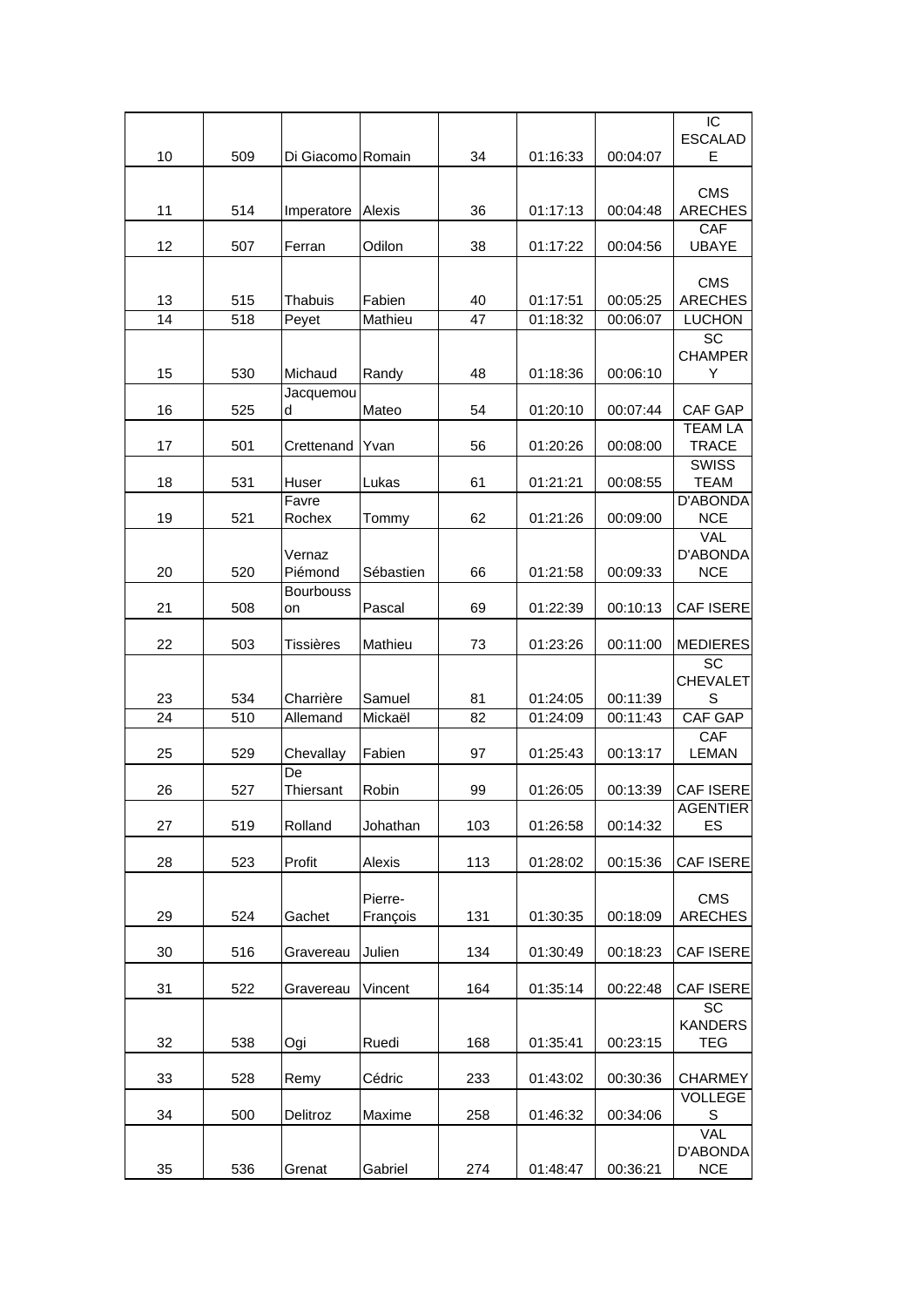| 10 | 509 | Di Giacomo Romain      |                     | 34  | 01:16:33 | 00:04:07 | IC<br><b>ESCALAD</b><br>E                   |
|----|-----|------------------------|---------------------|-----|----------|----------|---------------------------------------------|
|    |     |                        |                     |     |          |          |                                             |
| 11 | 514 | Imperatore             | Alexis              | 36  | 01:17:13 | 00:04:48 | <b>CMS</b><br><b>ARECHES</b>                |
|    |     |                        |                     |     |          |          | CAF                                         |
| 12 | 507 | Ferran                 | Odilon              | 38  | 01:17:22 | 00:04:56 | <b>UBAYE</b>                                |
|    |     |                        |                     |     |          |          | <b>CMS</b>                                  |
| 13 | 515 | Thabuis                | Fabien              | 40  | 01:17:51 | 00:05:25 | <b>ARECHES</b>                              |
| 14 | 518 | Peyet                  | Mathieu             | 47  | 01:18:32 | 00:06:07 | <b>LUCHON</b>                               |
| 15 | 530 | Michaud                | Randy               | 48  | 01:18:36 | 00:06:10 | SC<br><b>CHAMPER</b><br>Υ                   |
| 16 | 525 | Jacquemou<br>d         | Mateo               | 54  | 01:20:10 | 00:07:44 | CAF GAP                                     |
|    |     |                        |                     |     |          |          | <b>TEAM LA</b>                              |
| 17 | 501 | Crettenand             | Yvan                | 56  | 01:20:26 | 00:08:00 | <b>TRACE</b>                                |
| 18 | 531 | Huser                  | Lukas               | 61  | 01:21:21 | 00:08:55 | <b>SWISS</b><br><b>TEAM</b>                 |
|    |     | Favre                  |                     |     |          |          | <b>D'ABONDA</b>                             |
| 19 | 521 | Rochex                 | Tommy               | 62  | 01:21:26 | 00:09:00 | <b>NCE</b>                                  |
| 20 | 520 | Vernaz<br>Piémond      | Sébastien           | 66  | 01:21:58 | 00:09:33 | <b>VAL</b><br>D'ABONDA<br><b>NCE</b>        |
| 21 | 508 | <b>Bourbouss</b><br>on | Pascal              | 69  | 01:22:39 | 00:10:13 | CAF ISERE                                   |
|    |     |                        |                     |     |          |          |                                             |
| 22 | 503 | Tissières              | Mathieu             | 73  | 01:23:26 | 00:11:00 | MEDIERES                                    |
|    |     |                        |                     |     |          |          | SC<br><b>CHEVALET</b>                       |
| 23 | 534 | Charrière              | Samuel              | 81  | 01:24:05 | 00:11:39 | S                                           |
| 24 | 510 | Allemand               | Mickaël             | 82  | 01:24:09 | 00:11:43 | CAF GAP                                     |
| 25 | 529 | Chevallay<br>De        | Fabien              | 97  | 01:25:43 | 00:13:17 | CAF<br><b>LEMAN</b>                         |
| 26 | 527 | Thiersant              | Robin               | 99  | 01:26:05 | 00:13:39 | CAF ISERE                                   |
| 27 | 519 | Rolland                | Johathan            | 103 | 01:26:58 | 00:14:32 | <b>AGENTIER</b><br>ES                       |
| 28 | 523 | Profit                 | Alexis              | 113 | 01:28:02 | 00:15:36 | CAF ISERE                                   |
| 29 | 524 | Gachet                 | Pierre-<br>François | 131 | 01:30:35 | 00:18:09 | <b>CMS</b><br><b>ARECHES</b>                |
| 30 | 516 | Gravereau              | Julien              | 134 | 01:30:49 | 00:18:23 | CAF ISERE                                   |
| 31 | 522 | Gravereau              | Vincent             | 164 | 01:35:14 | 00:22:48 | CAF ISERE                                   |
| 32 | 538 | Ogi                    | Ruedi               | 168 | 01:35:41 | 00:23:15 | SC<br><b>KANDERS</b><br><b>TEG</b>          |
| 33 | 528 | Remy                   | Cédric              | 233 | 01:43:02 | 00:30:36 | <b>CHARMEY</b>                              |
| 34 | 500 | Delitroz               | Maxime              | 258 | 01:46:32 | 00:34:06 | <b>VOLLEGE</b><br>S                         |
| 35 | 536 | Grenat                 | Gabriel             | 274 | 01:48:47 | 00:36:21 | <b>VAL</b><br><b>D'ABONDA</b><br><b>NCE</b> |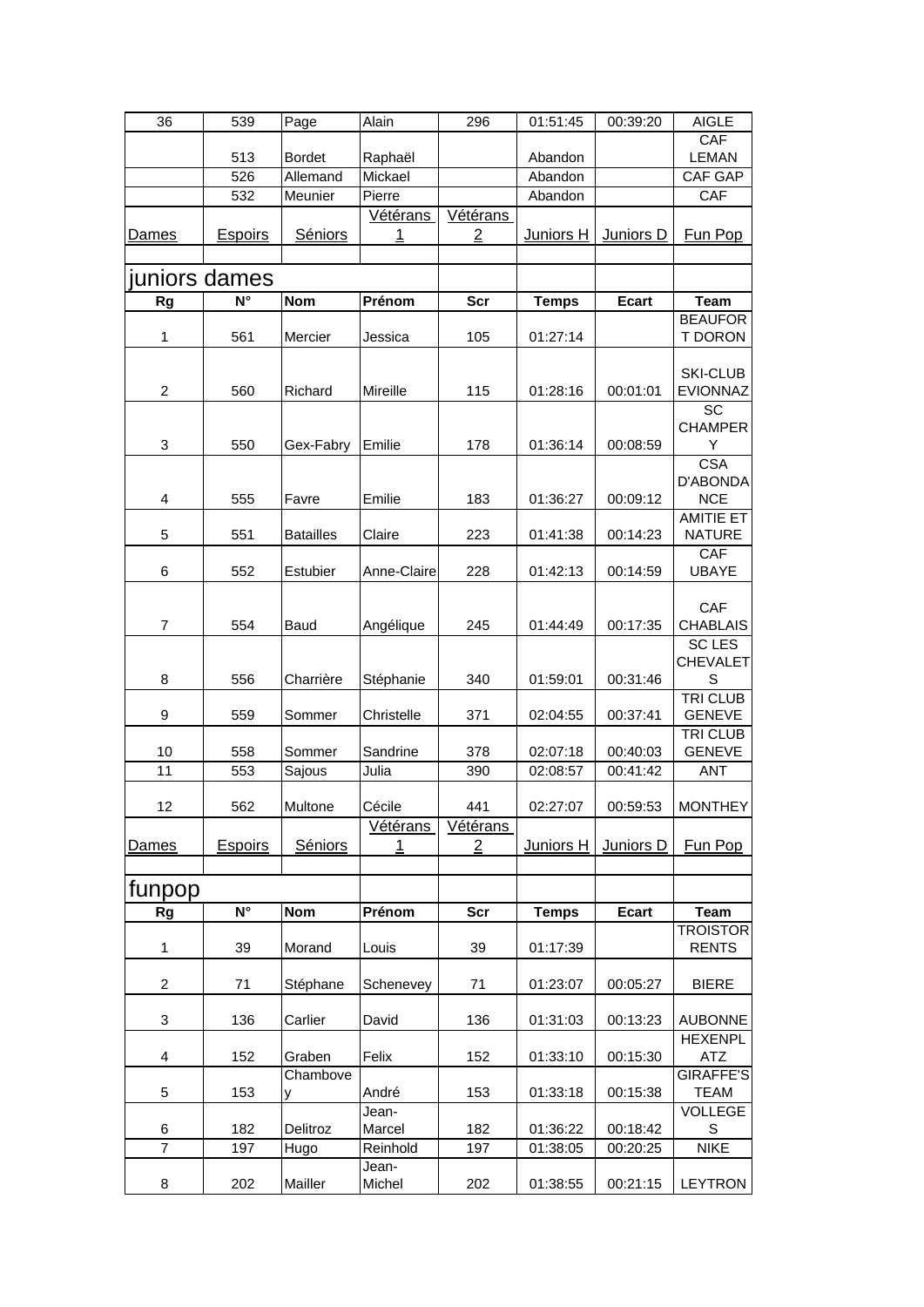<span id="page-14-0"></span>

| 36             | 539            | Page                      | Alain              | 296             | 01:51:45           | 00:39:20     | <b>AIGLE</b>                       |
|----------------|----------------|---------------------------|--------------------|-----------------|--------------------|--------------|------------------------------------|
|                |                |                           |                    |                 |                    |              | CAF                                |
|                | 513<br>526     | <b>Bordet</b><br>Allemand | Raphaël<br>Mickael |                 | Abandon<br>Abandon |              | <b>LEMAN</b><br><b>CAF GAP</b>     |
|                | 532            | Meunier                   | Pierre             |                 | Abandon            |              | CAF                                |
|                |                |                           | Vétérans           | <u>Vétérans</u> |                    |              |                                    |
| <u>Dames</u>   | <b>Espoirs</b> | Séniors                   | 1                  | $\overline{2}$  | <u>Juniors H</u>   | Juniors D    | <b>Fun Pop</b>                     |
|                |                |                           |                    |                 |                    |              |                                    |
| juniors dames  |                |                           |                    |                 |                    |              |                                    |
| <b>Rg</b>      | N°             | <b>Nom</b>                | Prénom             | <b>Scr</b>      | <b>Temps</b>       | <b>Ecart</b> | <b>Team</b>                        |
|                |                |                           |                    |                 |                    |              | <b>BEAUFOR</b>                     |
| 1              | 561            | Mercier                   | Jessica            | 105             | 01:27:14           |              | <b>T DORON</b>                     |
|                |                |                           |                    |                 |                    |              |                                    |
| $\overline{c}$ | 560            | Richard                   | Mireille           | 115             | 01:28:16           | 00:01:01     | <b>SKI-CLUB</b><br><b>EVIONNAZ</b> |
|                |                |                           |                    |                 |                    |              | SC                                 |
|                |                |                           |                    |                 |                    |              | <b>CHAMPER</b>                     |
| 3              | 550            | Gex-Fabry                 | Emilie             | 178             | 01:36:14           | 00:08:59     | Y                                  |
|                |                |                           |                    |                 |                    |              | <b>CSA</b>                         |
|                |                |                           |                    |                 |                    |              | D'ABONDA                           |
| 4              | 555            | Favre                     | Emilie             | 183             | 01:36:27           | 00:09:12     | <b>NCE</b><br><b>AMITIE ET</b>     |
| 5              | 551            | <b>Batailles</b>          | Claire             | 223             | 01:41:38           | 00:14:23     | <b>NATURE</b>                      |
|                |                |                           |                    |                 |                    |              | CAF                                |
| 6              | 552            | Estubier                  | Anne-Claire        | 228             | 01:42:13           | 00:14:59     | <b>UBAYE</b>                       |
|                |                |                           |                    |                 |                    |              |                                    |
| $\overline{7}$ | 554            | Baud                      |                    | 245             | 01:44:49           | 00:17:35     | CAF<br><b>CHABLAIS</b>             |
|                |                |                           | Angélique          |                 |                    |              | <b>SC LES</b>                      |
|                |                |                           |                    |                 |                    |              | <b>CHEVALET</b>                    |
| 8              | 556            | Charrière                 | Stéphanie          | 340             | 01:59:01           | 00:31:46     | S                                  |
|                |                |                           |                    |                 |                    |              | <b>TRI CLUB</b>                    |
| 9              | 559            | Sommer                    | Christelle         | 371             | 02:04:55           | 00:37:41     | <b>GENEVE</b>                      |
| 10             | 558            | Sommer                    | Sandrine           | 378             | 02:07:18           | 00:40:03     | <b>TRI CLUB</b><br><b>GENEVE</b>   |
| 11             | 553            | Sajous                    | Julia              | 390             | 02:08:57           | 00:41:42     | <b>ANT</b>                         |
|                |                |                           |                    |                 |                    |              |                                    |
| 12             | 562            | Multone                   | Cécile             | 441             | 02:27:07           | 00:59:53     | <b>MONTHEY</b>                     |
|                |                |                           | Vétérans           | <u>Vétérans</u> |                    |              |                                    |
| Dames          | <b>Espoirs</b> | Séniors                   | 1                  | 2               | Juniors H          | Juniors D    | Fun Pop                            |
|                |                |                           |                    |                 |                    |              |                                    |
| funpop         |                |                           |                    |                 |                    |              |                                    |
| <b>Rg</b>      | $N^{\circ}$    | <b>Nom</b>                | Prénom             | <b>Scr</b>      | <b>Temps</b>       | <b>Ecart</b> | <b>Team</b>                        |
|                |                |                           | Louis              |                 |                    |              | <b>TROISTOR</b>                    |
| $\mathbf{1}$   | 39             | Morand                    |                    | 39              | 01:17:39           |              | <b>RENTS</b>                       |
| $\overline{c}$ | 71             | Stéphane                  | Schenevey          | 71              | 01:23:07           | 00:05:27     | <b>BIERE</b>                       |
|                |                |                           |                    |                 |                    |              |                                    |
| 3              | 136            | Carlier                   | David              | 136             | 01:31:03           | 00:13:23     | <b>AUBONNE</b>                     |
|                |                |                           |                    |                 |                    |              | <b>HEXENPL</b>                     |
| 4              | 152            | Graben<br>Chambove        | Felix              | 152             | 01:33:10           | 00:15:30     | ATZ<br><b>GIRAFFE'S</b>            |
| 5              | 153            | у                         | André              | 153             | 01:33:18           | 00:15:38     | <b>TEAM</b>                        |
|                |                |                           | Jean-              |                 |                    |              | <b>VOLLEGE</b>                     |
| 6              | 182            | Delitroz                  | Marcel             | 182             | 01:36:22           | 00:18:42     | S                                  |
| $\overline{7}$ | 197            | Hugo                      | Reinhold           | 197             | 01:38:05           | 00:20:25     | <b>NIKE</b>                        |
|                |                |                           | Jean-              |                 |                    |              |                                    |
| 8              | 202            | Mailler                   | Michel             | 202             | 01:38:55           | 00:21:15     | <b>LEYTRON</b>                     |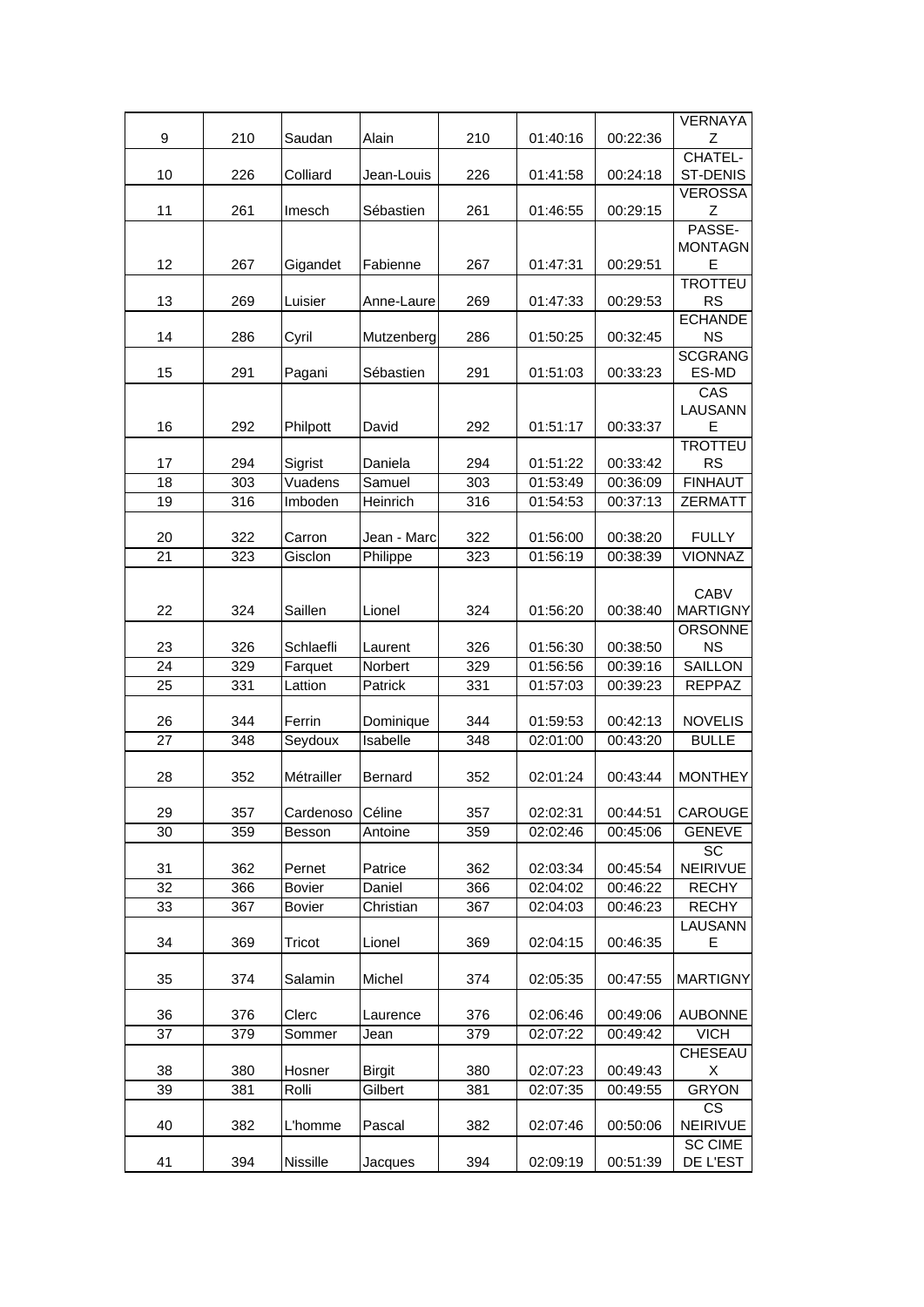|          |            |                         |                     |            |                      |                      | <b>VERNAYA</b>                 |
|----------|------------|-------------------------|---------------------|------------|----------------------|----------------------|--------------------------------|
| 9        | 210        | Saudan                  | Alain               | 210        | 01:40:16             | 00:22:36             | Ζ                              |
|          |            |                         |                     |            |                      |                      | CHATEL-                        |
| 10       | 226        | Colliard                | Jean-Louis          | 226        | 01:41:58             | 00:24:18             | ST-DENIS                       |
| 11       | 261        | Imesch                  | Sébastien           | 261        | 01:46:55             | 00:29:15             | <b>VEROSSA</b><br>Ζ            |
|          |            |                         |                     |            |                      |                      | PASSE-                         |
|          |            |                         |                     |            |                      |                      | <b>MONTAGN</b>                 |
| 12       | 267        | Gigandet                | Fabienne            | 267        | 01:47:31             | 00:29:51             | Е                              |
|          |            |                         |                     |            |                      |                      | <b>TROTTEU</b>                 |
| 13       | 269        | Luisier                 | Anne-Laure          | 269        | 01:47:33             | 00:29:53             | <b>RS</b><br><b>ECHANDE</b>    |
| 14       | 286        | Cyril                   | Mutzenberg          | 286        | 01:50:25             | 00:32:45             | <b>NS</b>                      |
|          |            |                         |                     |            |                      |                      | <b>SCGRANG</b>                 |
| 15       | 291        | Pagani                  | Sébastien           | 291        | 01:51:03             | 00:33:23             | ES-MD                          |
|          |            |                         |                     |            |                      |                      | CAS                            |
|          |            |                         |                     |            |                      |                      | LAUSANN                        |
| 16       | 292        | Philpott                | David               | 292        | 01:51:17             | 00:33:37             | E<br><b>TROTTEU</b>            |
| 17       | 294        | Sigrist                 | Daniela             | 294        | 01:51:22             | 00:33:42             | <b>RS</b>                      |
| 18       | 303        | Vuadens                 | Samuel              | 303        | 01:53:49             | 00:36:09             | <b>FINHAUT</b>                 |
| 19       | 316        | Imboden                 | Heinrich            | 316        | 01:54:53             | 00:37:13             | <b>ZERMATT</b>                 |
|          |            |                         |                     |            |                      |                      |                                |
| 20       | 322        | Carron                  | Jean - Marc         | 322        | 01:56:00             | 00:38:20             | <b>FULLY</b>                   |
| 21       | 323        | Gisclon                 | Philippe            | 323        | 01:56:19             | 00:38:39             | <b>VIONNAZ</b>                 |
|          |            |                         |                     |            |                      |                      |                                |
| 22       | 324        | Saillen                 | Lionel              | 324        | 01:56:20             | 00:38:40             | <b>CABV</b><br><b>MARTIGNY</b> |
|          |            |                         |                     |            |                      |                      | <b>ORSONNE</b>                 |
| 23       | 326        | Schlaefli               | Laurent             | 326        | 01:56:30             | 00:38:50             | <b>NS</b>                      |
| 24       | 329        | Farquet                 | Norbert             | 329        | 01:56:56             | 00:39:16             | SAILLON                        |
| 25       | 331        | Lattion                 | Patrick             | 331        | 01:57:03             | 00:39:23             | <b>REPPAZ</b>                  |
|          |            |                         |                     |            |                      |                      |                                |
| 26       | 344        | Ferrin                  | Dominique           | 344        | 01:59:53             | 00:42:13             | <b>NOVELIS</b>                 |
| 27       | 348        | Seydoux                 | Isabelle            | 348        | 02:01:00             | 00:43:20             | <b>BULLE</b>                   |
| 28       | 352        | Métrailler              | Bernard             | 352        | 02:01:24             | 00:43:44             | <b>MONTHEY</b>                 |
|          |            |                         |                     |            |                      |                      |                                |
| 29       | 357        | Cardenoso               | Céline              | 357        | 02:02:31             | 00:44:51             | CAROUGE                        |
| 30       | 359        | Besson                  | Antoine             | 359        | 02:02:46             | 00:45:06             | <b>GENEVE</b>                  |
|          |            |                         |                     |            |                      |                      | SC                             |
| 31       | 362        | Pernet                  | Patrice             | 362        | 02:03:34             | 00:45:54             | NEIRIVUE                       |
| 32<br>33 | 366<br>367 | <b>Bovier</b><br>Bovier | Daniel<br>Christian | 366<br>367 | 02:04:02<br>02:04:03 | 00:46:22<br>00:46:23 | <b>RECHY</b><br><b>RECHY</b>   |
|          |            |                         |                     |            |                      |                      | LAUSANN                        |
| 34       | 369        | Tricot                  | Lionel              | 369        | 02:04:15             | 00:46:35             | Е                              |
|          |            |                         |                     |            |                      |                      |                                |
| 35       | 374        | Salamin                 | Michel              | 374        | 02:05:35             | 00:47:55             | <b>MARTIGNY</b>                |
|          |            |                         |                     |            |                      |                      |                                |
| 36       | 376        | Clerc                   | Laurence            | 376        | 02:06:46             | 00:49:06             | <b>AUBONNE</b>                 |
| 37       | 379        | Sommer                  | Jean                | 379        | 02:07:22             | 00:49:42             | <b>VICH</b><br><b>CHESEAU</b>  |
| 38       | 380        | Hosner                  | <b>Birgit</b>       | 380        | 02:07:23             | 00:49:43             | х                              |
| 39       | 381        | Rolli                   | Gilbert             | 381        | 02:07:35             | 00:49:55             | <b>GRYON</b>                   |
|          |            |                         |                     |            |                      |                      | CS                             |
| 40       | 382        | L'homme                 | Pascal              | 382        | 02:07:46             | 00:50:06             | NEIRIVUE                       |
|          |            |                         |                     |            |                      |                      | <b>SC CIME</b>                 |
| 41       | 394        | Nissille                | Jacques             | 394        | 02:09:19             | 00:51:39             | DE L'EST                       |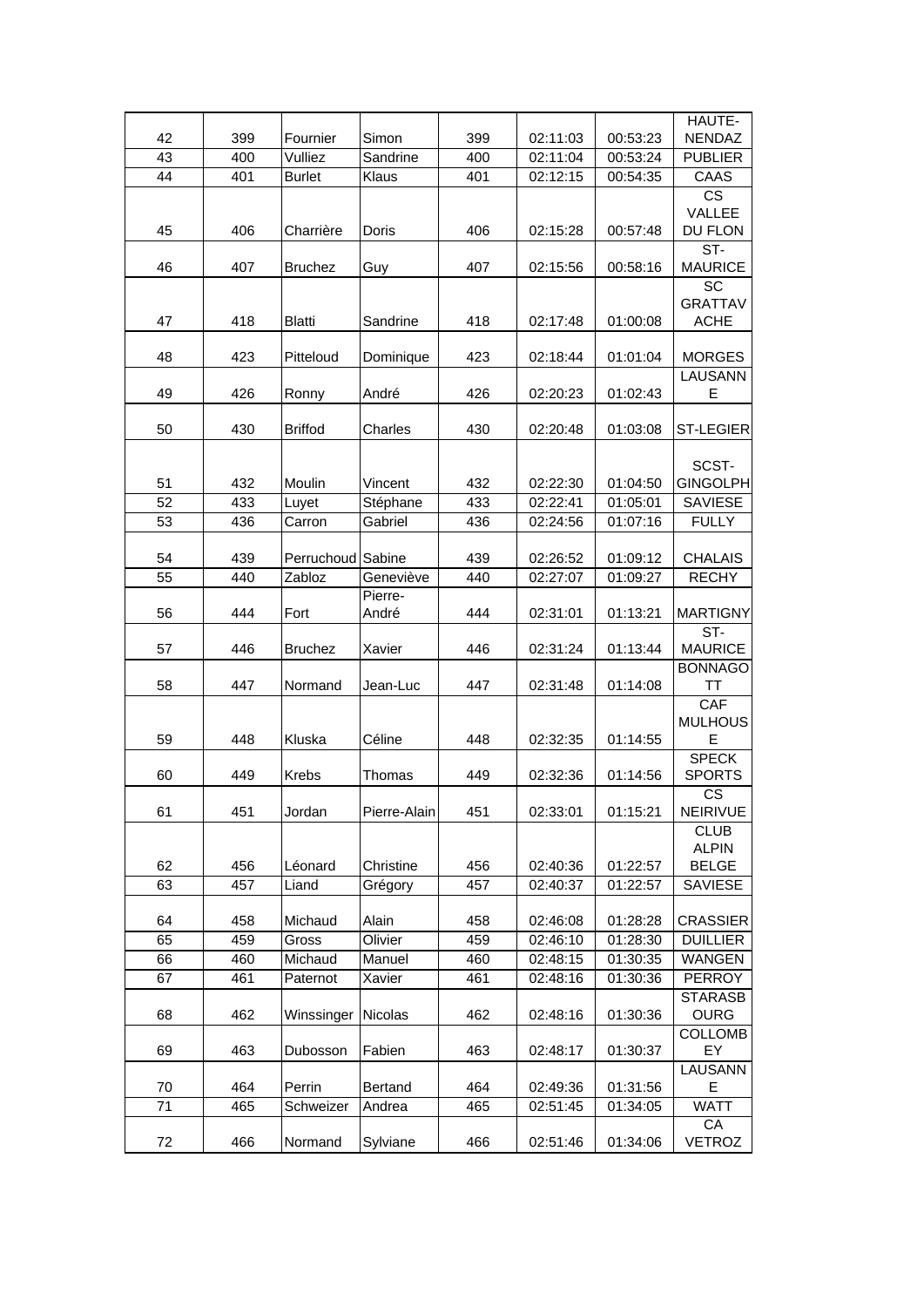| 42 | 399 | Fournier          | Simon        | 399 | 02:11:03 | 00:53:23 | HAUTE-<br><b>NENDAZ</b> |
|----|-----|-------------------|--------------|-----|----------|----------|-------------------------|
| 43 | 400 | Vulliez           | Sandrine     | 400 | 02:11:04 | 00:53:24 | <b>PUBLIER</b>          |
| 44 | 401 | <b>Burlet</b>     | Klaus        | 401 | 02:12:15 | 00:54:35 | CAAS                    |
|    |     |                   |              |     |          |          | <b>CS</b>               |
|    |     |                   |              |     |          |          | VALLEE                  |
| 45 | 406 | Charrière         | Doris        | 406 | 02:15:28 | 00:57:48 | DU FLON                 |
|    |     |                   |              |     |          |          |                         |
| 46 | 407 | <b>Bruchez</b>    | Guy          | 407 | 02:15:56 | 00:58:16 | ST-<br><b>MAURICE</b>   |
|    |     |                   |              |     |          |          | <b>SC</b>               |
|    |     |                   |              |     |          |          | <b>GRATTAV</b>          |
| 47 | 418 | <b>Blatti</b>     | Sandrine     | 418 | 02:17:48 | 01:00:08 | <b>ACHE</b>             |
|    |     |                   |              |     |          |          |                         |
| 48 | 423 | Pitteloud         | Dominique    | 423 | 02:18:44 | 01:01:04 | <b>MORGES</b>           |
|    |     |                   |              |     |          |          | LAUSANN                 |
| 49 | 426 | Ronny             | André        | 426 | 02:20:23 | 01:02:43 | Е                       |
|    |     |                   |              |     |          |          |                         |
| 50 | 430 | <b>Briffod</b>    | Charles      | 430 | 02:20:48 | 01:03:08 | <b>ST-LEGIER</b>        |
|    |     |                   |              |     |          |          |                         |
|    |     |                   |              |     |          |          | SCST-                   |
| 51 | 432 | Moulin            | Vincent      | 432 | 02:22:30 | 01:04:50 | <b>GINGOLPH</b>         |
| 52 | 433 | Luyet             | Stéphane     | 433 | 02:22:41 | 01:05:01 | <b>SAVIESE</b>          |
| 53 | 436 | Carron            | Gabriel      | 436 | 02:24:56 | 01:07:16 | <b>FULLY</b>            |
|    |     |                   |              |     |          |          |                         |
| 54 | 439 | Perruchoud Sabine |              | 439 | 02:26:52 | 01:09:12 | <b>CHALAIS</b>          |
| 55 | 440 | Zabloz            | Geneviève    | 440 | 02:27:07 | 01:09:27 | <b>RECHY</b>            |
|    |     |                   | Pierre-      |     |          |          |                         |
| 56 | 444 | Fort              | André        | 444 | 02:31:01 | 01:13:21 | <b>MARTIGNY</b>         |
|    |     |                   |              |     |          |          | ST-                     |
| 57 | 446 | <b>Bruchez</b>    | Xavier       | 446 | 02:31:24 | 01:13:44 | <b>MAURICE</b>          |
|    |     |                   |              |     |          |          | <b>BONNAGO</b>          |
| 58 | 447 | Normand           | Jean-Luc     | 447 | 02:31:48 | 01:14:08 | TT                      |
|    |     |                   |              |     |          |          | CAF                     |
|    |     |                   |              |     |          |          | <b>MULHOUS</b>          |
| 59 | 448 | Kluska            | Céline       | 448 | 02:32:35 | 01:14:55 | E                       |
|    |     |                   |              |     |          |          | <b>SPECK</b>            |
| 60 | 449 | Krebs             | Thomas       | 449 | 02:32:36 | 01:14:56 | <b>SPORTS</b>           |
| 61 | 451 | Jordan            | Pierre-Alain | 451 | 02:33:01 | 01:15:21 | CS<br>NEIRIVUE          |
|    |     |                   |              |     |          |          | <b>CLUB</b>             |
|    |     |                   |              |     |          |          | <b>ALPIN</b>            |
| 62 | 456 | Léonard           | Christine    | 456 | 02:40:36 | 01:22:57 | <b>BELGE</b>            |
| 63 | 457 | Liand             | Grégory      | 457 | 02:40:37 | 01:22:57 | SAVIESE                 |
|    |     |                   |              |     |          |          |                         |
| 64 | 458 | Michaud           | Alain        | 458 | 02:46:08 | 01:28:28 | <b>CRASSIER</b>         |
| 65 | 459 | Gross             | Olivier      | 459 | 02:46:10 | 01:28:30 | <b>DUILLIER</b>         |
| 66 | 460 | Michaud           | Manuel       | 460 | 02:48:15 | 01:30:35 | WANGEN                  |
| 67 | 461 | Paternot          | Xavier       | 461 | 02:48:16 | 01:30:36 | <b>PERROY</b>           |
|    |     |                   |              |     |          |          | <b>STARASB</b>          |
| 68 | 462 | Winssinger        | Nicolas      | 462 | 02:48:16 | 01:30:36 | <b>OURG</b>             |
|    |     |                   |              |     |          |          | <b>COLLOMB</b>          |
| 69 | 463 | Dubosson          | Fabien       | 463 | 02:48:17 | 01:30:37 | EY                      |
|    |     |                   |              |     |          |          | LAUSANN                 |
| 70 | 464 | Perrin            | Bertand      | 464 | 02:49:36 | 01:31:56 | Е                       |
| 71 | 465 | Schweizer         | Andrea       | 465 | 02:51:45 | 01:34:05 | <b>WATT</b>             |
|    |     |                   |              |     |          |          | CA                      |
| 72 | 466 | Normand           | Sylviane     | 466 | 02:51:46 | 01:34:06 | <b>VETROZ</b>           |
|    |     |                   |              |     |          |          |                         |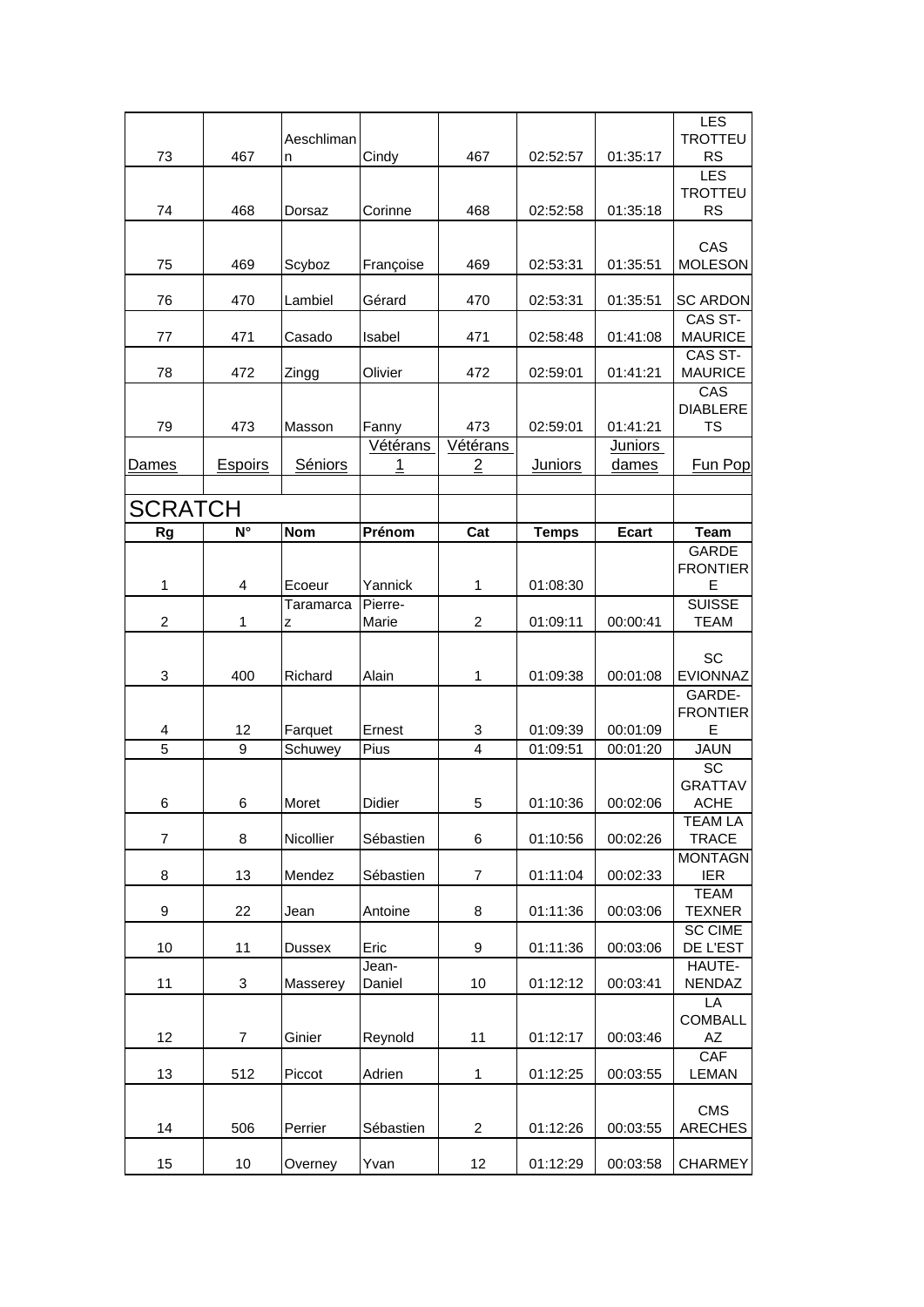| 73               | 467            | Aeschliman<br>n | Cindy         | 467            | 02:52:57       | 01:35:17       | <b>LES</b><br><b>TROTTEU</b><br><b>RS</b> |
|------------------|----------------|-----------------|---------------|----------------|----------------|----------------|-------------------------------------------|
|                  |                |                 |               |                |                |                | LES                                       |
| 74               | 468            | Dorsaz          | Corinne       | 468            | 02:52:58       | 01:35:18       | <b>TROTTEU</b><br><b>RS</b>               |
|                  |                |                 |               |                |                |                |                                           |
|                  |                |                 |               |                |                |                | CAS                                       |
| 75               | 469            | Scyboz          | Françoise     | 469            | 02:53:31       | 01:35:51       | <b>MOLESON</b>                            |
| 76               | 470            | Lambiel         | Gérard        | 470            | 02:53:31       | 01:35:51       | <b>SC ARDON</b><br>CAS ST-                |
| 77               | 471            | Casado          | Isabel        | 471            | 02:58:48       | 01:41:08       | <b>MAURICE</b>                            |
| 78               | 472            | Zingg           | Olivier       | 472            | 02:59:01       | 01:41:21       | CAS ST-<br><b>MAURICE</b>                 |
|                  |                |                 |               |                |                |                | CAS                                       |
| 79               | 473            | Masson          | Fanny         | 473            | 02:59:01       | 01:41:21       | <b>DIABLERE</b><br>TS                     |
|                  |                |                 | Vétérans      | Vétérans       |                | <b>Juniors</b> |                                           |
| Dames            | <b>Espoirs</b> | Séniors         | 1             | 2              | <b>Juniors</b> | dames          | <b>Fun Pop</b>                            |
|                  |                |                 |               |                |                |                |                                           |
| <b>SCRATCH</b>   |                |                 |               |                |                |                |                                           |
| <b>Rg</b>        | N°             | <b>Nom</b>      | Prénom        | Cat            | <b>Temps</b>   | <b>Ecart</b>   | <b>Team</b>                               |
|                  |                |                 |               |                |                |                | <b>GARDE</b><br><b>FRONTIER</b>           |
| 1                | 4              | Ecoeur          | Yannick       | 1              | 01:08:30       |                | Е                                         |
|                  |                | Taramarca       | Pierre-       |                |                |                | <b>SUISSE</b>                             |
| $\overline{c}$   | 1              | Z               | Marie         | $\overline{c}$ | 01:09:11       | 00:00:41       | <b>TEAM</b>                               |
|                  |                |                 |               |                |                |                | SC                                        |
| 3                | 400            | Richard         | Alain         | 1              | 01:09:38       | 00:01:08       | EVIONNAZ                                  |
|                  |                |                 |               |                |                |                | GARDE-                                    |
| 4                | 12             | Farquet         | Ernest        | 3              | 01:09:39       | 00:01:09       | <b>FRONTIER</b><br>Е                      |
| $\overline{5}$   | 9              | Schuwey         | Pius          | 4              | 01:09:51       | 00:01:20       | <b>JAUN</b>                               |
|                  |                |                 |               |                |                |                | SC                                        |
| 6                | 6              | Moret           | <b>Didier</b> | 5              | 01:10:36       | 00:02:06       | <b>GRATTAV</b><br>ACHE                    |
|                  |                |                 |               |                |                |                | <b>TEAM LA</b>                            |
| 7                | 8              | Nicollier       | Sébastien     | 6              | 01:10:56       | 00:02:26       | <b>TRACE</b>                              |
|                  |                |                 |               |                |                |                | <b>MONTAGN</b>                            |
| 8                | 13             | Mendez          | Sébastien     | 7              | 01:11:04       | 00:02:33       | <b>IER</b><br><b>TEAM</b>                 |
| $\boldsymbol{9}$ | 22             | Jean            | Antoine       | 8              | 01:11:36       | 00:03:06       | <b>TEXNER</b>                             |
|                  |                |                 |               |                |                |                | <b>SC CIME</b>                            |
| 10               | 11             | Dussex          | Eric<br>Jean- | 9              | 01:11:36       | 00:03:06       | DE L'EST<br>HAUTE-                        |
| 11               | $\mathbf{3}$   | Masserey        | Daniel        | 10             | 01:12:12       | 00:03:41       | NENDAZ                                    |
|                  |                |                 |               |                |                |                | LA<br><b>COMBALL</b>                      |
| 12               | $\overline{7}$ | Ginier          | Reynold       | 11             | 01:12:17       | 00:03:46       | AZ                                        |
|                  |                |                 |               |                |                |                | <b>CAF</b>                                |
| 13               | 512            | Piccot          | Adrien        | 1              | 01:12:25       | 00:03:55       | <b>LEMAN</b>                              |
|                  |                |                 |               |                |                |                | <b>CMS</b>                                |
| 14               | 506            | Perrier         | Sébastien     | $\overline{c}$ | 01:12:26       | 00:03:55       | <b>ARECHES</b>                            |
| 15               | 10             | Overney         | Yvan          | 12             | 01:12:29       | 00:03:58       | <b>CHARMEY</b>                            |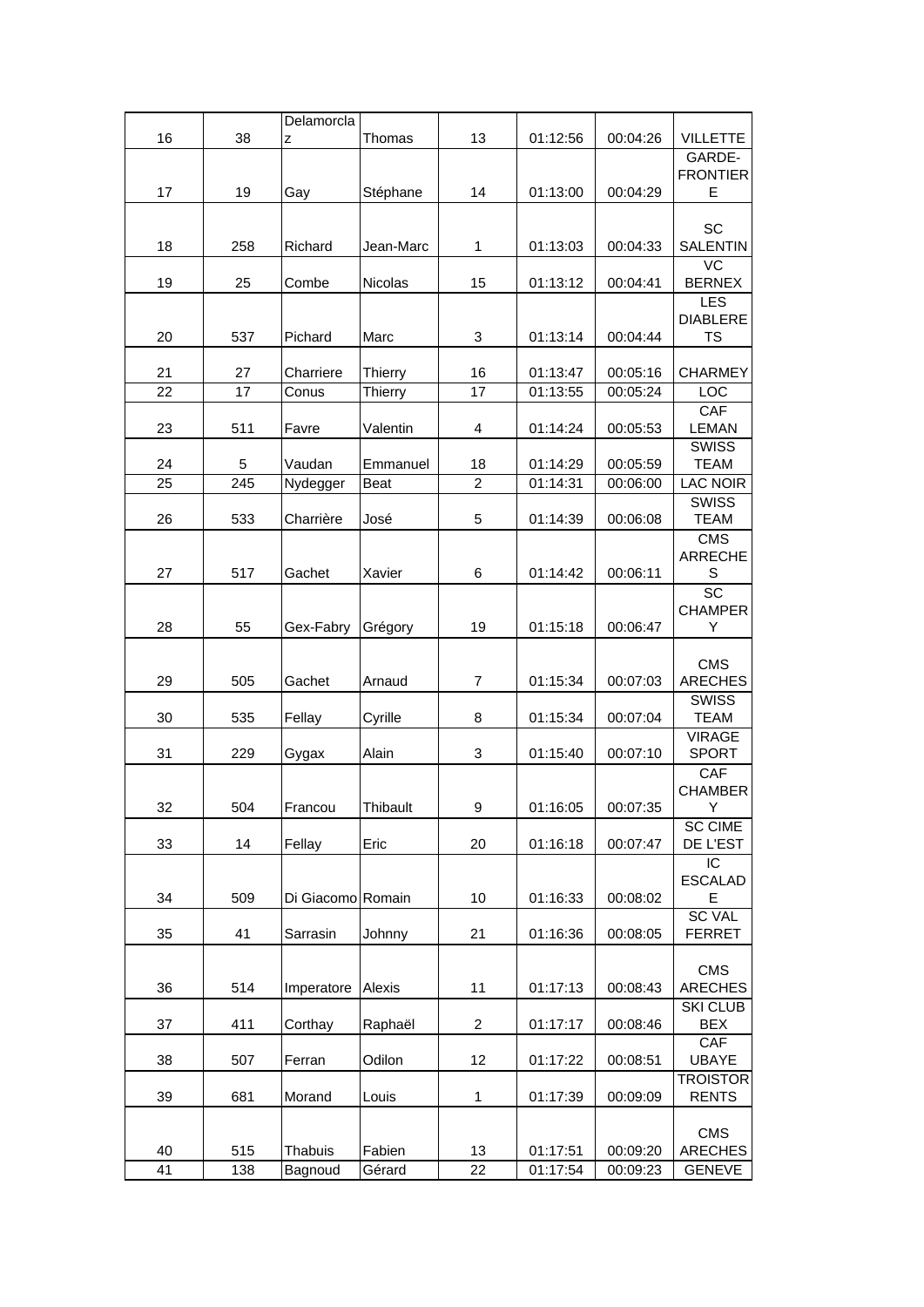|          |            | Delamorcla         |                  |                |                      |                      |                                        |
|----------|------------|--------------------|------------------|----------------|----------------------|----------------------|----------------------------------------|
| 16       | 38         | Z                  | Thomas           | 13             | 01:12:56             | 00:04:26             | <b>VILLETTE</b>                        |
| 17       | 19         | Gay                | Stéphane         | 14             | 01:13:00             | 00:04:29             | GARDE-<br><b>FRONTIER</b><br>Е         |
| 18       | 258        | Richard            | Jean-Marc        | $\mathbf{1}$   | 01:13:03             | 00:04:33             | SC<br><b>SALENTIN</b>                  |
| 19       | 25         | Combe              | <b>Nicolas</b>   | 15             | 01:13:12             | 00:04:41             | $\overline{VC}$<br><b>BERNEX</b>       |
| 20       | 537        | Pichard            | Marc             | 3              | 01:13:14             | 00:04:44             | LES<br><b>DIABLERE</b><br><b>TS</b>    |
| 21       | 27         | Charriere          | Thierry          | 16             | 01:13:47             | 00:05:16             | <b>CHARMEY</b>                         |
| 22       | 17         | Conus              | Thierry          | 17             | 01:13:55             | 00:05:24             | LOC                                    |
| 23       | 511        | Favre              | Valentin         | 4              | 01:14:24             | 00:05:53             | <b>CAF</b><br><b>LEMAN</b>             |
| 24       | 5          | Vaudan             | Emmanuel         | 18             | 01:14:29             | 00:05:59             | <b>SWISS</b><br><b>TEAM</b>            |
| 25       | 245        | Nydegger           | Beat             | $\overline{c}$ | 01:14:31             | 00:06:00             | <b>LAC NOIR</b>                        |
| 26       | 533        | Charrière          | José             | 5              | 01:14:39             | 00:06:08             | <b>SWISS</b><br><b>TEAM</b>            |
| 27       | 517        | Gachet             | Xavier           | 6              | 01:14:42             | 00:06:11             | <b>CMS</b><br><b>ARRECHE</b><br>S      |
| 28       | 55         | Gex-Fabry          | Grégory          | 19             | 01:15:18             | 00:06:47             | $\overline{SC}$<br><b>CHAMPER</b><br>Y |
| 29       | 505        | Gachet             | Arnaud           | $\overline{7}$ | 01:15:34             | 00:07:03             | <b>CMS</b><br><b>ARECHES</b>           |
| 30       | 535        | Fellay             | Cyrille          | 8              | 01:15:34             | 00:07:04             | <b>SWISS</b><br><b>TEAM</b>            |
| 31       | 229        | Gygax              | Alain            | 3              | 01:15:40             | 00:07:10             | <b>VIRAGE</b><br><b>SPORT</b>          |
| 32       | 504        | Francou            | Thibault         | 9              | 01:16:05             | 00:07:35             | CAF<br><b>CHAMBER</b><br>Υ             |
| 33       | 14         | Fellay             | Eric             | 20             | 01:16:18             | 00:07:47             | <b>SC CIME</b><br>DE L'EST             |
| 34       | 509        | Di Giacomo Romain  |                  | 10             | 01:16:33             | 00:08:02             | IC<br><b>ESCALAD</b><br>E              |
| 35       | 41         | Sarrasin           | Johnny           | 21             | 01:16:36             | 00:08:05             | <b>SC VAL</b><br><b>FERRET</b>         |
| 36       | 514        | Imperatore         | Alexis           | 11             | 01:17:13             | 00:08:43             | CMS<br><b>ARECHES</b>                  |
| 37       | 411        | Corthay            | Raphaël          | $\overline{c}$ | 01:17:17             | 00:08:46             | <b>SKI CLUB</b><br><b>BEX</b>          |
| 38       | 507        | Ferran             | Odilon           | 12             | 01:17:22             | 00:08:51             | <b>CAF</b><br><b>UBAYE</b>             |
| 39       | 681        | Morand             | Louis            | $\mathbf{1}$   | 01:17:39             | 00:09:09             | <b>TROISTOR</b><br><b>RENTS</b>        |
| 40<br>41 | 515<br>138 | Thabuis<br>Bagnoud | Fabien<br>Gérard | 13<br>22       | 01:17:51<br>01:17:54 | 00:09:20<br>00:09:23 | CMS<br><b>ARECHES</b><br><b>GENEVE</b> |
|          |            |                    |                  |                |                      |                      |                                        |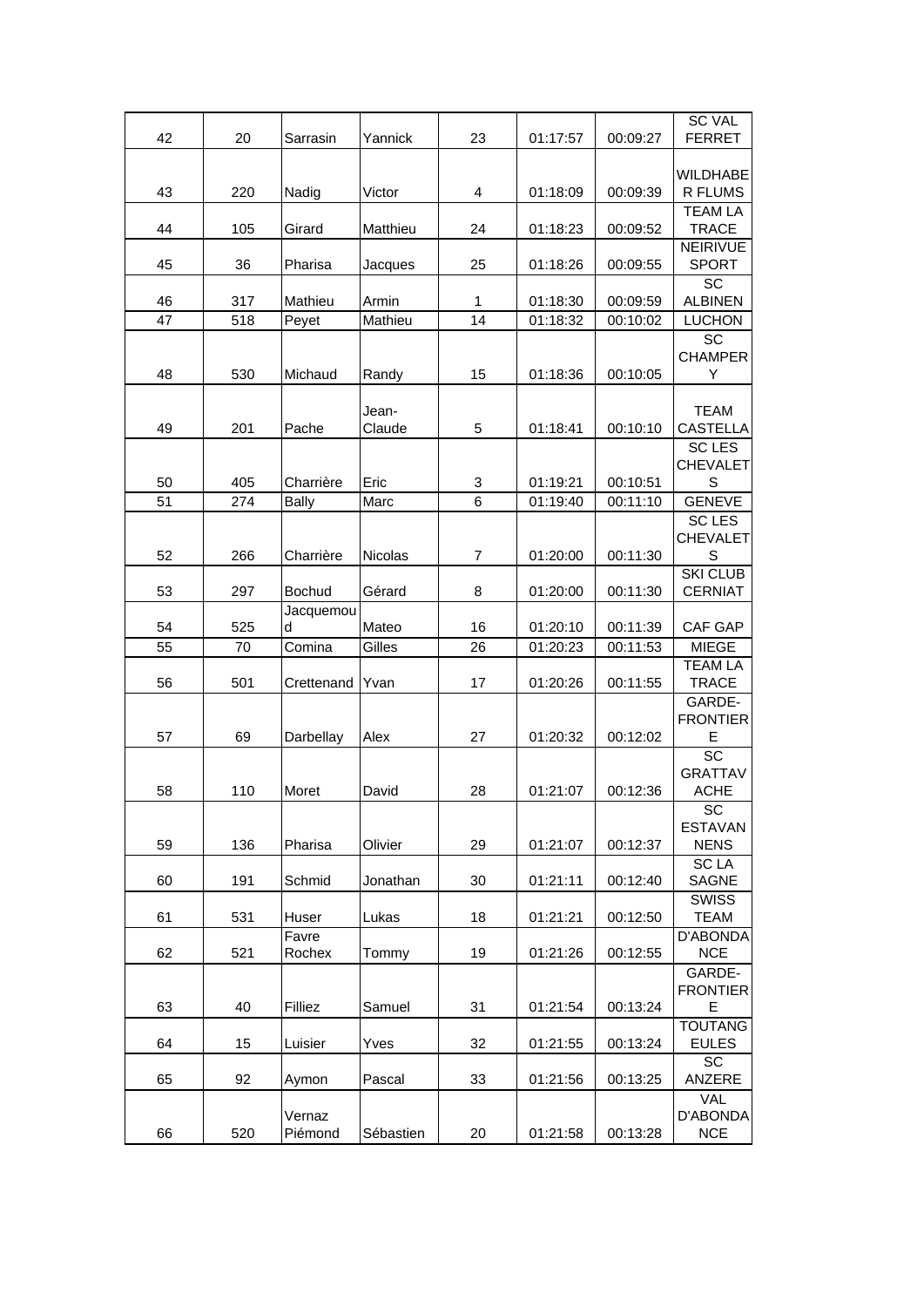|          |            |                   |                 |                |                      |                      | <b>SC VAL</b>                       |
|----------|------------|-------------------|-----------------|----------------|----------------------|----------------------|-------------------------------------|
| 42       | 20         | Sarrasin          | Yannick         | 23             | 01:17:57             | 00:09:27             | <b>FERRET</b>                       |
|          |            |                   |                 |                |                      |                      | <b>WILDHABE</b>                     |
| 43       | 220        | Nadig             | Victor          | 4              | 01:18:09             | 00:09:39             | R FLUMS                             |
| 44       | 105        | Girard            | Matthieu        | 24             | 01:18:23             | 00:09:52             | <b>TEAM LA</b><br><b>TRACE</b>      |
| 45       | 36         | Pharisa           | Jacques         | 25             | 01:18:26             | 00:09:55             | <b>NEIRIVUE</b><br><b>SPORT</b>     |
| 46       | 317        | Mathieu           | Armin           | 1              | 01:18:30             | 00:09:59             | $\overline{SC}$<br><b>ALBINEN</b>   |
| 47       | 518        | Peyet             | Mathieu         | 14             | 01:18:32             | 00:10:02             | <b>LUCHON</b>                       |
| 48       | 530        | Michaud           | Randy           | 15             | 01:18:36             | 00:10:05             | SC<br><b>CHAMPER</b><br>Y           |
| 49       | 201        | Pache             | Jean-<br>Claude | 5              | 01:18:41             | 00:10:10             | <b>TEAM</b><br><b>CASTELLA</b>      |
|          |            |                   |                 |                |                      |                      | <b>SC LES</b><br><b>CHEVALET</b>    |
| 50<br>51 | 405<br>274 | Charrière         | Eric<br>Marc    | 3<br>6         | 01:19:21<br>01:19:40 | 00:10:51<br>00:11:10 | S<br><b>GENEVE</b>                  |
|          |            | <b>Bally</b>      |                 |                |                      |                      | <b>SC LES</b>                       |
| 52       | 266        | Charrière         | Nicolas         | $\overline{7}$ | 01:20:00             | 00:11:30             | <b>CHEVALET</b><br>S                |
|          |            |                   |                 |                |                      |                      | <b>SKI CLUB</b>                     |
| 53       | 297        | <b>Bochud</b>     | Gérard          | 8              | 01:20:00             | 00:11:30             | <b>CERNIAT</b>                      |
| 54       | 525        | Jacquemou<br>d    | Mateo           | 16             | 01:20:10             | 00:11:39             | CAF GAP                             |
| 55       | 70         | Comina            | Gilles          | 26             | 01:20:23             | 00:11:53             | <b>MIEGE</b>                        |
| 56       | 501        | Crettenand        | Yvan            | 17             | 01:20:26             | 00:11:55             | <b>TEAM LA</b><br><b>TRACE</b>      |
| 57       | 69         | Darbellay         | Alex            | 27             | 01:20:32             | 00:12:02             | GARDE-<br><b>FRONTIER</b><br>Ε      |
| 58       | 110        | Moret             | David           | 28             | 01:21:07             | 00:12:36             | SC<br><b>GRATTAV</b><br><b>ACHE</b> |
| 59       | 136        | Pharisa           | Olivier         | 29             | 01:21:07             | 00:12:37             | SC<br><b>ESTAVAN</b><br><b>NENS</b> |
| 60       | 191        | Schmid            | Jonathan        | 30             | 01:21:11             | 00:12:40             | <b>SCLA</b><br><b>SAGNE</b>         |
| 61       | 531        | Huser             | Lukas           | 18             | 01:21:21             | 00:12:50             | <b>SWISS</b><br><b>TEAM</b>         |
| 62       | 521        | Favre<br>Rochex   | Tommy           | 19             | 01:21:26             | 00:12:55             | D'ABONDA<br><b>NCE</b>              |
| 63       | 40         | Filliez           | Samuel          | 31             | 01:21:54             | 00:13:24             | GARDE-<br><b>FRONTIER</b><br>Е      |
|          |            |                   |                 |                |                      |                      | <b>TOUTANG</b>                      |
| 64       | 15         | Luisier           | Yves            | 32             | 01:21:55             | 00:13:24             | <b>EULES</b><br>SC                  |
| 65       | 92         | Aymon             | Pascal          | 33             | 01:21:56             | 00:13:25             | ANZERE                              |
| 66       | 520        | Vernaz<br>Piémond | Sébastien       | 20             | 01:21:58             | 00:13:28             | VAL<br>D'ABONDA<br><b>NCE</b>       |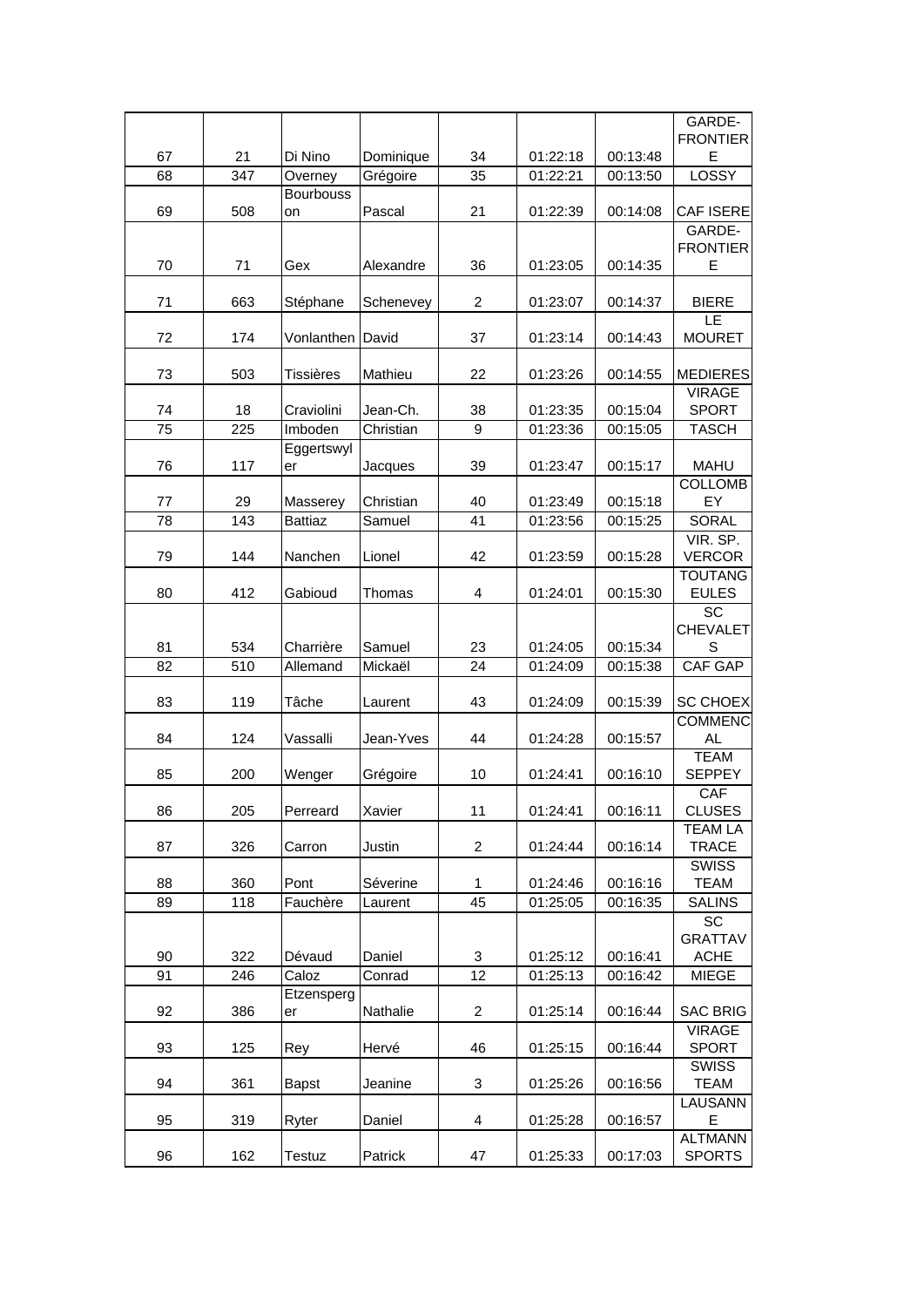|          |                  |                            |                     |                 |                      |          | GARDE-                         |
|----------|------------------|----------------------------|---------------------|-----------------|----------------------|----------|--------------------------------|
|          |                  |                            |                     |                 |                      |          | <b>FRONTIER</b>                |
| 67       | 21               | Di Nino                    | Dominique           | 34              | 01:22:18             | 00:13:48 | E                              |
| 68       | $\overline{347}$ | Overney                    | Grégoire            | $\overline{35}$ | 01:22:21             | 00:13:50 | LOSSY                          |
| 69       | 508              | <b>Bourbouss</b><br>on     | Pascal              | 21              | 01:22:39             | 00:14:08 | CAF ISERE                      |
|          |                  |                            |                     |                 |                      |          | GARDE-                         |
|          |                  |                            |                     |                 |                      |          | <b>FRONTIER</b><br>E           |
| 70       | 71               | Gex                        | Alexandre           | 36              | 01:23:05             | 00:14:35 |                                |
| 71       | 663              | Stéphane                   | Schenevey           | $\overline{2}$  | 01:23:07             | 00:14:37 | <b>BIERE</b>                   |
| 72       | 174              | Vonlanthen                 | David               | 37              | 01:23:14             | 00:14:43 | LE<br><b>MOURET</b>            |
| 73       | 503              | <b>Tissières</b>           | Mathieu             | 22              | 01:23:26             | 00:14:55 | <b>MEDIERES</b>                |
|          |                  |                            |                     |                 |                      |          | <b>VIRAGE</b>                  |
| 74       | 18               | Craviolini                 | Jean-Ch.            | 38              | 01:23:35             | 00:15:04 | <b>SPORT</b>                   |
| 75       | 225              | Imboden                    | Christian           | 9               | 01:23:36             | 00:15:05 | <b>TASCH</b>                   |
| 76       | 117              | Eggertswyl<br>er           | Jacques             | 39              | 01:23:47             | 00:15:17 | <b>MAHU</b>                    |
|          |                  |                            |                     | 40              |                      | 00:15:18 | <b>COLLOMB</b>                 |
| 77<br>78 | 29<br>143        | Masserey<br><b>Battiaz</b> | Christian<br>Samuel | 41              | 01:23:49<br>01:23:56 | 00:15:25 | EY<br><b>SORAL</b>             |
|          |                  |                            |                     |                 |                      |          | VIR. SP.                       |
| 79       | 144              | Nanchen                    | Lionel              | 42              | 01:23:59             | 00:15:28 | <b>VERCOR</b>                  |
|          |                  |                            |                     |                 |                      |          | <b>TOUTANG</b>                 |
| 80       | 412              | Gabioud                    | Thomas              | 4               | 01:24:01             | 00:15:30 | <b>EULES</b>                   |
|          |                  |                            |                     |                 |                      |          | SC                             |
|          |                  |                            |                     |                 |                      |          | <b>CHEVALET</b>                |
| 81       | 534              | Charrière                  | Samuel              | 23              | 01:24:05             | 00:15:34 | S                              |
| 82       | 510              | Allemand                   | Mickaël             | 24              | 01:24:09             | 00:15:38 | CAF GAP                        |
| 83       | 119              | Tâche                      | Laurent             | 43              | 01:24:09             | 00:15:39 | <b>SC CHOEX</b>                |
|          |                  |                            |                     |                 |                      |          | <b>COMMENC</b>                 |
| 84       | 124              | Vassalli                   | Jean-Yves           | 44              | 01:24:28             | 00:15:57 | <b>AL</b>                      |
|          |                  |                            |                     |                 |                      |          | <b>TEAM</b>                    |
| 85       | 200              | Wenger                     | Grégoire            | 10              | 01:24:41             | 00:16:10 | <b>SEPPEY</b>                  |
|          |                  |                            |                     |                 |                      |          | <b>CAF</b>                     |
| 86       | 205              | Perreard                   | Xavier              | 11              | 01:24:41             | 00:16:11 | <b>CLUSES</b>                  |
| 87       | 326              | Carron                     | Justin              | $\overline{c}$  | 01:24:44             | 00:16:14 | <b>TEAM LA</b><br><b>TRACE</b> |
|          |                  |                            |                     |                 |                      |          | <b>SWISS</b>                   |
| 88       | 360              | Pont                       | Séverine            | 1               | 01:24:46             | 00:16:16 | <b>TEAM</b>                    |
| 89       | 118              | Fauchère                   | Laurent             | 45              | 01:25:05             | 00:16:35 | <b>SALINS</b>                  |
|          |                  |                            |                     |                 |                      |          | SC                             |
|          |                  |                            |                     |                 |                      |          | <b>GRATTAV</b>                 |
| 90       | 322              | Dévaud                     | Daniel              | 3               | 01:25:12             | 00:16:41 | <b>ACHE</b>                    |
| 91       | 246              | Caloz                      | Conrad              | 12              | 01:25:13             | 00:16:42 | <b>MIEGE</b>                   |
| 92       | 386              | Etzensperg                 | Nathalie            | $\overline{c}$  | 01:25:14             | 00:16:44 | <b>SAC BRIG</b>                |
|          |                  | er                         |                     |                 |                      |          | <b>VIRAGE</b>                  |
| 93       | 125              | Rey                        | Hervé               | 46              | 01:25:15             | 00:16:44 | <b>SPORT</b>                   |
|          |                  |                            |                     |                 |                      |          | <b>SWISS</b>                   |
| 94       | 361              | <b>Bapst</b>               | Jeanine             | 3               | 01:25:26             | 00:16:56 | <b>TEAM</b>                    |
|          |                  |                            |                     |                 |                      |          | LAUSANN                        |
| 95       | 319              | Ryter                      | Daniel              | 4               | 01:25:28             | 00:16:57 | Е                              |
|          |                  |                            |                     |                 |                      |          | <b>ALTMANN</b>                 |
| 96       | 162              | Testuz                     | Patrick             | 47              | 01:25:33             | 00:17:03 | <b>SPORTS</b>                  |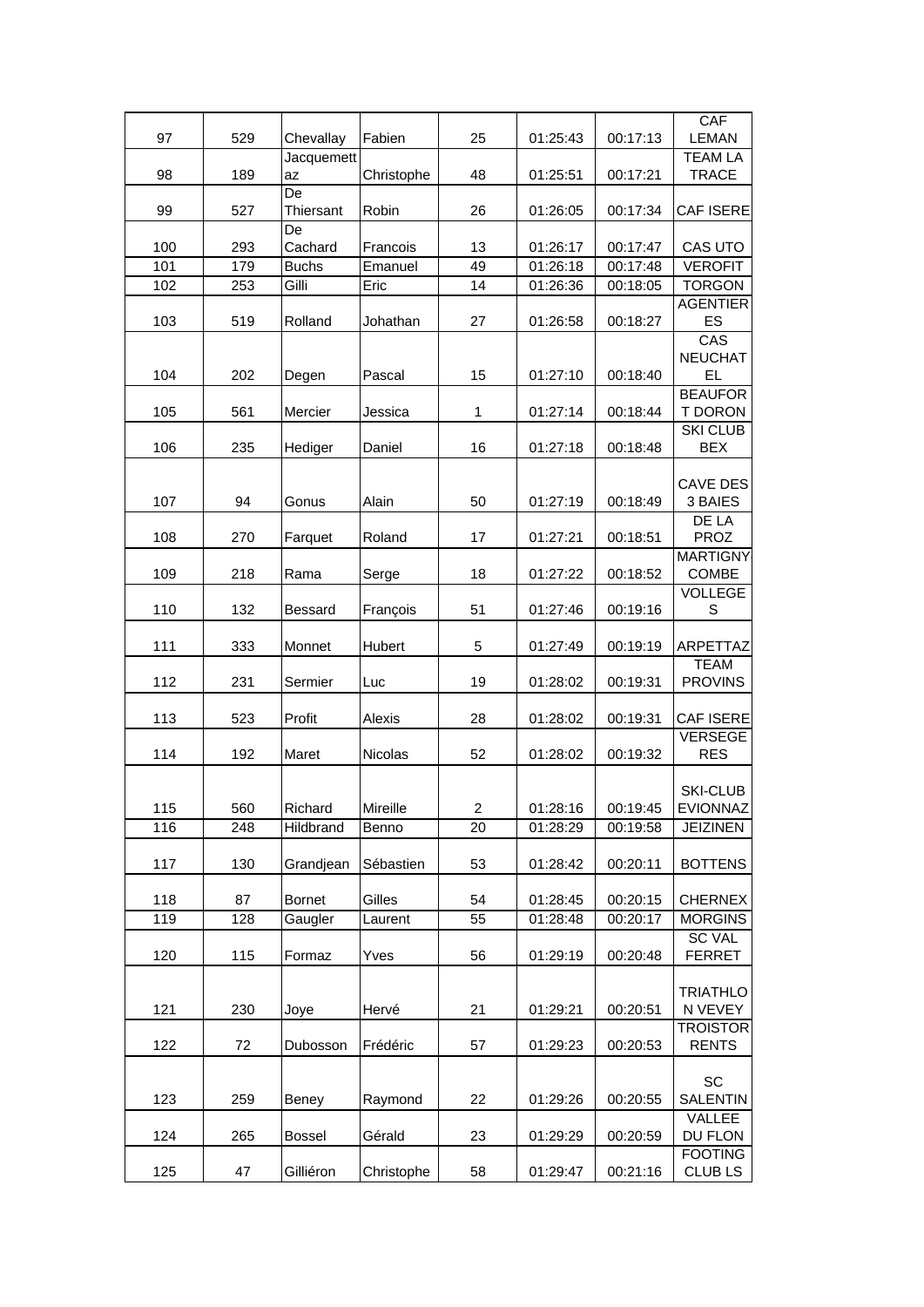|     |     |                 |            |                |          |          | CAF                            |
|-----|-----|-----------------|------------|----------------|----------|----------|--------------------------------|
| 97  | 529 | Chevallay       | Fabien     | 25             | 01:25:43 | 00:17:13 | <b>LEMAN</b>                   |
|     |     | Jacquemett      |            |                |          |          | <b>TEAM LA</b>                 |
| 98  | 189 | az              | Christophe | 48             | 01:25:51 | 00:17:21 | <b>TRACE</b>                   |
| 99  |     | De              |            | 26             |          |          |                                |
|     | 527 | Thiersant<br>De | Robin      |                | 01:26:05 | 00:17:34 | CAF ISERE                      |
| 100 | 293 | Cachard         | Francois   | 13             | 01:26:17 | 00:17:47 | CAS UTO                        |
| 101 | 179 | <b>Buchs</b>    | Emanuel    | 49             | 01:26:18 | 00:17:48 | <b>VEROFIT</b>                 |
| 102 | 253 | Gilli           | Eric       | 14             | 01:26:36 | 00:18:05 | <b>TORGON</b>                  |
|     |     |                 |            |                |          |          | <b>AGENTIER</b>                |
| 103 | 519 | Rolland         | Johathan   | 27             | 01:26:58 | 00:18:27 | ES                             |
|     |     |                 |            |                |          |          | CAS                            |
|     |     |                 |            |                |          |          | <b>NEUCHAT</b>                 |
| 104 | 202 | Degen           | Pascal     | 15             | 01:27:10 | 00:18:40 | <b>EL</b>                      |
|     |     |                 |            |                |          |          | <b>BEAUFOR</b>                 |
| 105 | 561 | Mercier         | Jessica    | 1              | 01:27:14 | 00:18:44 | T DORON                        |
| 106 | 235 | Hediger         | Daniel     | 16             | 01:27:18 | 00:18:48 | <b>SKI CLUB</b><br><b>BEX</b>  |
|     |     |                 |            |                |          |          |                                |
|     |     |                 |            |                |          |          | <b>CAVE DES</b>                |
| 107 | 94  | Gonus           | Alain      | 50             | 01:27:19 | 00:18:49 | 3 BAIES                        |
|     |     |                 |            |                |          |          | DE LA                          |
| 108 | 270 | Farquet         | Roland     | 17             | 01:27:21 | 00:18:51 | <b>PROZ</b>                    |
|     |     |                 |            |                |          |          | <b>MARTIGNY</b>                |
| 109 | 218 | Rama            | Serge      | 18             | 01:27:22 | 00:18:52 | COMBE                          |
| 110 | 132 | <b>Bessard</b>  |            | 51             | 01:27:46 | 00:19:16 | <b>VOLLEGE</b><br>$\mathsf S$  |
|     |     |                 | François   |                |          |          |                                |
| 111 | 333 | Monnet          | Hubert     | 5              | 01:27:49 | 00:19:19 | ARPETTAZ                       |
|     |     |                 |            |                |          |          | <b>TEAM</b>                    |
| 112 | 231 | Sermier         | Luc        | 19             | 01:28:02 | 00:19:31 | <b>PROVINS</b>                 |
|     |     |                 |            |                |          |          |                                |
| 113 | 523 | Profit          | Alexis     | 28             | 01:28:02 | 00:19:31 | <b>CAF ISERE</b>               |
|     |     | Maret           |            |                |          |          | <b>VERSEGE</b><br><b>RES</b>   |
| 114 | 192 |                 | Nicolas    | 52             | 01:28:02 | 00:19:32 |                                |
|     |     |                 |            |                |          |          | <b>SKI-CLUB</b>                |
| 115 | 560 | Richard         | Mireille   | $\overline{c}$ | 01:28:16 | 00:19:45 | EVIONNAZ                       |
| 116 | 248 | Hildbrand       | Benno      | 20             | 01:28:29 | 00:19:58 | <b>JEIZINEN</b>                |
|     |     |                 |            |                |          |          |                                |
| 117 | 130 | Grandjean       | Sébastien  | 53             | 01:28:42 | 00:20:11 | <b>BOTTENS</b>                 |
|     |     |                 |            |                |          |          |                                |
| 118 | 87  | <b>Bornet</b>   | Gilles     | 54             | 01:28:45 | 00:20:15 | <b>CHERNEX</b>                 |
| 119 | 128 | Gaugler         | Laurent    | 55             | 01:28:48 | 00:20:17 | <b>MORGINS</b>                 |
| 120 | 115 | Formaz          | Yves       | 56             | 01:29:19 | 00:20:48 | <b>SC VAL</b><br><b>FERRET</b> |
|     |     |                 |            |                |          |          |                                |
|     |     |                 |            |                |          |          | <b>TRIATHLO</b>                |
| 121 | 230 | Joye            | Hervé      | 21             | 01:29:21 | 00:20:51 | N VEVEY                        |
|     |     |                 |            |                |          |          | <b>TROISTOR</b>                |
| 122 | 72  | Dubosson        | Frédéric   | 57             | 01:29:23 | 00:20:53 | <b>RENTS</b>                   |
|     |     |                 |            |                |          |          |                                |
|     |     |                 |            |                |          |          | SC                             |
| 123 | 259 | Beney           | Raymond    | 22             | 01:29:26 | 00:20:55 | <b>SALENTIN</b>                |
| 124 | 265 | <b>Bossel</b>   | Gérald     | 23             | 01:29:29 | 00:20:59 | VALLEE<br>DU FLON              |
|     |     |                 |            |                |          |          | <b>FOOTING</b>                 |
| 125 | 47  | Gilliéron       | Christophe | 58             | 01:29:47 | 00:21:16 | <b>CLUB LS</b>                 |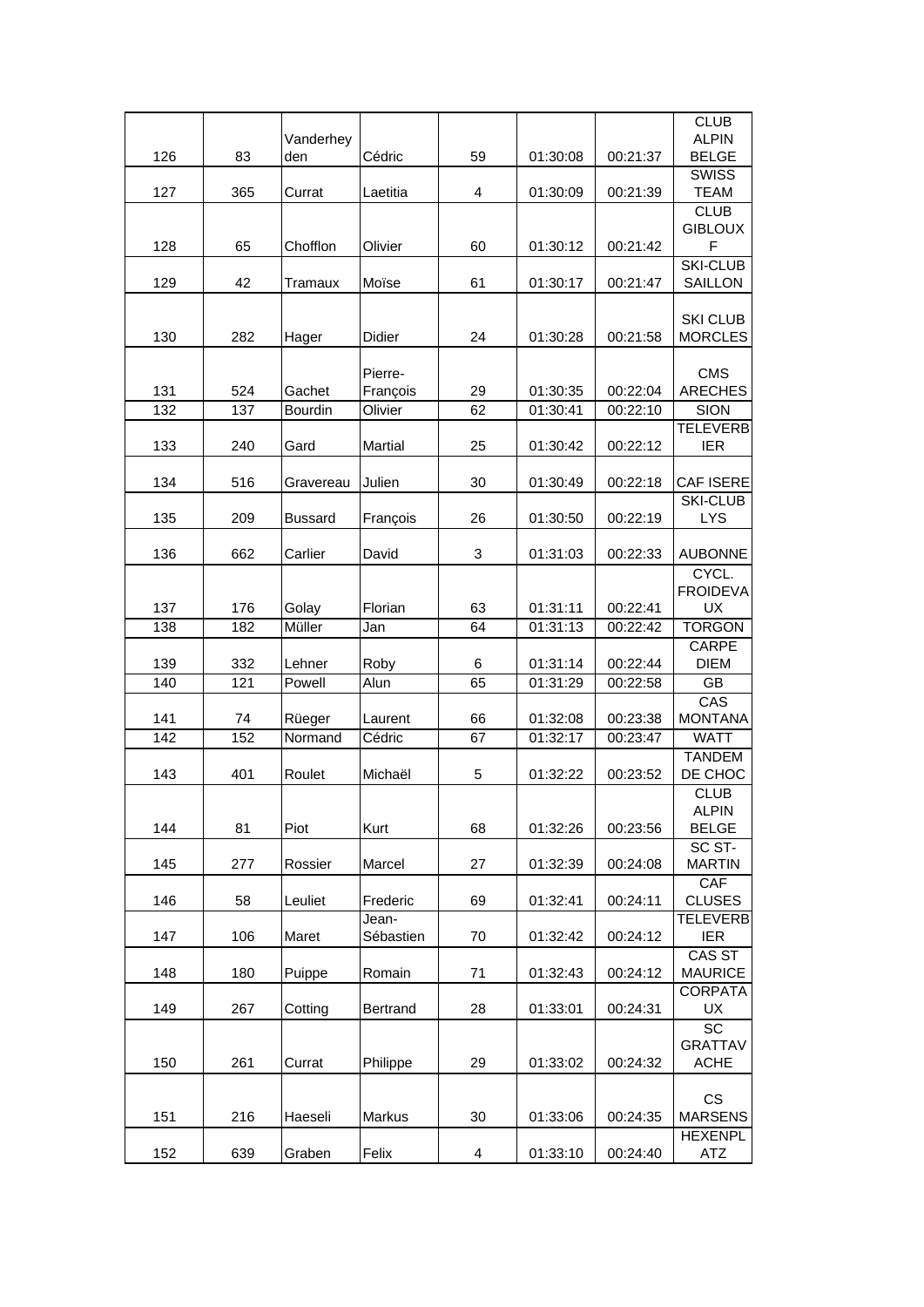|     |     | Vanderhey      |                     |                |          |          | <b>CLUB</b><br><b>ALPIN</b>                 |
|-----|-----|----------------|---------------------|----------------|----------|----------|---------------------------------------------|
| 126 | 83  | den            | Cédric              | 59             | 01:30:08 | 00:21:37 | <b>BELGE</b>                                |
| 127 | 365 | Currat         | Laetitia            | $\overline{4}$ | 01:30:09 | 00:21:39 | <b>SWISS</b><br><b>TEAM</b>                 |
| 128 | 65  | Chofflon       | Olivier             | 60             | 01:30:12 | 00:21:42 | <b>CLUB</b><br><b>GIBLOUX</b><br>F          |
| 129 | 42  | Tramaux        | Moïse               | 61             | 01:30:17 | 00:21:47 | <b>SKI-CLUB</b><br>SAILLON                  |
| 130 | 282 | Hager          | Didier              | 24             | 01:30:28 | 00:21:58 | <b>SKI CLUB</b><br><b>MORCLES</b>           |
| 131 | 524 | Gachet         | Pierre-<br>François | 29             | 01:30:35 | 00:22:04 | <b>CMS</b><br><b>ARECHES</b>                |
| 132 | 137 | Bourdin        | Olivier             | 62             | 01:30:41 | 00:22:10 | <b>SION</b>                                 |
| 133 | 240 | Gard           | Martial             | 25             | 01:30:42 | 00:22:12 | <b>TELEVERB</b><br><b>IER</b>               |
| 134 | 516 | Gravereau      | Julien              | 30             | 01:30:49 | 00:22:18 | <b>CAF ISERE</b>                            |
|     |     |                |                     |                |          |          | <b>SKI-CLUB</b>                             |
| 135 | 209 | <b>Bussard</b> | François            | 26             | 01:30:50 | 00:22:19 | <b>LYS</b>                                  |
| 136 | 662 | Carlier        | David               | 3              | 01:31:03 | 00:22:33 | <b>AUBONNE</b>                              |
| 137 | 176 | Golay          | Florian             | 63             | 01:31:11 | 00:22:41 | CYCL.<br><b>FROIDEVA</b><br><b>UX</b>       |
| 138 | 182 | Müller         | Jan                 | 64             | 01:31:13 | 00:22:42 | <b>TORGON</b>                               |
| 139 | 332 | Lehner         | Roby                | 6              | 01:31:14 | 00:22:44 | <b>CARPE</b><br><b>DIEM</b>                 |
| 140 | 121 | Powell         | Alun                | 65             | 01:31:29 | 00:22:58 | GB                                          |
| 141 | 74  | Rüeger         | Laurent             | 66             | 01:32:08 | 00:23:38 | CAS<br><b>MONTANA</b>                       |
| 142 | 152 | Normand        | Cédric              | 67             | 01:32:17 | 00:23:47 | <b>WATT</b>                                 |
| 143 | 401 | Roulet         | Michaël             | 5              | 01:32:22 | 00:23:52 | <b>TANDEM</b><br>DE CHOC                    |
| 144 | 81  | Piot           | Kurt                | 68             | 01:32:26 | 00:23:56 | <b>CLUB</b><br><b>ALPIN</b><br><b>BELGE</b> |
| 145 | 277 | Rossier        | Marcel              | 27             | 01:32:39 | 00:24:08 | SC ST-<br><b>MARTIN</b>                     |
| 146 | 58  | Leuliet        | Frederic            | 69             | 01:32:41 | 00:24:11 | CAF<br><b>CLUSES</b>                        |
| 147 | 106 | Maret          | Jean-<br>Sébastien  | 70             | 01:32:42 | 00:24:12 | <b>TELEVERB</b><br><b>IER</b>               |
| 148 | 180 | Puippe         | Romain              | 71             | 01:32:43 | 00:24:12 | CAS ST<br><b>MAURICE</b>                    |
| 149 | 267 | Cotting        | Bertrand            | 28             | 01:33:01 | 00:24:31 | <b>CORPATA</b><br>UX                        |
| 150 | 261 | Currat         | Philippe            | 29             | 01:33:02 | 00:24:32 | <b>SC</b><br><b>GRATTAV</b><br><b>ACHE</b>  |
| 151 | 216 | Haeseli        | Markus              | 30             | 01:33:06 | 00:24:35 | CS<br><b>MARSENS</b>                        |
| 152 | 639 | Graben         | Felix               | 4              | 01:33:10 | 00:24:40 | <b>HEXENPL</b><br>ATZ                       |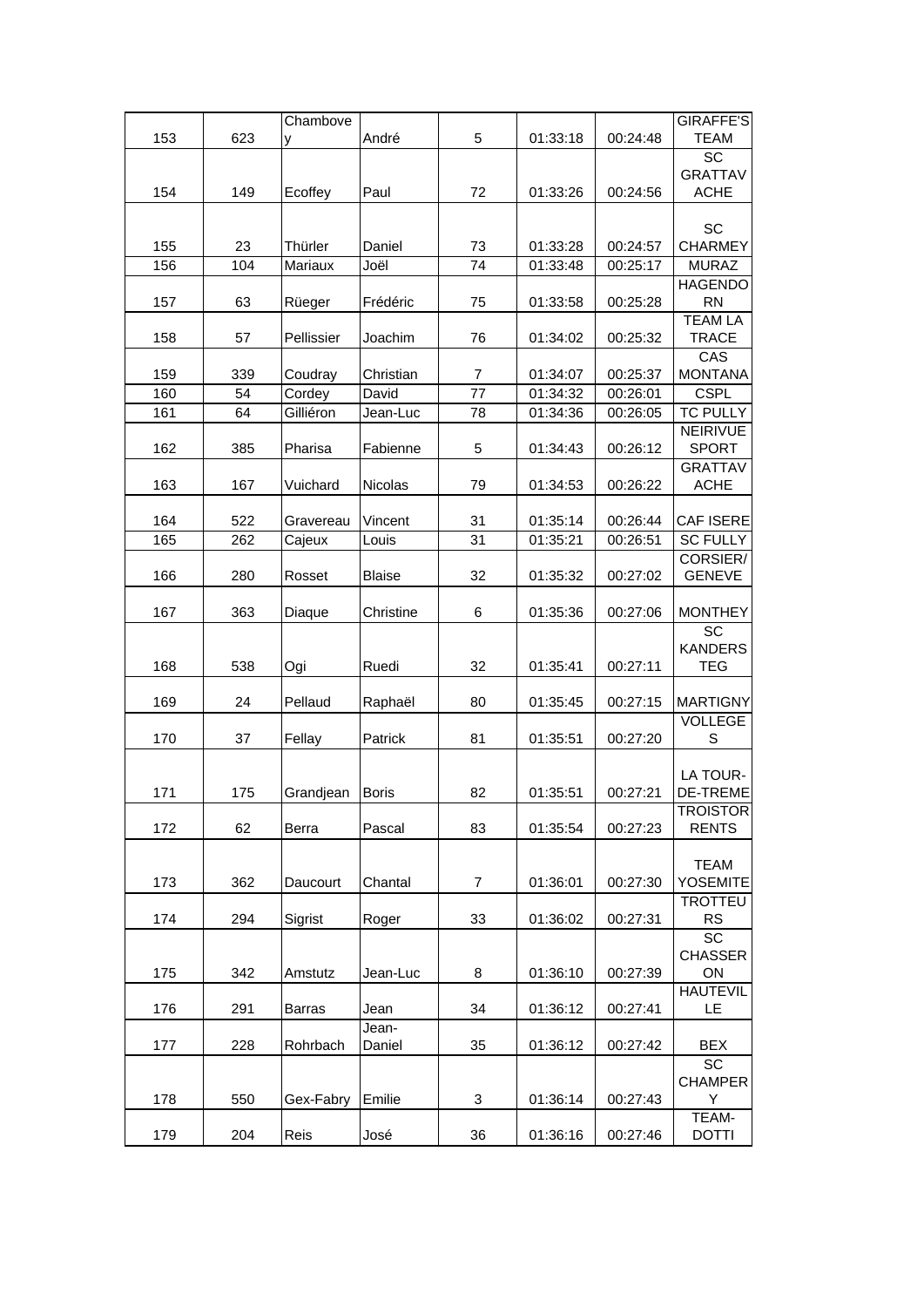|            |            | Chambove      |                |                |                      |                      | GIRAFFE'S            |
|------------|------------|---------------|----------------|----------------|----------------------|----------------------|----------------------|
| 153        | 623        | у             | André          | 5              | 01:33:18             | 00:24:48             | <b>TEAM</b>          |
|            |            |               |                |                |                      |                      | SC                   |
|            |            |               |                |                |                      |                      | <b>GRATTAV</b>       |
| 154        | 149        | Ecoffey       | Paul           | 72             | 01:33:26             | 00:24:56             | <b>ACHE</b>          |
|            |            |               |                |                |                      |                      |                      |
| 155        | 23         | Thürler       | Daniel         | 73             | 01:33:28             | 00:24:57             | SC<br><b>CHARMEY</b> |
| 156        | 104        | Mariaux       | Joël           | 74             | 01:33:48             | 00:25:17             | <b>MURAZ</b>         |
|            |            |               |                |                |                      |                      | <b>HAGENDO</b>       |
| 157        | 63         | Rüeger        | Frédéric       | 75             | 01:33:58             | 00:25:28             | <b>RN</b>            |
|            |            |               |                |                |                      |                      | <b>TEAM LA</b>       |
| 158        | 57         | Pellissier    | Joachim        | 76             | 01:34:02             | 00:25:32             | <b>TRACE</b>         |
|            |            |               |                |                |                      |                      | CAS                  |
| 159        | 339        | Coudray       | Christian      | 7              | 01:34:07             | 00:25:37             | <b>MONTANA</b>       |
| 160        | 54         | Cordey        | David          | 77             | 01:34:32             | 00:26:01             | <b>CSPL</b>          |
| 161        | 64         | Gilliéron     | Jean-Luc       | 78             | 01:34:36             | 00:26:05             | <b>TC PULLY</b>      |
|            |            |               |                |                |                      |                      | <b>NEIRIVUE</b>      |
| 162        | 385        | Pharisa       | Fabienne       | 5              | 01:34:43             | 00:26:12             | <b>SPORT</b>         |
|            |            |               |                |                |                      |                      | <b>GRATTAV</b>       |
| 163        | 167        | Vuichard      | <b>Nicolas</b> | 79             | 01:34:53             | 00:26:22             | <b>ACHE</b>          |
|            |            |               | Vincent        |                |                      |                      | CAF ISERE            |
| 164<br>165 | 522<br>262 | Gravereau     |                | 31<br>31       | 01:35:14<br>01:35:21 | 00:26:44<br>00:26:51 | <b>SC FULLY</b>      |
|            |            | Cajeux        | Louis          |                |                      |                      | CORSIER/             |
| 166        | 280        | Rosset        | <b>Blaise</b>  | 32             | 01:35:32             | 00:27:02             | <b>GENEVE</b>        |
|            |            |               |                |                |                      |                      |                      |
| 167        | 363        | Diaque        | Christine      | 6              | 01:35:36             | 00:27:06             | <b>MONTHEY</b>       |
|            |            |               |                |                |                      |                      | SC                   |
|            |            |               |                |                |                      |                      | <b>KANDERS</b>       |
| 168        | 538        | Ogi           | Ruedi          | 32             | 01:35:41             | 00:27:11             | <b>TEG</b>           |
|            |            |               |                |                |                      |                      |                      |
| 169        | 24         | Pellaud       | Raphaël        | 80             | 01:35:45             | 00:27:15             | <b>MARTIGNY</b>      |
|            |            |               |                |                |                      |                      | <b>VOLLEGE</b>       |
| 170        | 37         | Fellay        | Patrick        | 81             | 01:35:51             | 00:27:20             | S                    |
|            |            |               |                |                |                      |                      | LA TOUR-             |
| 171        | 175        | Grandjean     | <b>Boris</b>   | 82             | 01:35:51             | 00:27:21             | <b>DE-TREME</b>      |
|            |            |               |                |                |                      |                      | TROISTOR             |
| 172        | 62         | Berra         | Pascal         | 83             | 01:35:54             | 00:27:23             | <b>RENTS</b>         |
|            |            |               |                |                |                      |                      |                      |
|            |            |               |                |                |                      |                      | <b>TEAM</b>          |
| 173        | 362        | Daucourt      | Chantal        | $\overline{7}$ | 01:36:01             | 00:27:30             | YOSEMITE             |
|            |            |               |                |                |                      |                      | <b>TROTTEU</b>       |
| 174        | 294        | Sigrist       | Roger          | 33             | 01:36:02             | 00:27:31             | <b>RS</b>            |
|            |            |               |                |                |                      |                      | SC                   |
| 175        | 342        | Amstutz       | Jean-Luc       | 8              | 01:36:10             | 00:27:39             | <b>CHASSER</b><br>ON |
|            |            |               |                |                |                      |                      | <b>HAUTEVIL</b>      |
| 176        | 291        | <b>Barras</b> | Jean           | 34             | 01:36:12             | 00:27:41             | LE.                  |
|            |            |               | Jean-          |                |                      |                      |                      |
| 177        | 228        | Rohrbach      | Daniel         | 35             | 01:36:12             | 00:27:42             | <b>BEX</b>           |
|            |            |               |                |                |                      |                      | <b>SC</b>            |
|            |            |               |                |                |                      |                      | <b>CHAMPER</b>       |
| 178        | 550        | Gex-Fabry     | Emilie         | 3              | 01:36:14             | 00:27:43             | Y                    |
|            |            |               |                |                |                      |                      | TEAM-                |
| 179        | 204        | Reis          | José           | 36             | 01:36:16             | 00:27:46             | <b>DOTTI</b>         |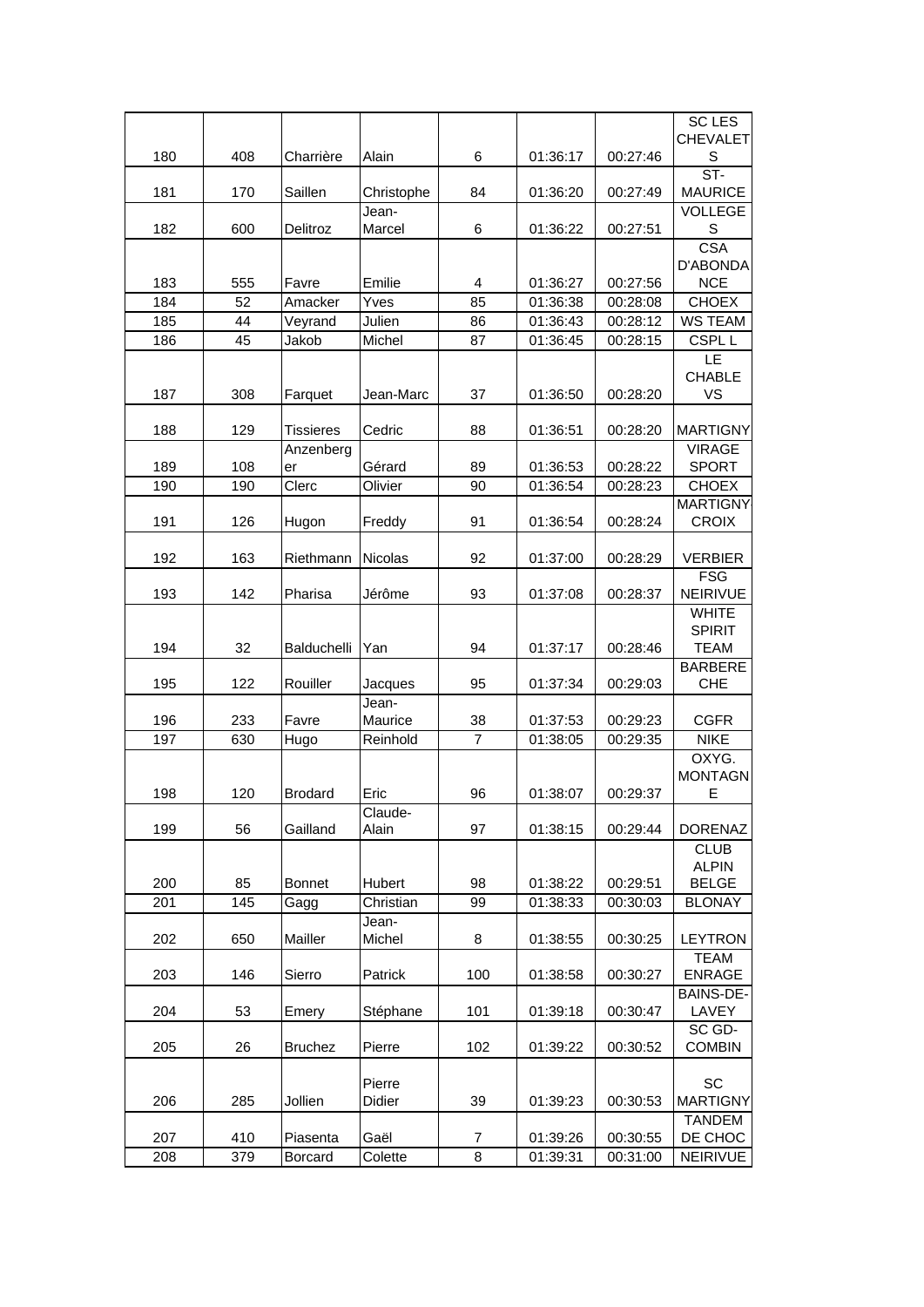|            |           |                       |                     |                |                      |                      | <b>SC LES</b>                    |
|------------|-----------|-----------------------|---------------------|----------------|----------------------|----------------------|----------------------------------|
| 180        | 408       | Charrière             | Alain               | 6              | 01:36:17             | 00:27:46             | <b>CHEVALET</b><br>S             |
|            |           |                       |                     |                |                      |                      | $ST-$                            |
| 181        | 170       | Saillen               | Christophe          | 84             | 01:36:20             | 00:27:49             | <b>MAURICE</b><br><b>VOLLEGE</b> |
| 182        | 600       | Delitroz              | Jean-<br>Marcel     | 6              | 01:36:22             | 00:27:51             | $\mathsf S$                      |
|            |           |                       |                     |                |                      |                      | <b>CSA</b>                       |
|            |           |                       |                     |                |                      |                      | D'ABONDA                         |
| 183<br>184 | 555<br>52 | Favre<br>Amacker      | Emilie<br>Yves      | 4<br>85        | 01:36:27<br>01:36:38 | 00:27:56<br>00:28:08 | <b>NCE</b><br><b>CHOEX</b>       |
| 185        | 44        | Veyrand               | Julien              | 86             | 01:36:43             | 00:28:12             | <b>WS TEAM</b>                   |
| 186        | 45        | Jakob                 | Michel              | 87             | 01:36:45             | 00:28:15             | CSPL <sub>L</sub>                |
|            |           |                       |                     |                |                      |                      | LE                               |
|            |           |                       |                     |                |                      |                      | <b>CHABLE</b>                    |
| 187        | 308       | Farquet               | Jean-Marc           | 37             | 01:36:50             | 00:28:20             | VS                               |
| 188        | 129       | <b>Tissieres</b>      | Cedric              | 88             | 01:36:51             | 00:28:20             | <b>MARTIGNY</b>                  |
|            |           | Anzenberg             |                     |                |                      |                      | <b>VIRAGE</b>                    |
| 189        | 108       | er                    | Gérard              | 89             | 01:36:53             | 00:28:22             | <b>SPORT</b>                     |
| 190        | 190       | Clerc                 | Olivier             | 90             | 01:36:54             | 00:28:23             | <b>CHOEX</b>                     |
| 191        | 126       | Hugon                 | Freddy              | 91             | 01:36:54             | 00:28:24             | <b>MARTIGNY</b><br><b>CROIX</b>  |
|            |           |                       |                     |                |                      |                      |                                  |
| 192        | 163       | Riethmann             | Nicolas             | 92             | 01:37:00             | 00:28:29             | <b>VERBIER</b>                   |
|            | 142       |                       |                     |                |                      |                      | <b>FSG</b><br>NEIRIVUE           |
| 193        |           | Pharisa               | Jérôme              | 93             | 01:37:08             | 00:28:37             | <b>WHITE</b>                     |
|            |           |                       |                     |                |                      |                      | <b>SPIRIT</b>                    |
| 194        | 32        | Balduchelli           | Yan                 | 94             | 01:37:17             | 00:28:46             | <b>TEAM</b>                      |
|            |           |                       |                     |                |                      |                      | <b>BARBERE</b>                   |
| 195        | 122       | Rouiller              | Jacques<br>Jean-    | 95             | 01:37:34             | 00:29:03             | <b>CHE</b>                       |
| 196        | 233       | Favre                 | Maurice             | 38             | 01:37:53             | 00:29:23             | <b>CGFR</b>                      |
| 197        | 630       | Hugo                  | Reinhold            | $\overline{7}$ | 01:38:05             | 00:29:35             | <b>NIKE</b>                      |
|            |           |                       |                     |                |                      |                      | OXYG.                            |
|            |           |                       |                     |                |                      |                      | <b>MONTAGN</b>                   |
| 198        | 120       | <b>Brodard</b>        | Eric<br>Claude-     | 96             | 01:38:07             | 00:29:37             | Е                                |
| 199        | 56        | Gailland              | Alain               | 97             | 01:38:15             | 00:29:44             | <b>DORENAZ</b>                   |
|            |           |                       |                     |                |                      |                      | <b>CLUB</b>                      |
|            |           |                       |                     |                |                      |                      | <b>ALPIN</b>                     |
| 200<br>201 | 85<br>145 | <b>Bonnet</b><br>Gagg | Hubert<br>Christian | 98<br>99       | 01:38:22<br>01:38:33 | 00:29:51<br>00:30:03 | <b>BELGE</b><br><b>BLONAY</b>    |
|            |           |                       | Jean-               |                |                      |                      |                                  |
| 202        | 650       | Mailler               | Michel              | 8              | 01:38:55             | 00:30:25             | <b>LEYTRON</b>                   |
|            |           |                       |                     |                |                      |                      | <b>TEAM</b>                      |
| 203        | 146       | Sierro                | Patrick             | 100            | 01:38:58             | 00:30:27             | <b>ENRAGE</b>                    |
| 204        | 53        | Emery                 | Stéphane            | 101            | 01:39:18             | 00:30:47             | <b>BAINS-DE-</b><br>LAVEY        |
|            |           |                       |                     |                |                      |                      | SC GD-                           |
| 205        | 26        | <b>Bruchez</b>        | Pierre              | 102            | 01:39:22             | 00:30:52             | <b>COMBIN</b>                    |
|            |           |                       |                     |                |                      |                      |                                  |
| 206        | 285       | Jollien               | Pierre<br>Didier    | 39             | 01:39:23             | 00:30:53             | SC<br><b>MARTIGNY</b>            |
|            |           |                       |                     |                |                      |                      | <b>TANDEM</b>                    |
| 207        | 410       | Piasenta              | Gaël                | 7              | 01:39:26             | 00:30:55             | DE CHOC                          |
| 208        | 379       | Borcard               | Colette             | 8              | 01:39:31             | 00:31:00             | <b>NEIRIVUE</b>                  |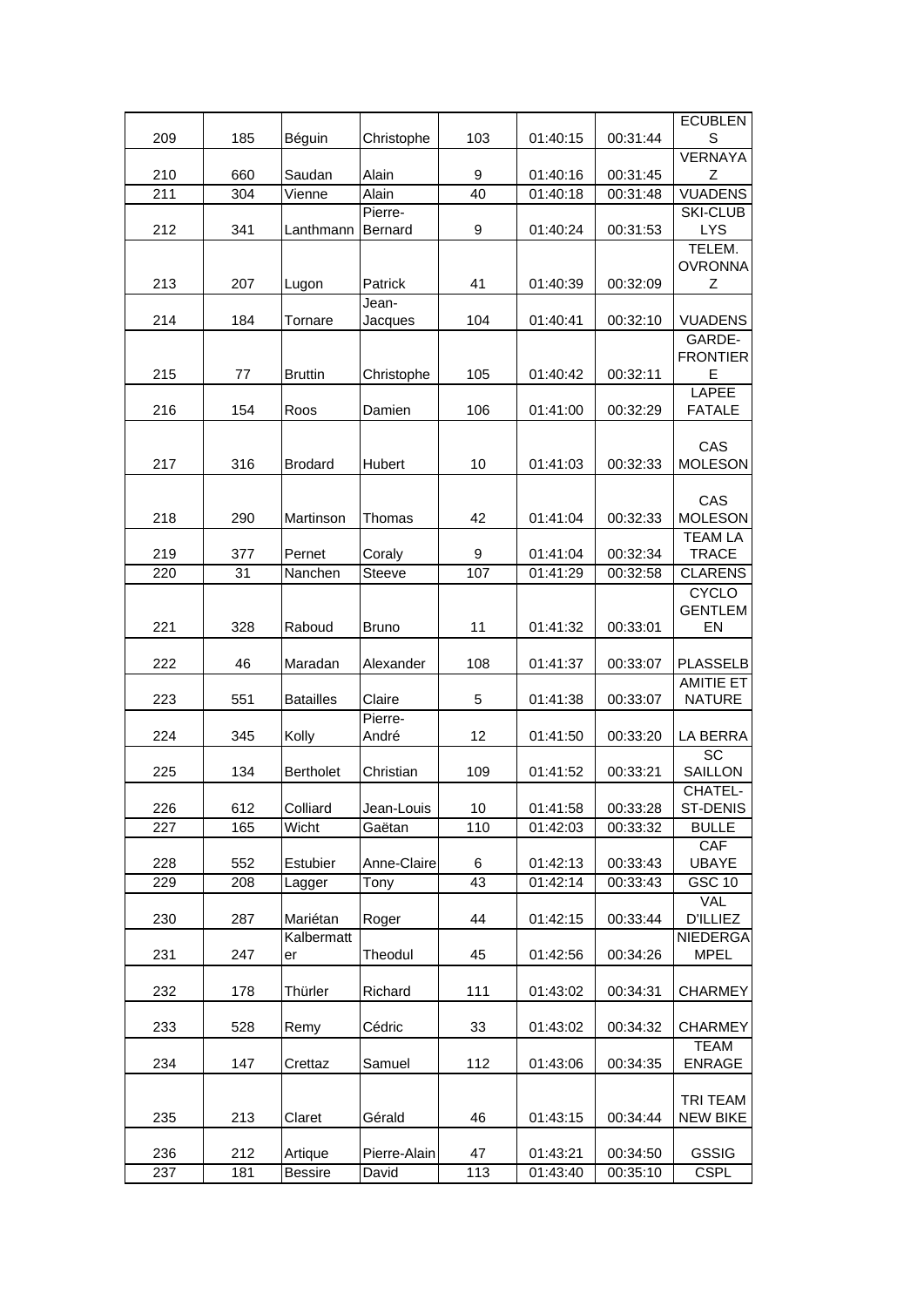|     |     |                  |              |      |          |          | <b>ECUBLEN</b>                    |
|-----|-----|------------------|--------------|------|----------|----------|-----------------------------------|
| 209 | 185 | Béguin           | Christophe   | 103  | 01:40:15 | 00:31:44 | S<br><b>VERNAYA</b>               |
| 210 | 660 | Saudan           | Alain        | 9    | 01:40:16 | 00:31:45 | Ζ                                 |
| 211 | 304 | Vienne           | Alain        | 40   | 01:40:18 | 00:31:48 | <b>VUADENS</b>                    |
|     |     |                  | Pierre-      |      |          |          | <b>SKI-CLUB</b>                   |
| 212 | 341 | Lanthmann        | Bernard      | 9    | 01:40:24 | 00:31:53 | <b>LYS</b><br>TELEM.              |
|     |     |                  |              |      |          |          | <b>OVRONNA</b>                    |
| 213 | 207 | Lugon            | Patrick      | 41   | 01:40:39 | 00:32:09 | Z                                 |
|     |     |                  | Jean-        |      |          |          |                                   |
| 214 | 184 | Tornare          | Jacques      | 104  | 01:40:41 | 00:32:10 | <b>VUADENS</b><br>GARDE-          |
|     |     |                  |              |      |          |          | <b>FRONTIER</b>                   |
| 215 | 77  | <b>Bruttin</b>   | Christophe   | 105  | 01:40:42 | 00:32:11 | Е                                 |
|     |     |                  |              |      |          |          | <b>LAPEE</b>                      |
| 216 | 154 | Roos             | Damien       | 106  | 01:41:00 | 00:32:29 | <b>FATALE</b>                     |
|     |     |                  |              |      |          |          | CAS                               |
| 217 | 316 | <b>Brodard</b>   | Hubert       | 10   | 01:41:03 | 00:32:33 | <b>MOLESON</b>                    |
|     |     |                  |              |      |          |          |                                   |
| 218 | 290 | Martinson        | Thomas       | 42   | 01:41:04 | 00:32:33 | CAS<br><b>MOLESON</b>             |
|     |     |                  |              |      |          |          | <b>TEAM LA</b>                    |
| 219 | 377 | Pernet           | Coraly       | 9    | 01:41:04 | 00:32:34 | <b>TRACE</b>                      |
| 220 | 31  | Nanchen          | Steeve       | 107  | 01:41:29 | 00:32:58 | <b>CLARENS</b>                    |
|     |     |                  |              |      |          |          | <b>CYCLO</b><br><b>GENTLEM</b>    |
| 221 | 328 | Raboud           | <b>Bruno</b> | 11   | 01:41:32 | 00:33:01 | EN                                |
|     |     |                  |              |      |          |          |                                   |
| 222 | 46  | Maradan          | Alexander    | 108  | 01:41:37 | 00:33:07 | <b>PLASSELB</b>                   |
| 223 | 551 | <b>Batailles</b> | Claire       | 5    | 01:41:38 | 00:33:07 | <b>AMITIE ET</b><br><b>NATURE</b> |
|     |     |                  | Pierre-      |      |          |          |                                   |
| 224 | 345 | Kolly            | André        | 12   | 01:41:50 | 00:33:20 | LA BERRA                          |
| 225 | 134 | <b>Bertholet</b> | Christian    | 109  | 01:41:52 | 00:33:21 | SC<br>SAILLON                     |
|     |     |                  |              |      |          |          | CHATEL-                           |
| 226 | 612 | Colliard         | Jean-Louis   | $10$ | 01:41:58 | 00:33:28 | ST-DENIS                          |
| 227 | 165 | Wicht            | Gaëtan       | 110  | 01:42:03 | 00:33:32 | <b>BULLE</b>                      |
| 228 | 552 | Estubier         | Anne-Claire  | 6    | 01:42:13 | 00:33:43 | CAF<br><b>UBAYE</b>               |
| 229 | 208 | Lagger           | Tony         | 43   | 01:42:14 | 00:33:43 | <b>GSC 10</b>                     |
|     |     |                  |              |      |          |          | VAL                               |
| 230 | 287 | Mariétan         | Roger        | 44   | 01:42:15 | 00:33:44 | <b>D'ILLIEZ</b>                   |
|     |     | Kalbermatt       |              |      |          |          | <b>NIEDERGA</b>                   |
| 231 | 247 | er               | Theodul      | 45   | 01:42:56 | 00:34:26 | <b>MPEL</b>                       |
| 232 | 178 | Thürler          | Richard      | 111  | 01:43:02 | 00:34:31 | <b>CHARMEY</b>                    |
|     |     |                  |              |      |          |          |                                   |
| 233 | 528 | Remy             | Cédric       | 33   | 01:43:02 | 00:34:32 | <b>CHARMEY</b><br><b>TEAM</b>     |
| 234 | 147 | Crettaz          | Samuel       | 112  | 01:43:06 | 00:34:35 | <b>ENRAGE</b>                     |
|     |     |                  |              |      |          |          |                                   |
|     |     |                  |              |      |          |          | TRI TEAM                          |
| 235 | 213 | Claret           | Gérald       | 46   | 01:43:15 | 00:34:44 | NEW BIKE                          |
| 236 | 212 | Artique          | Pierre-Alain | 47   | 01:43:21 | 00:34:50 | <b>GSSIG</b>                      |
| 237 | 181 | <b>Bessire</b>   | David        | 113  | 01:43:40 | 00:35:10 | <b>CSPL</b>                       |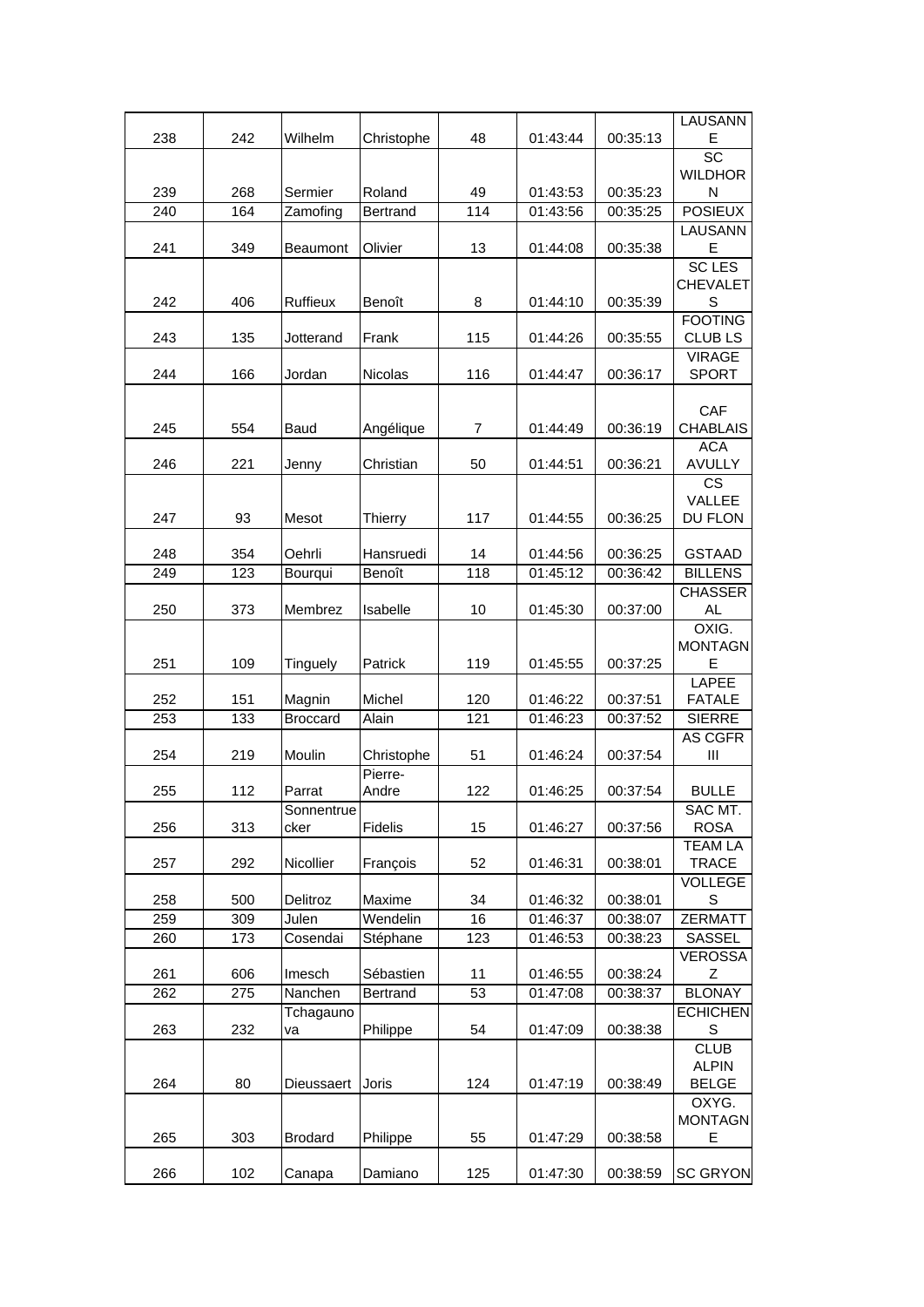|     |     |                 |                |                |          |          | LAUSANN         |
|-----|-----|-----------------|----------------|----------------|----------|----------|-----------------|
| 238 | 242 | Wilhelm         | Christophe     | 48             | 01:43:44 | 00:35:13 | E               |
|     |     |                 |                |                |          |          | SC              |
|     |     |                 |                |                |          |          | <b>WILDHOR</b>  |
| 239 | 268 | Sermier         | Roland         | 49             | 01:43:53 | 00:35:23 | N               |
| 240 | 164 | Zamofing        | Bertrand       | 114            | 01:43:56 | 00:35:25 | <b>POSIEUX</b>  |
|     |     |                 |                |                |          |          | LAUSANN         |
| 241 | 349 | Beaumont        | Olivier        | 13             | 01:44:08 | 00:35:38 | Ε               |
|     |     |                 |                |                |          |          | <b>SC LES</b>   |
|     |     |                 |                |                |          |          | <b>CHEVALET</b> |
| 242 | 406 | Ruffieux        | Benoît         | 8              | 01:44:10 | 00:35:39 | S               |
|     |     |                 |                |                |          |          | <b>FOOTING</b>  |
| 243 | 135 | Jotterand       | Frank          | 115            | 01:44:26 | 00:35:55 | <b>CLUBLS</b>   |
|     |     |                 |                |                |          |          | <b>VIRAGE</b>   |
| 244 | 166 | Jordan          | <b>Nicolas</b> | 116            | 01:44:47 | 00:36:17 | <b>SPORT</b>    |
|     |     |                 |                |                |          |          |                 |
|     |     |                 |                |                |          |          | CAF             |
| 245 | 554 | Baud            | Angélique      | $\overline{7}$ | 01:44:49 | 00:36:19 | <b>CHABLAIS</b> |
|     |     |                 |                |                |          |          | <b>ACA</b>      |
| 246 | 221 | Jenny           | Christian      | 50             | 01:44:51 | 00:36:21 | <b>AVULLY</b>   |
|     |     |                 |                |                |          |          | <b>CS</b>       |
|     |     |                 |                |                |          |          | VALLEE          |
| 247 | 93  | Mesot           | Thierry        | 117            | 01:44:55 | 00:36:25 | DU FLON         |
|     |     |                 |                |                |          |          |                 |
| 248 | 354 | Oehrli          | Hansruedi      | 14             | 01:44:56 | 00:36:25 | <b>GSTAAD</b>   |
| 249 | 123 | Bourqui         | Benoît         | 118            | 01:45:12 | 00:36:42 | <b>BILLENS</b>  |
|     |     |                 |                |                |          |          | <b>CHASSER</b>  |
| 250 | 373 | Membrez         | Isabelle       | 10             | 01:45:30 | 00:37:00 | AL.             |
|     |     |                 |                |                |          |          | OXIG.           |
|     |     |                 |                |                |          |          | <b>MONTAGN</b>  |
| 251 | 109 | Tinguely        | Patrick        | 119            | 01:45:55 | 00:37:25 | Е               |
|     |     |                 |                |                |          |          | <b>LAPEE</b>    |
| 252 | 151 | Magnin          | Michel         | 120            | 01:46:22 | 00:37:51 | <b>FATALE</b>   |
| 253 | 133 | <b>Broccard</b> | Alain          | 121            | 01:46:23 | 00:37:52 | <b>SIERRE</b>   |
|     |     |                 |                |                |          |          | AS CGFR         |
| 254 | 219 | Moulin          | Christophe     | 51             | 01:46:24 | 00:37:54 | Ш               |
|     |     |                 | Pierre-        |                |          |          |                 |
| 255 | 112 | Parrat          | Andre          | 122            | 01:46:25 | 00:37:54 | <b>BULLE</b>    |
|     |     | Sonnentrue      |                |                |          |          | SAC MT.         |
| 256 | 313 | cker            | Fidelis        | 15             | 01:46:27 | 00:37:56 | <b>ROSA</b>     |
|     |     |                 |                |                |          |          | <b>TEAM LA</b>  |
| 257 | 292 | Nicollier       | François       | 52             | 01:46:31 | 00:38:01 | <b>TRACE</b>    |
|     |     |                 |                |                |          |          | <b>VOLLEGE</b>  |
| 258 | 500 | Delitroz        | Maxime         | 34             | 01:46:32 | 00:38:01 | S               |
| 259 | 309 | Julen           | Wendelin       | 16             | 01:46:37 | 00:38:07 | <b>ZERMATT</b>  |
| 260 |     | Cosendai        |                |                |          | 00:38:23 | SASSEL          |
|     | 173 |                 | Stéphane       | 123            | 01:46:53 |          |                 |
|     |     |                 |                |                |          |          | <b>VEROSSA</b>  |
| 261 | 606 | Imesch          | Sébastien      | 11             | 01:46:55 | 00:38:24 | Z               |
| 262 | 275 | Nanchen         | Bertrand       | 53             | 01:47:08 | 00:38:37 | <b>BLONAY</b>   |
|     |     | Tchagauno       |                |                |          |          | <b>ECHICHEN</b> |
| 263 | 232 | va              | Philippe       | 54             | 01:47:09 | 00:38:38 | S               |
|     |     |                 |                |                |          |          | <b>CLUB</b>     |
|     |     |                 |                |                |          |          | <b>ALPIN</b>    |
| 264 | 80  | Dieussaert      | Joris          | 124            | 01:47:19 | 00:38:49 | <b>BELGE</b>    |
|     |     |                 |                |                |          |          | OXYG.           |
|     |     |                 |                |                |          |          | <b>MONTAGN</b>  |
| 265 | 303 | <b>Brodard</b>  | Philippe       | 55             | 01:47:29 | 00:38:58 | Е               |
|     |     |                 |                |                |          |          |                 |
| 266 | 102 | Canapa          | Damiano        | 125            | 01:47:30 | 00:38:59 | <b>SC GRYON</b> |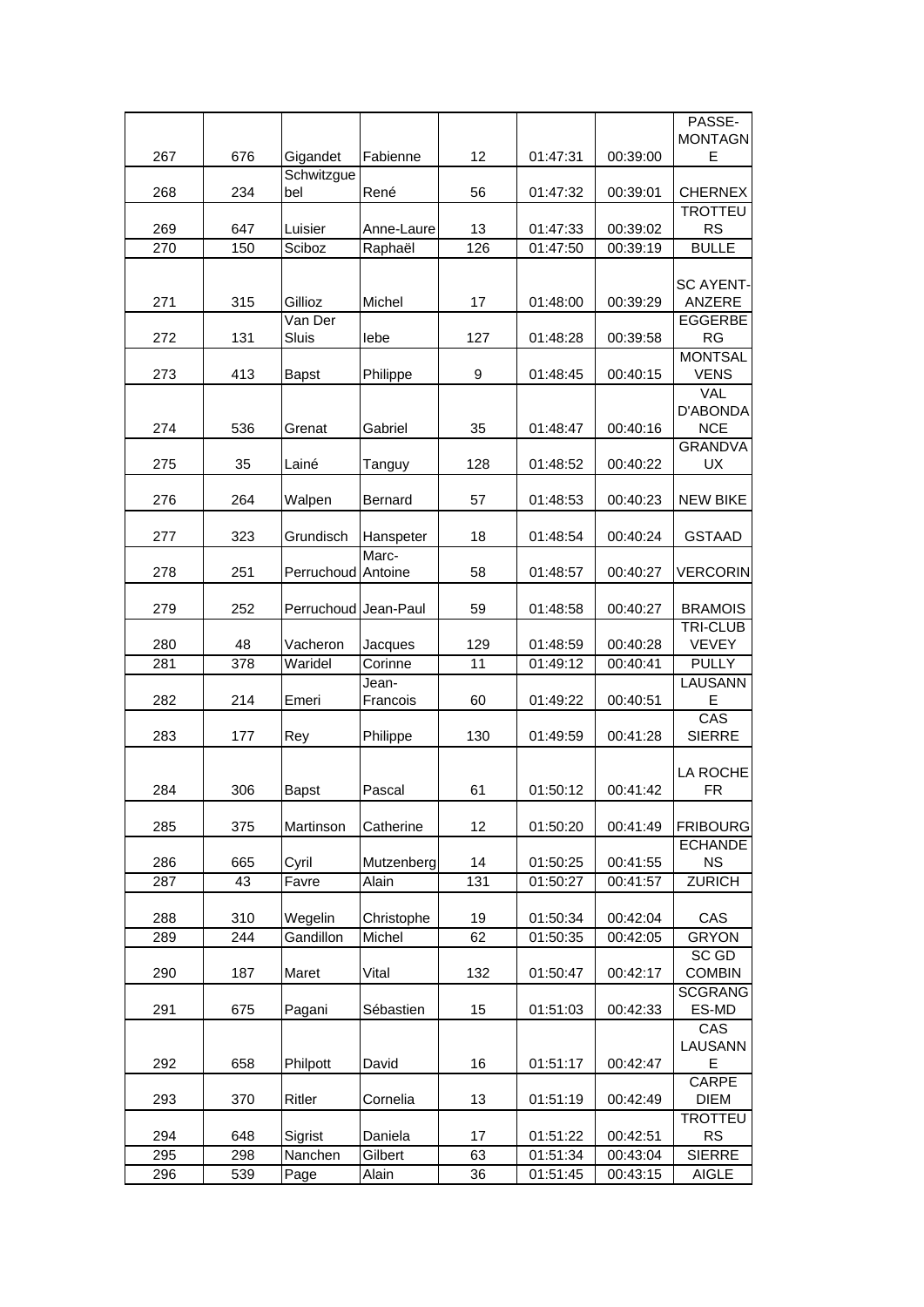|     |     |                      |                |     |          |          | PASSE-                      |
|-----|-----|----------------------|----------------|-----|----------|----------|-----------------------------|
|     |     |                      |                |     |          |          | <b>MONTAGN</b>              |
| 267 | 676 | Gigandet             | Fabienne       | 12  | 01:47:31 | 00:39:00 | E                           |
| 268 | 234 | Schwitzgue<br>bel    | René           | 56  | 01:47:32 | 00:39:01 | <b>CHERNEX</b>              |
| 269 | 647 | Luisier              | Anne-Laure     | 13  | 01:47:33 | 00:39:02 | <b>TROTTEU</b><br><b>RS</b> |
| 270 | 150 | Sciboz               | Raphaël        | 126 | 01:47:50 | 00:39:19 | <b>BULLE</b>                |
|     |     |                      |                |     |          |          |                             |
|     |     |                      |                |     |          |          | <b>SC AYENT-</b>            |
| 271 | 315 | Gillioz              | Michel         | 17  | 01:48:00 | 00:39:29 | ANZERE                      |
|     |     | Van Der              |                |     |          |          | <b>EGGERBE</b>              |
| 272 | 131 | Sluis                | lebe           | 127 | 01:48:28 | 00:39:58 | <b>RG</b>                   |
|     |     |                      |                |     |          |          | <b>MONTSAL</b>              |
| 273 | 413 | <b>Bapst</b>         | Philippe       | 9   | 01:48:45 | 00:40:15 | <b>VENS</b>                 |
|     |     |                      |                |     |          |          | <b>VAL</b><br>D'ABONDA      |
| 274 | 536 | Grenat               | Gabriel        | 35  | 01:48:47 | 00:40:16 | <b>NCE</b>                  |
|     |     |                      |                |     |          |          | <b>GRANDVA</b>              |
| 275 | 35  | Lainé                | Tanguy         | 128 | 01:48:52 | 00:40:22 | <b>UX</b>                   |
|     |     |                      |                |     |          |          |                             |
| 276 | 264 | Walpen               | <b>Bernard</b> | 57  | 01:48:53 | 00:40:23 | <b>NEW BIKE</b>             |
|     |     |                      |                |     |          |          |                             |
| 277 | 323 | Grundisch            | Hanspeter      | 18  | 01:48:54 | 00:40:24 | <b>GSTAAD</b>               |
|     |     |                      | Marc-          |     |          |          |                             |
| 278 | 251 | <b>Perruchoud</b>    | Antoine        | 58  | 01:48:57 | 00:40:27 | <b>VERCORIN</b>             |
| 279 | 252 | Perruchoud Jean-Paul |                | 59  | 01:48:58 | 00:40:27 | <b>BRAMOIS</b>              |
|     |     |                      |                |     |          |          | <b>TRI-CLUB</b>             |
| 280 | 48  | Vacheron             | Jacques        | 129 | 01:48:59 | 00:40:28 | VEVEY                       |
| 281 | 378 | Waridel              | Corinne        | 11  | 01:49:12 | 00:40:41 | <b>PULLY</b>                |
|     |     |                      | Jean-          |     |          |          | LAUSANN                     |
| 282 | 214 | Emeri                | Francois       | 60  | 01:49:22 | 00:40:51 | Е                           |
|     |     |                      |                |     |          |          | CAS                         |
| 283 | 177 | Rey                  | Philippe       | 130 | 01:49:59 | 00:41:28 | <b>SIERRE</b>               |
|     |     |                      |                |     |          |          |                             |
| 284 | 306 | <b>Bapst</b>         | Pascal         | 61  | 01:50:12 | 00:41:42 | LA ROCHE<br><b>FR</b>       |
|     |     |                      |                |     |          |          |                             |
| 285 | 375 | Martinson            | Catherine      | 12  | 01:50:20 | 00:41:49 | <b>FRIBOURG</b>             |
|     |     |                      |                |     |          |          | <b>ECHANDE</b>              |
| 286 | 665 | Cyril                | Mutzenberg     | 14  | 01:50:25 | 00:41:55 | <b>NS</b>                   |
| 287 | 43  | Favre                | Alain          | 131 | 01:50:27 | 00:41:57 | <b>ZURICH</b>               |
|     |     |                      |                |     |          |          |                             |
| 288 | 310 | Wegelin              | Christophe     | 19  | 01:50:34 | 00:42:04 | CAS                         |
| 289 | 244 | Gandillon            | Michel         | 62  | 01:50:35 | 00:42:05 | <b>GRYON</b>                |
|     | 187 | Maret                |                |     | 01:50:47 | 00:42:17 | SC GD<br><b>COMBIN</b>      |
| 290 |     |                      | Vital          | 132 |          |          | <b>SCGRANG</b>              |
| 291 | 675 | Pagani               | Sébastien      | 15  | 01:51:03 | 00:42:33 | ES-MD                       |
|     |     |                      |                |     |          |          | CAS                         |
|     |     |                      |                |     |          |          | LAUSANN                     |
| 292 | 658 | Philpott             | David          | 16  | 01:51:17 | 00:42:47 | Е                           |
|     |     |                      |                |     |          |          | <b>CARPE</b>                |
| 293 | 370 | Ritler               | Cornelia       | 13  | 01:51:19 | 00:42:49 | <b>DIEM</b>                 |
|     |     |                      |                |     |          |          | <b>TROTTEU</b>              |
| 294 | 648 | Sigrist              | Daniela        | 17  | 01:51:22 | 00:42:51 | <b>RS</b>                   |
| 295 | 298 | Nanchen              | Gilbert        | 63  | 01:51:34 | 00:43:04 | <b>SIERRE</b>               |
| 296 | 539 | Page                 | Alain          | 36  | 01:51:45 | 00:43:15 | <b>AIGLE</b>                |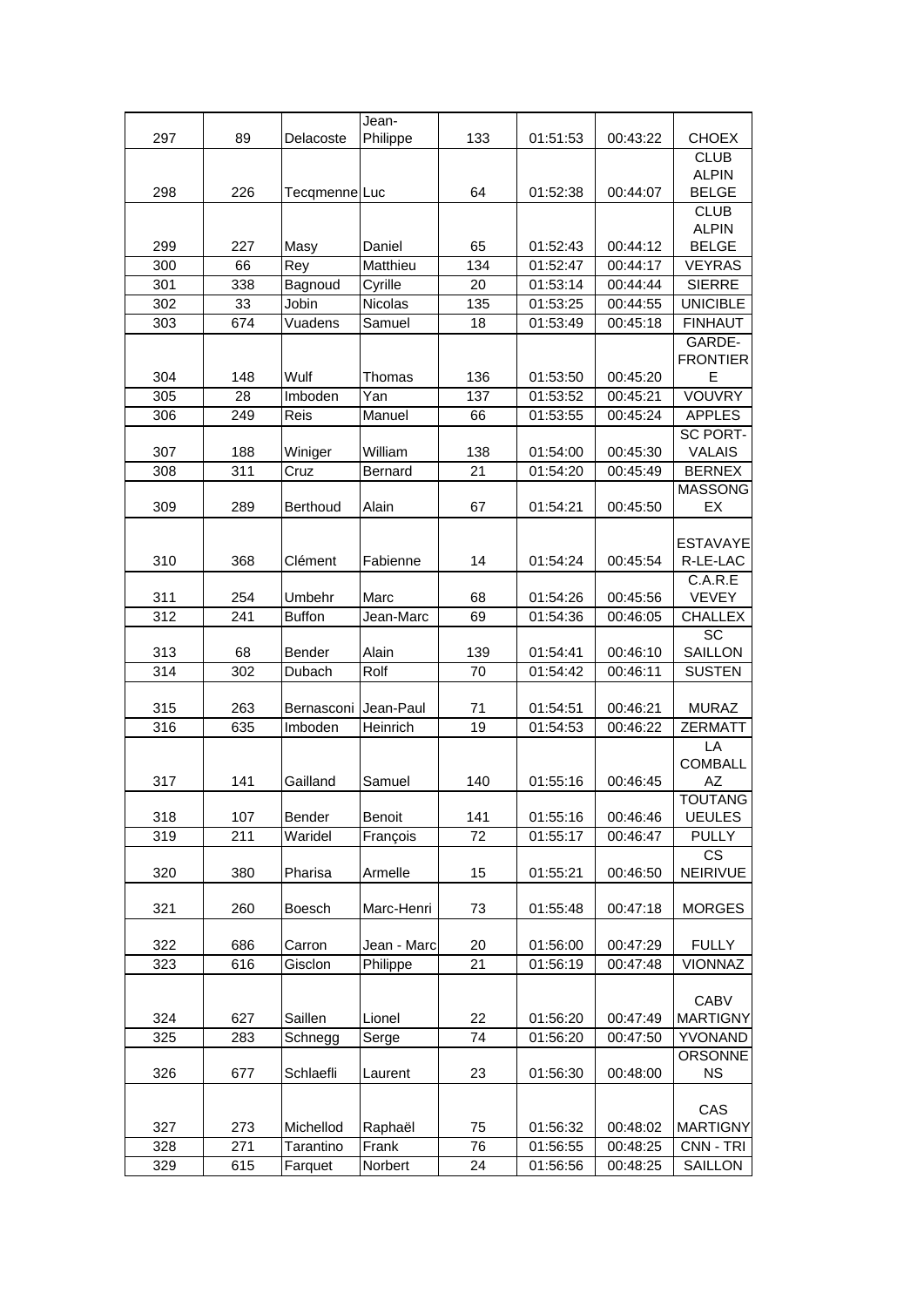|     |     |                 | Jean-         |     |          |          |                       |
|-----|-----|-----------------|---------------|-----|----------|----------|-----------------------|
| 297 | 89  | Delacoste       | Philippe      | 133 | 01:51:53 | 00:43:22 | <b>CHOEX</b>          |
|     |     |                 |               |     |          |          | <b>CLUB</b>           |
|     |     |                 |               |     |          |          | <b>ALPIN</b>          |
| 298 | 226 | Tecqmenne Luc   |               | 64  | 01:52:38 | 00:44:07 | <b>BELGE</b>          |
|     |     |                 |               |     |          |          | <b>CLUB</b>           |
|     |     |                 |               |     |          |          | <b>ALPIN</b>          |
| 299 | 227 | Masy            | Daniel        | 65  | 01:52:43 | 00:44:12 | <b>BELGE</b>          |
| 300 | 66  | Rey             | Matthieu      | 134 | 01:52:47 | 00:44:17 | <b>VEYRAS</b>         |
| 301 | 338 | Bagnoud         | Cyrille       | 20  | 01:53:14 | 00:44:44 | <b>SIERRE</b>         |
| 302 | 33  | Jobin           | Nicolas       | 135 | 01:53:25 | 00:44:55 | <b>UNICIBLE</b>       |
| 303 | 674 | Vuadens         | Samuel        | 18  | 01:53:49 | 00:45:18 | <b>FINHAUT</b>        |
|     |     |                 |               |     |          |          | GARDE-                |
|     |     |                 |               |     |          |          | <b>FRONTIER</b>       |
| 304 | 148 | Wulf            | Thomas        | 136 | 01:53:50 | 00:45:20 | E                     |
| 305 | 28  | Imboden         | Yan           | 137 | 01:53:52 | 00:45:21 | VOUVRY                |
| 306 | 249 | Reis            | Manuel        | 66  | 01:53:55 | 00:45:24 | <b>APPLES</b>         |
|     |     |                 |               |     |          |          | <b>SC PORT-</b>       |
| 307 | 188 | Winiger         | William       | 138 | 01:54:00 | 00:45:30 | <b>VALAIS</b>         |
| 308 | 311 | Cruz            | Bernard       | 21  | 01:54:20 | 00:45:49 | <b>BERNEX</b>         |
|     |     |                 |               |     |          |          | <b>MASSONG</b>        |
| 309 | 289 | <b>Berthoud</b> | Alain         | 67  | 01:54:21 | 00:45:50 | EX                    |
|     |     |                 |               |     |          |          |                       |
|     |     |                 |               |     |          |          | <b>ESTAVAYE</b>       |
| 310 | 368 | Clément         | Fabienne      | 14  | 01:54:24 | 00:45:54 | R-LE-LAC              |
|     |     |                 |               |     |          |          | C.A.R.E               |
| 311 | 254 | Umbehr          | Marc          | 68  | 01:54:26 | 00:45:56 | <b>VEVEY</b>          |
| 312 | 241 | <b>Buffon</b>   | Jean-Marc     | 69  | 01:54:36 | 00:46:05 | <b>CHALLEX</b>        |
|     |     |                 |               |     |          |          | SC                    |
| 313 | 68  | Bender          | Alain         | 139 | 01:54:41 | 00:46:10 | SAILLON               |
| 314 | 302 | Dubach          | Rolf          | 70  | 01:54:42 | 00:46:11 | <b>SUSTEN</b>         |
|     |     |                 |               |     |          |          |                       |
| 315 | 263 | Bernasconi      | Jean-Paul     | 71  | 01:54:51 | 00:46:21 | <b>MURAZ</b>          |
| 316 | 635 | Imboden         | Heinrich      | 19  | 01:54:53 | 00:46:22 | <b>ZERMATT</b>        |
|     |     |                 |               |     |          |          | LA                    |
|     |     |                 |               |     |          |          | <b>COMBALL</b>        |
| 317 | 141 | Gailland        | Samuel        | 140 | 01:55:16 | 00:46:45 | AZ                    |
|     |     |                 |               |     |          |          | <b>TOUTANG</b>        |
| 318 | 107 | Bender          | <b>Benoit</b> | 141 | 01:55:16 | 00:46:46 | <b>UEULES</b>         |
| 319 | 211 | Waridel         | François      | 72  | 01:55:17 | 00:46:47 | <b>PULLY</b>          |
| 320 | 380 | Pharisa         | Armelle       | 15  | 01:55:21 | 00:46:50 | <b>CS</b><br>NEIRIVUE |
|     |     |                 |               |     |          |          |                       |
| 321 | 260 | Boesch          | Marc-Henri    | 73  | 01:55:48 | 00:47:18 | <b>MORGES</b>         |
|     |     |                 |               |     |          |          |                       |
| 322 | 686 | Carron          | Jean - Marc   | 20  | 01:56:00 | 00:47:29 | <b>FULLY</b>          |
| 323 | 616 | Gisclon         | Philippe      | 21  | 01:56:19 | 00:47:48 | <b>VIONNAZ</b>        |
|     |     |                 |               |     |          |          |                       |
|     |     |                 |               |     |          |          | <b>CABV</b>           |
| 324 | 627 | Saillen         | Lionel        | 22  | 01:56:20 | 00:47:49 | <b>MARTIGNY</b>       |
| 325 | 283 | Schnegg         | Serge         | 74  | 01:56:20 | 00:47:50 | YVONAND               |
|     |     |                 |               |     |          |          | <b>ORSONNE</b>        |
| 326 | 677 | Schlaefli       | Laurent       | 23  | 01:56:30 | 00:48:00 | <b>NS</b>             |
|     |     |                 |               |     |          |          |                       |
|     |     |                 |               |     |          |          | CAS                   |
| 327 | 273 | Michellod       | Raphaël       | 75  | 01:56:32 | 00:48:02 | <b>MARTIGNY</b>       |
| 328 | 271 | Tarantino       | Frank         | 76  | 01:56:55 | 00:48:25 | CNN - TRI             |
| 329 | 615 | Farquet         | Norbert       | 24  | 01:56:56 | 00:48:25 | SAILLON               |
|     |     |                 |               |     |          |          |                       |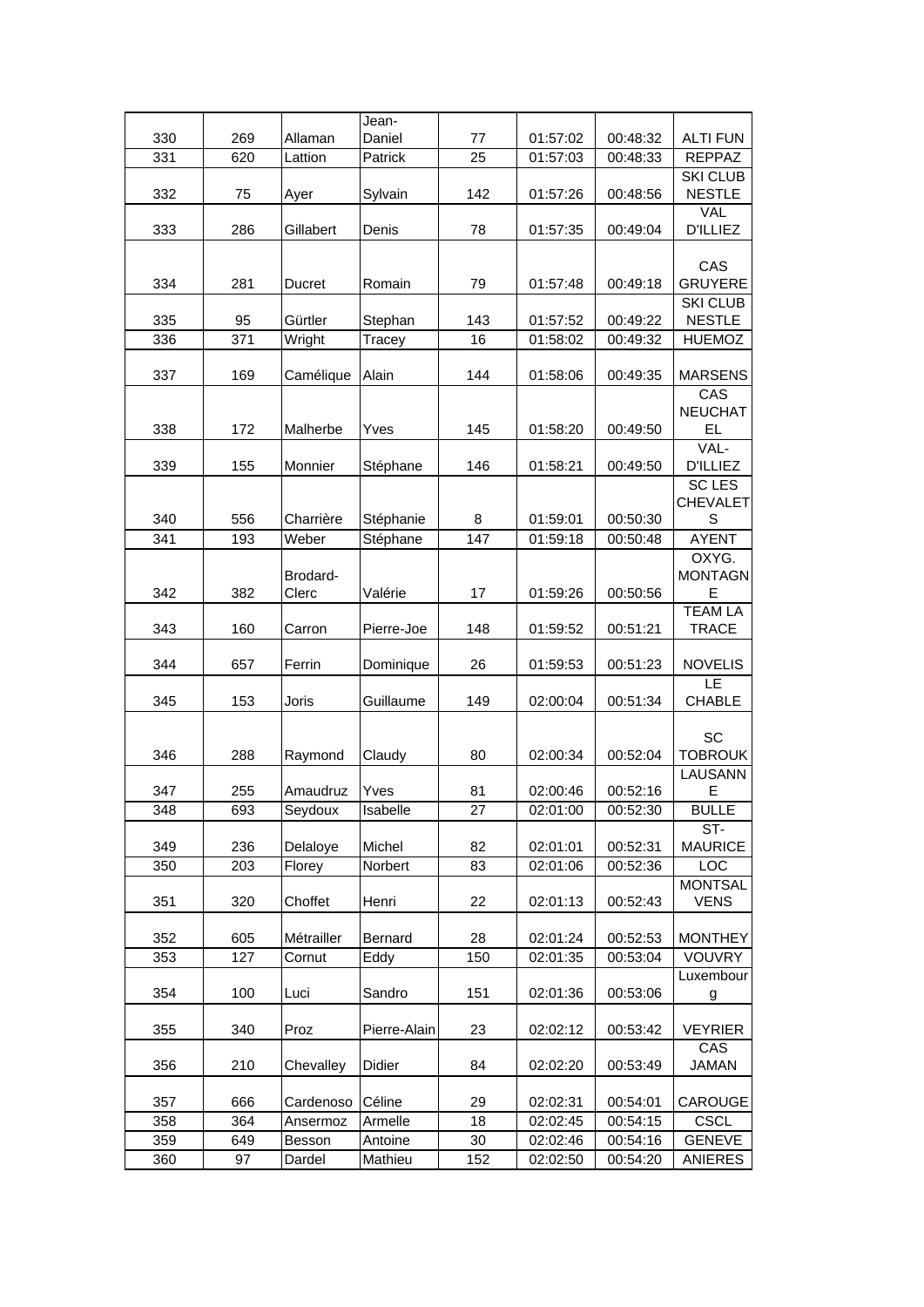|     |     |               | Jean-        |     |          |          |                                  |
|-----|-----|---------------|--------------|-----|----------|----------|----------------------------------|
| 330 | 269 | Allaman       | Daniel       | 77  | 01:57:02 | 00:48:32 | <b>ALTI FUN</b>                  |
| 331 | 620 | Lattion       | Patrick      | 25  | 01:57:03 | 00:48:33 | <b>REPPAZ</b>                    |
|     |     |               |              |     |          |          | <b>SKI CLUB</b>                  |
| 332 | 75  | Ayer          | Sylvain      | 142 | 01:57:26 | 00:48:56 | <b>NESTLE</b>                    |
|     |     |               |              |     |          |          | <b>VAL</b>                       |
| 333 | 286 | Gillabert     | Denis        | 78  | 01:57:35 | 00:49:04 | <b>D'ILLIEZ</b>                  |
|     |     |               |              |     |          |          |                                  |
|     |     |               |              |     |          |          | CAS                              |
| 334 | 281 | <b>Ducret</b> | Romain       | 79  | 01:57:48 | 00:49:18 | <b>GRUYERE</b>                   |
|     |     |               |              |     |          |          | <b>SKI CLUB</b>                  |
| 335 | 95  | Gürtler       | Stephan      | 143 | 01:57:52 | 00:49:22 | <b>NESTLE</b>                    |
| 336 | 371 | Wright        | Tracey       | 16  | 01:58:02 | 00:49:32 | <b>HUEMOZ</b>                    |
|     |     |               |              |     |          |          |                                  |
| 337 | 169 | Camélique     | Alain        | 144 | 01:58:06 | 00:49:35 | <b>MARSENS</b>                   |
|     |     |               |              |     |          |          | CAS                              |
|     |     |               |              |     |          |          | <b>NEUCHAT</b>                   |
| 338 | 172 | Malherbe      | Yves         | 145 | 01:58:20 | 00:49:50 | <b>EL</b>                        |
|     |     |               |              |     |          |          | VAL-                             |
| 339 | 155 | Monnier       | Stéphane     | 146 | 01:58:21 | 00:49:50 | <b>D'ILLIEZ</b>                  |
|     |     |               |              |     |          |          | <b>SC LES</b><br><b>CHEVALET</b> |
| 340 | 556 | Charrière     | Stéphanie    | 8   | 01:59:01 | 00:50:30 | S                                |
| 341 | 193 | Weber         | Stéphane     | 147 | 01:59:18 | 00:50:48 | <b>AYENT</b>                     |
|     |     |               |              |     |          |          |                                  |
|     |     | Brodard-      |              |     |          |          | OXYG.<br><b>MONTAGN</b>          |
| 342 | 382 | Clerc         | Valérie      | 17  | 01:59:26 | 00:50:56 | Е                                |
|     |     |               |              |     |          |          | <b>TEAM LA</b>                   |
| 343 | 160 | Carron        | Pierre-Joe   | 148 | 01:59:52 | 00:51:21 | <b>TRACE</b>                     |
|     |     |               |              |     |          |          |                                  |
| 344 | 657 | Ferrin        | Dominique    | 26  | 01:59:53 | 00:51:23 | <b>NOVELIS</b>                   |
|     |     |               |              |     |          |          | LE                               |
| 345 | 153 | Joris         | Guillaume    | 149 | 02:00:04 | 00:51:34 | <b>CHABLE</b>                    |
|     |     |               |              |     |          |          |                                  |
|     |     |               |              |     |          |          | SC                               |
| 346 | 288 | Raymond       | Claudy       | 80  | 02:00:34 | 00:52:04 | <b>TOBROUK</b>                   |
|     |     |               |              |     |          |          | LAUSANN                          |
| 347 | 255 | Amaudruz      | Yves         | 81  | 02:00:46 | 00:52:16 | Е                                |
| 348 | 693 | Seydoux       | Isabelle     | 27  | 02:01:00 | 00:52:30 | BULLE                            |
|     |     |               |              |     |          |          | ST-                              |
| 349 | 236 | Delaloye      | Michel       | 82  | 02:01:01 | 00:52:31 | <b>MAURICE</b>                   |
| 350 | 203 | Florey        | Norbert      | 83  | 02:01:06 | 00:52:36 | LOC                              |
|     |     |               |              |     |          |          | <b>MONTSAL</b>                   |
| 351 | 320 | Choffet       | Henri        | 22  | 02:01:13 | 00:52:43 | <b>VENS</b>                      |
|     |     |               |              |     |          |          |                                  |
| 352 | 605 | Métrailler    | Bernard      | 28  | 02:01:24 | 00:52:53 | <b>MONTHEY</b>                   |
| 353 | 127 | Cornut        | Eddy         | 150 | 02:01:35 | 00:53:04 | VOUVRY                           |
|     |     |               |              |     |          |          | Luxembour                        |
| 354 | 100 | Luci          | Sandro       | 151 | 02:01:36 | 00:53:06 | $\overline{g}$                   |
|     |     |               |              |     |          |          |                                  |
| 355 | 340 | Proz          | Pierre-Alain | 23  | 02:02:12 | 00:53:42 | <b>VEYRIER</b>                   |
|     |     |               |              |     |          |          | CAS                              |
| 356 | 210 | Chevalley     | Didier       | 84  | 02:02:20 | 00:53:49 | <b>JAMAN</b>                     |
|     |     |               |              |     |          |          |                                  |
| 357 | 666 | Cardenoso     | Céline       | 29  | 02:02:31 | 00:54:01 | CAROUGE                          |
| 358 | 364 | Ansermoz      | Armelle      | 18  | 02:02:45 | 00:54:15 | <b>CSCL</b>                      |
| 359 | 649 | Besson        | Antoine      | 30  | 02:02:46 | 00:54:16 | <b>GENEVE</b>                    |
| 360 | 97  | Dardel        | Mathieu      | 152 | 02:02:50 | 00:54:20 | <b>ANIERES</b>                   |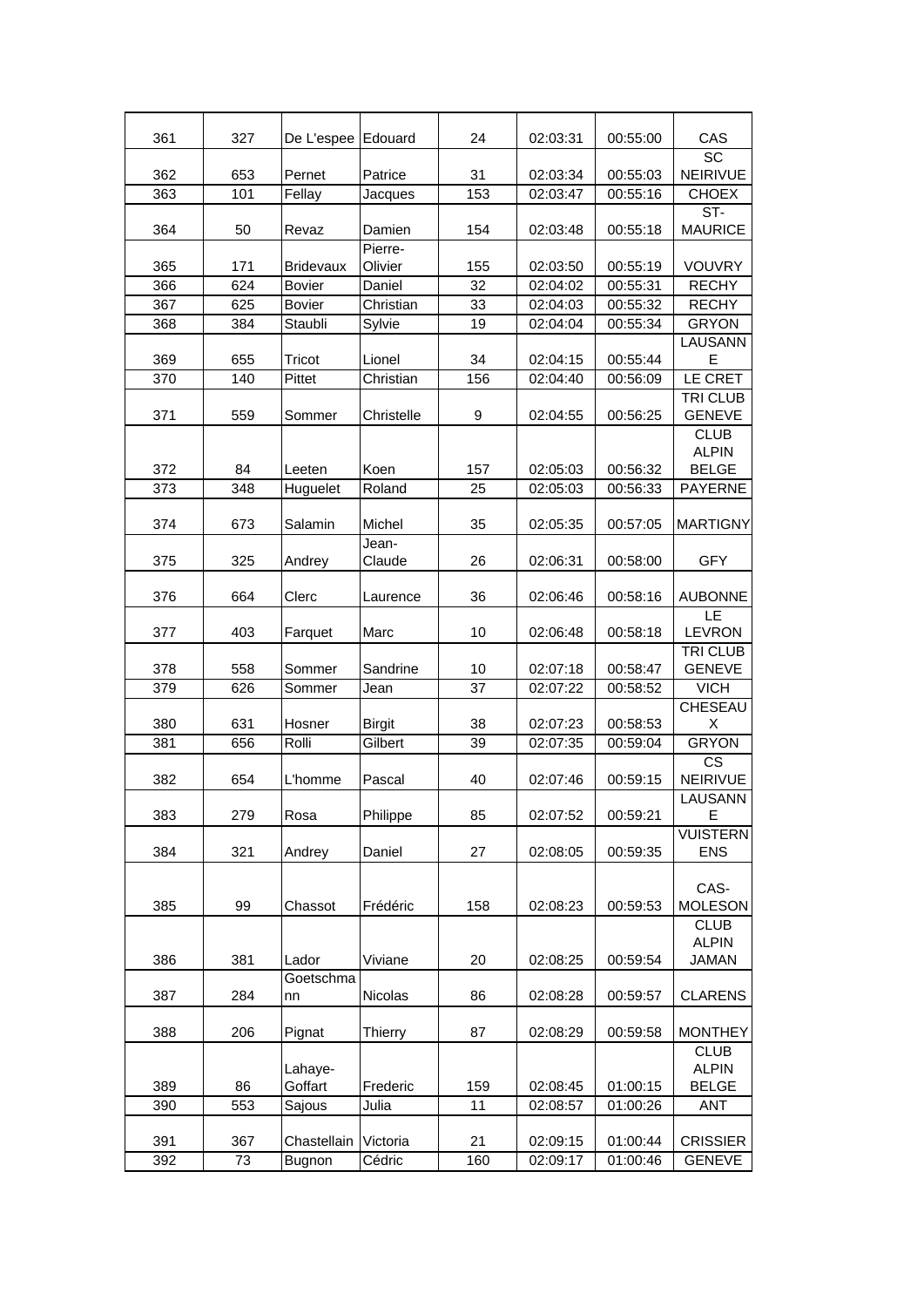| 327<br>De L'espee<br>Edouard<br>24<br>CAS<br>361<br>02:03:31<br>00:55:00<br><b>SC</b><br><b>NEIRIVUE</b><br>362<br>653<br>Pernet<br>Patrice<br>31<br>02:03:34<br>00:55:03<br>153<br>363<br>101<br>Fellay<br><b>CHOEX</b><br>02:03:47<br>00:55:16<br>Jacques<br>ST-<br>364<br>50<br>Damien<br>154<br>02:03:48<br>00:55:18<br><b>MAURICE</b><br>Revaz<br>Pierre-<br>365<br>171<br>Olivier<br>155<br>00:55:19<br>VOUVRY<br><b>Bridevaux</b><br>02:03:50<br>624<br>32<br><b>RECHY</b><br>366<br><b>Bovier</b><br>02:04:02<br>00:55:31<br>Daniel<br>625<br>367<br>Christian<br>33<br>00:55:32<br><b>RECHY</b><br><b>Bovier</b><br>02:04:03<br>368<br>384<br>Staubli<br>Sylvie<br>19<br>02:04:04<br>00:55:34<br><b>GRYON</b><br>LAUSANN<br>E<br>369<br>655<br>Tricot<br>34<br>02:04:15<br>00:55:44<br>Lionel<br>LE CRET<br>370<br>140<br>Pittet<br>Christian<br>156<br>02:04:40<br>00:56:09<br>TRI CLUB<br><b>GENEVE</b><br>371<br>559<br>Christelle<br>9<br>02:04:55<br>Sommer<br>00:56:25<br><b>CLUB</b><br><b>ALPIN</b><br><b>BELGE</b><br>372<br>84<br>Koen<br>157<br>00:56:32<br>Leeten<br>02:05:03<br>348<br><b>PAYERNE</b><br>373<br>Huguelet<br>Roland<br>25<br>02:05:03<br>00:56:33<br>374<br>673<br>Salamin<br>Michel<br>35<br>00:57:05<br>02:05:35<br>Jean-<br>325<br>02:06:31<br>00:58:00<br><b>GFY</b><br>375<br>Andrey<br>Claude<br>26<br>664<br>376<br>Clerc<br>36<br>02:06:46<br>00:58:16<br><b>AUBONNE</b><br>Laurence<br>LE<br><b>LEVRON</b><br>403<br>10<br>00:58:18<br>377<br>Marc<br>02:06:48<br>Farquet<br>TRI CLUB<br><b>GENEVE</b><br>558<br>Sandrine<br>00:58:47<br>378<br>Sommer<br>10<br>02:07:18<br>37<br>379<br>626<br>Jean<br>02:07:22<br><b>VICH</b><br>Sommer<br>00:58:52<br><b>CHESEAU</b><br>380<br>631<br>38<br>02:07:23<br>00:58:53<br>Hosner<br><b>Birgit</b><br>Х<br><b>GRYON</b><br>656<br>Rolli<br>Gilbert<br>39<br>381<br>02:07:35<br>00:59:04<br>$\overline{\text{cs}}$<br>382<br>654<br>L'homme<br>Pascal<br>40<br>02:07:46<br>00:59:15<br><b>NEIRIVUE</b><br>LAUSANN<br>E<br>383<br>279<br>Rosa<br>Philippe<br>85<br>00:59:21<br>02:07:52<br><b>VUISTERN</b><br><b>ENS</b><br>384<br>321<br>Daniel<br>27<br>02:08:05<br>00:59:35<br>Andrey<br>CAS-<br><b>MOLESON</b><br>385<br>99<br>158<br>02:08:23<br>00:59:53<br>Chassot<br>Frédéric<br><b>CLUB</b><br><b>ALPIN</b><br>Viviane<br><b>JAMAN</b><br>386<br>381<br>Lador<br>20<br>02:08:25<br>00:59:54<br>Goetschma<br>387<br>284<br>Nicolas<br><b>CLARENS</b><br>86<br>02:08:28<br>00:59:57<br>nn<br>388<br>206<br>87<br>00:59:58<br><b>MONTHEY</b><br>Pignat<br><b>Thierry</b><br>02:08:29<br><b>CLUB</b><br><b>ALPIN</b><br>Lahaye-<br>Goffart<br><b>BELGE</b><br>389<br>86<br>Frederic<br>159<br>02:08:45<br>01:00:15<br>390<br>553<br>Sajous<br>Julia<br>11<br>02:08:57<br>$\overline{01}$ :00:26<br><b>ANT</b><br><b>CRISSIER</b><br>391<br>367<br>Chastellain<br>Victoria<br>21<br>02:09:15<br>01:00:44<br>Cédric<br>392<br>73<br>160<br>02:09:17<br>01:00:46<br><b>GENEVE</b><br>Bugnon |  |  |  |  |
|---------------------------------------------------------------------------------------------------------------------------------------------------------------------------------------------------------------------------------------------------------------------------------------------------------------------------------------------------------------------------------------------------------------------------------------------------------------------------------------------------------------------------------------------------------------------------------------------------------------------------------------------------------------------------------------------------------------------------------------------------------------------------------------------------------------------------------------------------------------------------------------------------------------------------------------------------------------------------------------------------------------------------------------------------------------------------------------------------------------------------------------------------------------------------------------------------------------------------------------------------------------------------------------------------------------------------------------------------------------------------------------------------------------------------------------------------------------------------------------------------------------------------------------------------------------------------------------------------------------------------------------------------------------------------------------------------------------------------------------------------------------------------------------------------------------------------------------------------------------------------------------------------------------------------------------------------------------------------------------------------------------------------------------------------------------------------------------------------------------------------------------------------------------------------------------------------------------------------------------------------------------------------------------------------------------------------------------------------------------------------------------------------------------------------------------------------------------------------------------------------------------------------------------------------------------------------------------------------------------------------------------------------------------------------------------------------------------------------------------------------------------------------------------------------------------------------------------------------------------------------------------------------------------------------------------------------------------------------------------|--|--|--|--|
|                                                                                                                                                                                                                                                                                                                                                                                                                                                                                                                                                                                                                                                                                                                                                                                                                                                                                                                                                                                                                                                                                                                                                                                                                                                                                                                                                                                                                                                                                                                                                                                                                                                                                                                                                                                                                                                                                                                                                                                                                                                                                                                                                                                                                                                                                                                                                                                                                                                                                                                                                                                                                                                                                                                                                                                                                                                                                                                                                                                       |  |  |  |  |
| <b>MARTIGNY</b>                                                                                                                                                                                                                                                                                                                                                                                                                                                                                                                                                                                                                                                                                                                                                                                                                                                                                                                                                                                                                                                                                                                                                                                                                                                                                                                                                                                                                                                                                                                                                                                                                                                                                                                                                                                                                                                                                                                                                                                                                                                                                                                                                                                                                                                                                                                                                                                                                                                                                                                                                                                                                                                                                                                                                                                                                                                                                                                                                                       |  |  |  |  |
|                                                                                                                                                                                                                                                                                                                                                                                                                                                                                                                                                                                                                                                                                                                                                                                                                                                                                                                                                                                                                                                                                                                                                                                                                                                                                                                                                                                                                                                                                                                                                                                                                                                                                                                                                                                                                                                                                                                                                                                                                                                                                                                                                                                                                                                                                                                                                                                                                                                                                                                                                                                                                                                                                                                                                                                                                                                                                                                                                                                       |  |  |  |  |
|                                                                                                                                                                                                                                                                                                                                                                                                                                                                                                                                                                                                                                                                                                                                                                                                                                                                                                                                                                                                                                                                                                                                                                                                                                                                                                                                                                                                                                                                                                                                                                                                                                                                                                                                                                                                                                                                                                                                                                                                                                                                                                                                                                                                                                                                                                                                                                                                                                                                                                                                                                                                                                                                                                                                                                                                                                                                                                                                                                                       |  |  |  |  |
|                                                                                                                                                                                                                                                                                                                                                                                                                                                                                                                                                                                                                                                                                                                                                                                                                                                                                                                                                                                                                                                                                                                                                                                                                                                                                                                                                                                                                                                                                                                                                                                                                                                                                                                                                                                                                                                                                                                                                                                                                                                                                                                                                                                                                                                                                                                                                                                                                                                                                                                                                                                                                                                                                                                                                                                                                                                                                                                                                                                       |  |  |  |  |
|                                                                                                                                                                                                                                                                                                                                                                                                                                                                                                                                                                                                                                                                                                                                                                                                                                                                                                                                                                                                                                                                                                                                                                                                                                                                                                                                                                                                                                                                                                                                                                                                                                                                                                                                                                                                                                                                                                                                                                                                                                                                                                                                                                                                                                                                                                                                                                                                                                                                                                                                                                                                                                                                                                                                                                                                                                                                                                                                                                                       |  |  |  |  |
|                                                                                                                                                                                                                                                                                                                                                                                                                                                                                                                                                                                                                                                                                                                                                                                                                                                                                                                                                                                                                                                                                                                                                                                                                                                                                                                                                                                                                                                                                                                                                                                                                                                                                                                                                                                                                                                                                                                                                                                                                                                                                                                                                                                                                                                                                                                                                                                                                                                                                                                                                                                                                                                                                                                                                                                                                                                                                                                                                                                       |  |  |  |  |
|                                                                                                                                                                                                                                                                                                                                                                                                                                                                                                                                                                                                                                                                                                                                                                                                                                                                                                                                                                                                                                                                                                                                                                                                                                                                                                                                                                                                                                                                                                                                                                                                                                                                                                                                                                                                                                                                                                                                                                                                                                                                                                                                                                                                                                                                                                                                                                                                                                                                                                                                                                                                                                                                                                                                                                                                                                                                                                                                                                                       |  |  |  |  |
|                                                                                                                                                                                                                                                                                                                                                                                                                                                                                                                                                                                                                                                                                                                                                                                                                                                                                                                                                                                                                                                                                                                                                                                                                                                                                                                                                                                                                                                                                                                                                                                                                                                                                                                                                                                                                                                                                                                                                                                                                                                                                                                                                                                                                                                                                                                                                                                                                                                                                                                                                                                                                                                                                                                                                                                                                                                                                                                                                                                       |  |  |  |  |
|                                                                                                                                                                                                                                                                                                                                                                                                                                                                                                                                                                                                                                                                                                                                                                                                                                                                                                                                                                                                                                                                                                                                                                                                                                                                                                                                                                                                                                                                                                                                                                                                                                                                                                                                                                                                                                                                                                                                                                                                                                                                                                                                                                                                                                                                                                                                                                                                                                                                                                                                                                                                                                                                                                                                                                                                                                                                                                                                                                                       |  |  |  |  |
|                                                                                                                                                                                                                                                                                                                                                                                                                                                                                                                                                                                                                                                                                                                                                                                                                                                                                                                                                                                                                                                                                                                                                                                                                                                                                                                                                                                                                                                                                                                                                                                                                                                                                                                                                                                                                                                                                                                                                                                                                                                                                                                                                                                                                                                                                                                                                                                                                                                                                                                                                                                                                                                                                                                                                                                                                                                                                                                                                                                       |  |  |  |  |
|                                                                                                                                                                                                                                                                                                                                                                                                                                                                                                                                                                                                                                                                                                                                                                                                                                                                                                                                                                                                                                                                                                                                                                                                                                                                                                                                                                                                                                                                                                                                                                                                                                                                                                                                                                                                                                                                                                                                                                                                                                                                                                                                                                                                                                                                                                                                                                                                                                                                                                                                                                                                                                                                                                                                                                                                                                                                                                                                                                                       |  |  |  |  |
|                                                                                                                                                                                                                                                                                                                                                                                                                                                                                                                                                                                                                                                                                                                                                                                                                                                                                                                                                                                                                                                                                                                                                                                                                                                                                                                                                                                                                                                                                                                                                                                                                                                                                                                                                                                                                                                                                                                                                                                                                                                                                                                                                                                                                                                                                                                                                                                                                                                                                                                                                                                                                                                                                                                                                                                                                                                                                                                                                                                       |  |  |  |  |
|                                                                                                                                                                                                                                                                                                                                                                                                                                                                                                                                                                                                                                                                                                                                                                                                                                                                                                                                                                                                                                                                                                                                                                                                                                                                                                                                                                                                                                                                                                                                                                                                                                                                                                                                                                                                                                                                                                                                                                                                                                                                                                                                                                                                                                                                                                                                                                                                                                                                                                                                                                                                                                                                                                                                                                                                                                                                                                                                                                                       |  |  |  |  |
|                                                                                                                                                                                                                                                                                                                                                                                                                                                                                                                                                                                                                                                                                                                                                                                                                                                                                                                                                                                                                                                                                                                                                                                                                                                                                                                                                                                                                                                                                                                                                                                                                                                                                                                                                                                                                                                                                                                                                                                                                                                                                                                                                                                                                                                                                                                                                                                                                                                                                                                                                                                                                                                                                                                                                                                                                                                                                                                                                                                       |  |  |  |  |
|                                                                                                                                                                                                                                                                                                                                                                                                                                                                                                                                                                                                                                                                                                                                                                                                                                                                                                                                                                                                                                                                                                                                                                                                                                                                                                                                                                                                                                                                                                                                                                                                                                                                                                                                                                                                                                                                                                                                                                                                                                                                                                                                                                                                                                                                                                                                                                                                                                                                                                                                                                                                                                                                                                                                                                                                                                                                                                                                                                                       |  |  |  |  |
|                                                                                                                                                                                                                                                                                                                                                                                                                                                                                                                                                                                                                                                                                                                                                                                                                                                                                                                                                                                                                                                                                                                                                                                                                                                                                                                                                                                                                                                                                                                                                                                                                                                                                                                                                                                                                                                                                                                                                                                                                                                                                                                                                                                                                                                                                                                                                                                                                                                                                                                                                                                                                                                                                                                                                                                                                                                                                                                                                                                       |  |  |  |  |
|                                                                                                                                                                                                                                                                                                                                                                                                                                                                                                                                                                                                                                                                                                                                                                                                                                                                                                                                                                                                                                                                                                                                                                                                                                                                                                                                                                                                                                                                                                                                                                                                                                                                                                                                                                                                                                                                                                                                                                                                                                                                                                                                                                                                                                                                                                                                                                                                                                                                                                                                                                                                                                                                                                                                                                                                                                                                                                                                                                                       |  |  |  |  |
|                                                                                                                                                                                                                                                                                                                                                                                                                                                                                                                                                                                                                                                                                                                                                                                                                                                                                                                                                                                                                                                                                                                                                                                                                                                                                                                                                                                                                                                                                                                                                                                                                                                                                                                                                                                                                                                                                                                                                                                                                                                                                                                                                                                                                                                                                                                                                                                                                                                                                                                                                                                                                                                                                                                                                                                                                                                                                                                                                                                       |  |  |  |  |
|                                                                                                                                                                                                                                                                                                                                                                                                                                                                                                                                                                                                                                                                                                                                                                                                                                                                                                                                                                                                                                                                                                                                                                                                                                                                                                                                                                                                                                                                                                                                                                                                                                                                                                                                                                                                                                                                                                                                                                                                                                                                                                                                                                                                                                                                                                                                                                                                                                                                                                                                                                                                                                                                                                                                                                                                                                                                                                                                                                                       |  |  |  |  |
|                                                                                                                                                                                                                                                                                                                                                                                                                                                                                                                                                                                                                                                                                                                                                                                                                                                                                                                                                                                                                                                                                                                                                                                                                                                                                                                                                                                                                                                                                                                                                                                                                                                                                                                                                                                                                                                                                                                                                                                                                                                                                                                                                                                                                                                                                                                                                                                                                                                                                                                                                                                                                                                                                                                                                                                                                                                                                                                                                                                       |  |  |  |  |
|                                                                                                                                                                                                                                                                                                                                                                                                                                                                                                                                                                                                                                                                                                                                                                                                                                                                                                                                                                                                                                                                                                                                                                                                                                                                                                                                                                                                                                                                                                                                                                                                                                                                                                                                                                                                                                                                                                                                                                                                                                                                                                                                                                                                                                                                                                                                                                                                                                                                                                                                                                                                                                                                                                                                                                                                                                                                                                                                                                                       |  |  |  |  |
|                                                                                                                                                                                                                                                                                                                                                                                                                                                                                                                                                                                                                                                                                                                                                                                                                                                                                                                                                                                                                                                                                                                                                                                                                                                                                                                                                                                                                                                                                                                                                                                                                                                                                                                                                                                                                                                                                                                                                                                                                                                                                                                                                                                                                                                                                                                                                                                                                                                                                                                                                                                                                                                                                                                                                                                                                                                                                                                                                                                       |  |  |  |  |
|                                                                                                                                                                                                                                                                                                                                                                                                                                                                                                                                                                                                                                                                                                                                                                                                                                                                                                                                                                                                                                                                                                                                                                                                                                                                                                                                                                                                                                                                                                                                                                                                                                                                                                                                                                                                                                                                                                                                                                                                                                                                                                                                                                                                                                                                                                                                                                                                                                                                                                                                                                                                                                                                                                                                                                                                                                                                                                                                                                                       |  |  |  |  |
|                                                                                                                                                                                                                                                                                                                                                                                                                                                                                                                                                                                                                                                                                                                                                                                                                                                                                                                                                                                                                                                                                                                                                                                                                                                                                                                                                                                                                                                                                                                                                                                                                                                                                                                                                                                                                                                                                                                                                                                                                                                                                                                                                                                                                                                                                                                                                                                                                                                                                                                                                                                                                                                                                                                                                                                                                                                                                                                                                                                       |  |  |  |  |
|                                                                                                                                                                                                                                                                                                                                                                                                                                                                                                                                                                                                                                                                                                                                                                                                                                                                                                                                                                                                                                                                                                                                                                                                                                                                                                                                                                                                                                                                                                                                                                                                                                                                                                                                                                                                                                                                                                                                                                                                                                                                                                                                                                                                                                                                                                                                                                                                                                                                                                                                                                                                                                                                                                                                                                                                                                                                                                                                                                                       |  |  |  |  |
|                                                                                                                                                                                                                                                                                                                                                                                                                                                                                                                                                                                                                                                                                                                                                                                                                                                                                                                                                                                                                                                                                                                                                                                                                                                                                                                                                                                                                                                                                                                                                                                                                                                                                                                                                                                                                                                                                                                                                                                                                                                                                                                                                                                                                                                                                                                                                                                                                                                                                                                                                                                                                                                                                                                                                                                                                                                                                                                                                                                       |  |  |  |  |
|                                                                                                                                                                                                                                                                                                                                                                                                                                                                                                                                                                                                                                                                                                                                                                                                                                                                                                                                                                                                                                                                                                                                                                                                                                                                                                                                                                                                                                                                                                                                                                                                                                                                                                                                                                                                                                                                                                                                                                                                                                                                                                                                                                                                                                                                                                                                                                                                                                                                                                                                                                                                                                                                                                                                                                                                                                                                                                                                                                                       |  |  |  |  |
|                                                                                                                                                                                                                                                                                                                                                                                                                                                                                                                                                                                                                                                                                                                                                                                                                                                                                                                                                                                                                                                                                                                                                                                                                                                                                                                                                                                                                                                                                                                                                                                                                                                                                                                                                                                                                                                                                                                                                                                                                                                                                                                                                                                                                                                                                                                                                                                                                                                                                                                                                                                                                                                                                                                                                                                                                                                                                                                                                                                       |  |  |  |  |
|                                                                                                                                                                                                                                                                                                                                                                                                                                                                                                                                                                                                                                                                                                                                                                                                                                                                                                                                                                                                                                                                                                                                                                                                                                                                                                                                                                                                                                                                                                                                                                                                                                                                                                                                                                                                                                                                                                                                                                                                                                                                                                                                                                                                                                                                                                                                                                                                                                                                                                                                                                                                                                                                                                                                                                                                                                                                                                                                                                                       |  |  |  |  |
|                                                                                                                                                                                                                                                                                                                                                                                                                                                                                                                                                                                                                                                                                                                                                                                                                                                                                                                                                                                                                                                                                                                                                                                                                                                                                                                                                                                                                                                                                                                                                                                                                                                                                                                                                                                                                                                                                                                                                                                                                                                                                                                                                                                                                                                                                                                                                                                                                                                                                                                                                                                                                                                                                                                                                                                                                                                                                                                                                                                       |  |  |  |  |
|                                                                                                                                                                                                                                                                                                                                                                                                                                                                                                                                                                                                                                                                                                                                                                                                                                                                                                                                                                                                                                                                                                                                                                                                                                                                                                                                                                                                                                                                                                                                                                                                                                                                                                                                                                                                                                                                                                                                                                                                                                                                                                                                                                                                                                                                                                                                                                                                                                                                                                                                                                                                                                                                                                                                                                                                                                                                                                                                                                                       |  |  |  |  |
|                                                                                                                                                                                                                                                                                                                                                                                                                                                                                                                                                                                                                                                                                                                                                                                                                                                                                                                                                                                                                                                                                                                                                                                                                                                                                                                                                                                                                                                                                                                                                                                                                                                                                                                                                                                                                                                                                                                                                                                                                                                                                                                                                                                                                                                                                                                                                                                                                                                                                                                                                                                                                                                                                                                                                                                                                                                                                                                                                                                       |  |  |  |  |
|                                                                                                                                                                                                                                                                                                                                                                                                                                                                                                                                                                                                                                                                                                                                                                                                                                                                                                                                                                                                                                                                                                                                                                                                                                                                                                                                                                                                                                                                                                                                                                                                                                                                                                                                                                                                                                                                                                                                                                                                                                                                                                                                                                                                                                                                                                                                                                                                                                                                                                                                                                                                                                                                                                                                                                                                                                                                                                                                                                                       |  |  |  |  |
|                                                                                                                                                                                                                                                                                                                                                                                                                                                                                                                                                                                                                                                                                                                                                                                                                                                                                                                                                                                                                                                                                                                                                                                                                                                                                                                                                                                                                                                                                                                                                                                                                                                                                                                                                                                                                                                                                                                                                                                                                                                                                                                                                                                                                                                                                                                                                                                                                                                                                                                                                                                                                                                                                                                                                                                                                                                                                                                                                                                       |  |  |  |  |
|                                                                                                                                                                                                                                                                                                                                                                                                                                                                                                                                                                                                                                                                                                                                                                                                                                                                                                                                                                                                                                                                                                                                                                                                                                                                                                                                                                                                                                                                                                                                                                                                                                                                                                                                                                                                                                                                                                                                                                                                                                                                                                                                                                                                                                                                                                                                                                                                                                                                                                                                                                                                                                                                                                                                                                                                                                                                                                                                                                                       |  |  |  |  |
|                                                                                                                                                                                                                                                                                                                                                                                                                                                                                                                                                                                                                                                                                                                                                                                                                                                                                                                                                                                                                                                                                                                                                                                                                                                                                                                                                                                                                                                                                                                                                                                                                                                                                                                                                                                                                                                                                                                                                                                                                                                                                                                                                                                                                                                                                                                                                                                                                                                                                                                                                                                                                                                                                                                                                                                                                                                                                                                                                                                       |  |  |  |  |
|                                                                                                                                                                                                                                                                                                                                                                                                                                                                                                                                                                                                                                                                                                                                                                                                                                                                                                                                                                                                                                                                                                                                                                                                                                                                                                                                                                                                                                                                                                                                                                                                                                                                                                                                                                                                                                                                                                                                                                                                                                                                                                                                                                                                                                                                                                                                                                                                                                                                                                                                                                                                                                                                                                                                                                                                                                                                                                                                                                                       |  |  |  |  |
|                                                                                                                                                                                                                                                                                                                                                                                                                                                                                                                                                                                                                                                                                                                                                                                                                                                                                                                                                                                                                                                                                                                                                                                                                                                                                                                                                                                                                                                                                                                                                                                                                                                                                                                                                                                                                                                                                                                                                                                                                                                                                                                                                                                                                                                                                                                                                                                                                                                                                                                                                                                                                                                                                                                                                                                                                                                                                                                                                                                       |  |  |  |  |
|                                                                                                                                                                                                                                                                                                                                                                                                                                                                                                                                                                                                                                                                                                                                                                                                                                                                                                                                                                                                                                                                                                                                                                                                                                                                                                                                                                                                                                                                                                                                                                                                                                                                                                                                                                                                                                                                                                                                                                                                                                                                                                                                                                                                                                                                                                                                                                                                                                                                                                                                                                                                                                                                                                                                                                                                                                                                                                                                                                                       |  |  |  |  |
|                                                                                                                                                                                                                                                                                                                                                                                                                                                                                                                                                                                                                                                                                                                                                                                                                                                                                                                                                                                                                                                                                                                                                                                                                                                                                                                                                                                                                                                                                                                                                                                                                                                                                                                                                                                                                                                                                                                                                                                                                                                                                                                                                                                                                                                                                                                                                                                                                                                                                                                                                                                                                                                                                                                                                                                                                                                                                                                                                                                       |  |  |  |  |
|                                                                                                                                                                                                                                                                                                                                                                                                                                                                                                                                                                                                                                                                                                                                                                                                                                                                                                                                                                                                                                                                                                                                                                                                                                                                                                                                                                                                                                                                                                                                                                                                                                                                                                                                                                                                                                                                                                                                                                                                                                                                                                                                                                                                                                                                                                                                                                                                                                                                                                                                                                                                                                                                                                                                                                                                                                                                                                                                                                                       |  |  |  |  |
|                                                                                                                                                                                                                                                                                                                                                                                                                                                                                                                                                                                                                                                                                                                                                                                                                                                                                                                                                                                                                                                                                                                                                                                                                                                                                                                                                                                                                                                                                                                                                                                                                                                                                                                                                                                                                                                                                                                                                                                                                                                                                                                                                                                                                                                                                                                                                                                                                                                                                                                                                                                                                                                                                                                                                                                                                                                                                                                                                                                       |  |  |  |  |
|                                                                                                                                                                                                                                                                                                                                                                                                                                                                                                                                                                                                                                                                                                                                                                                                                                                                                                                                                                                                                                                                                                                                                                                                                                                                                                                                                                                                                                                                                                                                                                                                                                                                                                                                                                                                                                                                                                                                                                                                                                                                                                                                                                                                                                                                                                                                                                                                                                                                                                                                                                                                                                                                                                                                                                                                                                                                                                                                                                                       |  |  |  |  |
|                                                                                                                                                                                                                                                                                                                                                                                                                                                                                                                                                                                                                                                                                                                                                                                                                                                                                                                                                                                                                                                                                                                                                                                                                                                                                                                                                                                                                                                                                                                                                                                                                                                                                                                                                                                                                                                                                                                                                                                                                                                                                                                                                                                                                                                                                                                                                                                                                                                                                                                                                                                                                                                                                                                                                                                                                                                                                                                                                                                       |  |  |  |  |
|                                                                                                                                                                                                                                                                                                                                                                                                                                                                                                                                                                                                                                                                                                                                                                                                                                                                                                                                                                                                                                                                                                                                                                                                                                                                                                                                                                                                                                                                                                                                                                                                                                                                                                                                                                                                                                                                                                                                                                                                                                                                                                                                                                                                                                                                                                                                                                                                                                                                                                                                                                                                                                                                                                                                                                                                                                                                                                                                                                                       |  |  |  |  |
|                                                                                                                                                                                                                                                                                                                                                                                                                                                                                                                                                                                                                                                                                                                                                                                                                                                                                                                                                                                                                                                                                                                                                                                                                                                                                                                                                                                                                                                                                                                                                                                                                                                                                                                                                                                                                                                                                                                                                                                                                                                                                                                                                                                                                                                                                                                                                                                                                                                                                                                                                                                                                                                                                                                                                                                                                                                                                                                                                                                       |  |  |  |  |
|                                                                                                                                                                                                                                                                                                                                                                                                                                                                                                                                                                                                                                                                                                                                                                                                                                                                                                                                                                                                                                                                                                                                                                                                                                                                                                                                                                                                                                                                                                                                                                                                                                                                                                                                                                                                                                                                                                                                                                                                                                                                                                                                                                                                                                                                                                                                                                                                                                                                                                                                                                                                                                                                                                                                                                                                                                                                                                                                                                                       |  |  |  |  |
|                                                                                                                                                                                                                                                                                                                                                                                                                                                                                                                                                                                                                                                                                                                                                                                                                                                                                                                                                                                                                                                                                                                                                                                                                                                                                                                                                                                                                                                                                                                                                                                                                                                                                                                                                                                                                                                                                                                                                                                                                                                                                                                                                                                                                                                                                                                                                                                                                                                                                                                                                                                                                                                                                                                                                                                                                                                                                                                                                                                       |  |  |  |  |
|                                                                                                                                                                                                                                                                                                                                                                                                                                                                                                                                                                                                                                                                                                                                                                                                                                                                                                                                                                                                                                                                                                                                                                                                                                                                                                                                                                                                                                                                                                                                                                                                                                                                                                                                                                                                                                                                                                                                                                                                                                                                                                                                                                                                                                                                                                                                                                                                                                                                                                                                                                                                                                                                                                                                                                                                                                                                                                                                                                                       |  |  |  |  |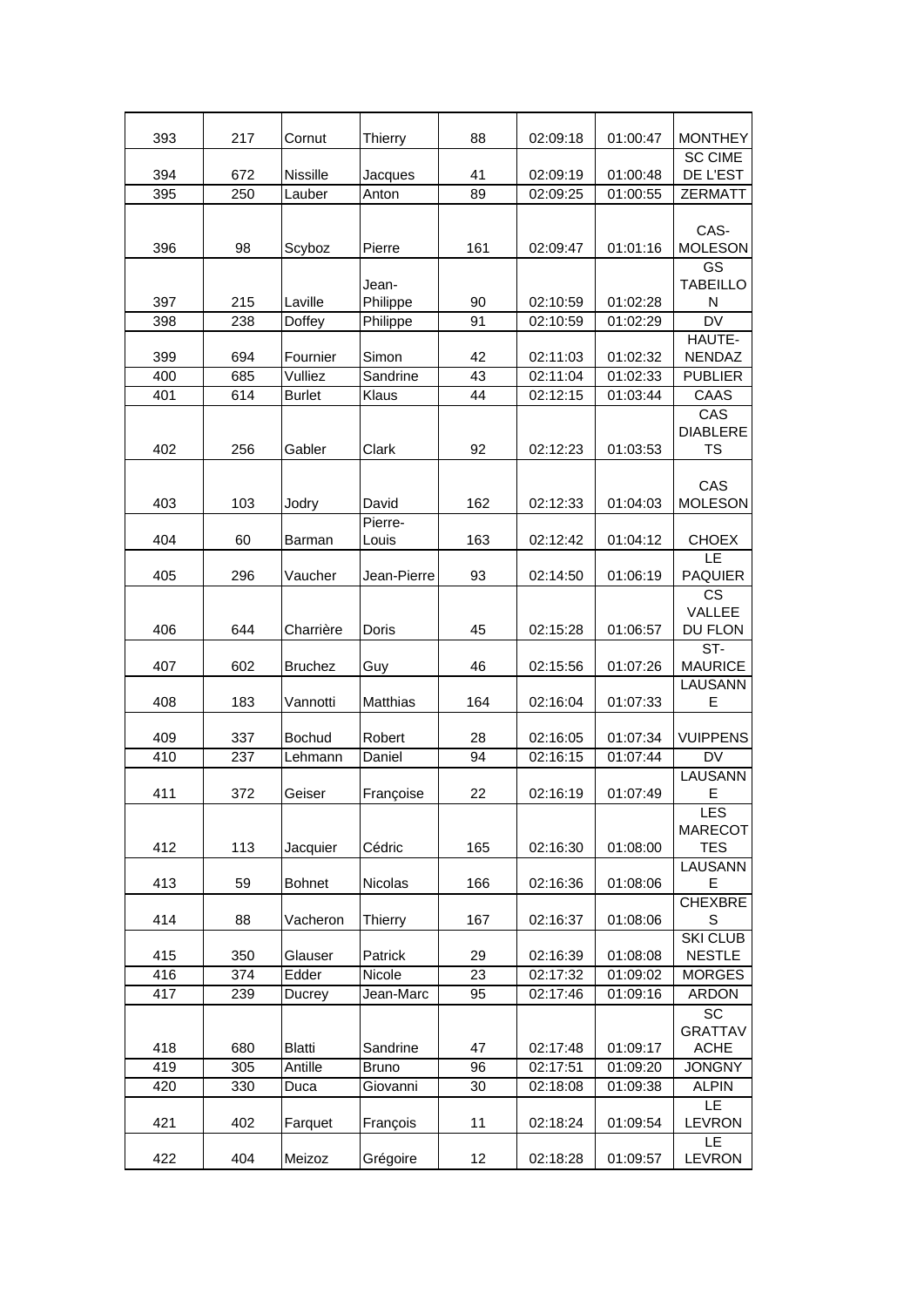| 393 | 217 | Cornut          | <b>Thierry</b>    | 88  | 02:09:18 | 01:00:47 | <b>MONTHEY</b>                              |
|-----|-----|-----------------|-------------------|-----|----------|----------|---------------------------------------------|
| 394 | 672 | <b>Nissille</b> | Jacques           | 41  | 02:09:19 | 01:00:48 | <b>SC CIME</b><br>DE L'EST                  |
| 395 | 250 | Lauber          | Anton             | 89  | 02:09:25 | 01:00:55 | <b>ZERMATT</b>                              |
| 396 | 98  | Scyboz          | Pierre            | 161 | 02:09:47 | 01:01:16 | CAS-<br><b>MOLESON</b>                      |
| 397 | 215 | Laville         | Jean-<br>Philippe | 90  | 02:10:59 | 01:02:28 | GS<br><b>TABEILLO</b><br>N                  |
| 398 | 238 | Doffey          | Philippe          | 91  | 02:10:59 | 01:02:29 | <b>DV</b>                                   |
| 399 | 694 | Fournier        | Simon             | 42  | 02:11:03 | 01:02:32 | HAUTE-<br><b>NENDAZ</b>                     |
| 400 | 685 | Vulliez         | Sandrine          | 43  | 02:11:04 | 01:02:33 | <b>PUBLIER</b>                              |
| 401 | 614 | <b>Burlet</b>   | Klaus             | 44  | 02:12:15 | 01:03:44 | CAAS                                        |
| 402 | 256 | Gabler          | Clark             | 92  | 02:12:23 | 01:03:53 | CAS<br><b>DIABLERE</b><br><b>TS</b>         |
| 403 | 103 | Jodry           | David<br>Pierre-  | 162 | 02:12:33 | 01:04:03 | CAS<br><b>MOLESON</b>                       |
| 404 | 60  | <b>Barman</b>   | Louis             | 163 | 02:12:42 | 01:04:12 | <b>CHOEX</b>                                |
| 405 | 296 | Vaucher         | Jean-Pierre       | 93  | 02:14:50 | 01:06:19 | LE<br><b>PAQUIER</b>                        |
| 406 | 644 | Charrière       | Doris             | 45  | 02:15:28 | 01:06:57 | $\overline{\text{cs}}$<br>VALLEE<br>DU FLON |
| 407 | 602 | <b>Bruchez</b>  | Guy               | 46  | 02:15:56 | 01:07:26 | $ST-$<br><b>MAURICE</b>                     |
| 408 | 183 | Vannotti        | Matthias          | 164 | 02:16:04 | 01:07:33 | LAUSANN<br>E                                |
| 409 | 337 | <b>Bochud</b>   | Robert            | 28  | 02:16:05 | 01:07:34 | <b>VUIPPENS</b>                             |
| 410 | 237 | Lehmann         | Daniel            | 94  | 02:16:15 | 01:07:44 | DV                                          |
| 411 | 372 | Geiser          | Françoise         | 22  | 02:16:19 | 01:07:49 | <b>LAUSANN</b><br>Е                         |
| 412 | 113 | Jacquier        | Cédric            | 165 | 02:16:30 | 01:08:00 | LES<br><b>MARECOT</b><br><b>TES</b>         |
| 413 | 59  | <b>Bohnet</b>   | Nicolas           | 166 | 02:16:36 | 01:08:06 | <b>LAUSANN</b><br>Е<br><b>CHEXBRE</b>       |
| 414 | 88  | Vacheron        | Thierry           | 167 | 02:16:37 | 01:08:06 | S<br><b>SKI CLUB</b>                        |
| 415 | 350 | Glauser         | Patrick           | 29  | 02:16:39 | 01:08:08 | <b>NESTLE</b>                               |
| 416 | 374 | Edder           | Nicole            | 23  | 02:17:32 | 01:09:02 | <b>MORGES</b>                               |
| 417 | 239 | Ducrey          | Jean-Marc         | 95  | 02:17:46 | 01:09:16 | <b>ARDON</b>                                |
|     |     |                 |                   |     |          |          | SC<br><b>GRATTAV</b>                        |
| 418 | 680 | <b>Blatti</b>   | Sandrine          | 47  | 02:17:48 | 01:09:17 | <b>ACHE</b>                                 |
| 419 | 305 | Antille         | <b>Bruno</b>      | 96  | 02:17:51 | 01:09:20 | <b>JONGNY</b>                               |
| 420 | 330 | Duca            | Giovanni          | 30  | 02:18:08 | 01:09:38 | <b>ALPIN</b>                                |
| 421 | 402 | Farquet         | François          | 11  | 02:18:24 | 01:09:54 | LE<br><b>LEVRON</b>                         |
| 422 | 404 | Meizoz          | Grégoire          | 12  | 02:18:28 | 01:09:57 | LE<br><b>LEVRON</b>                         |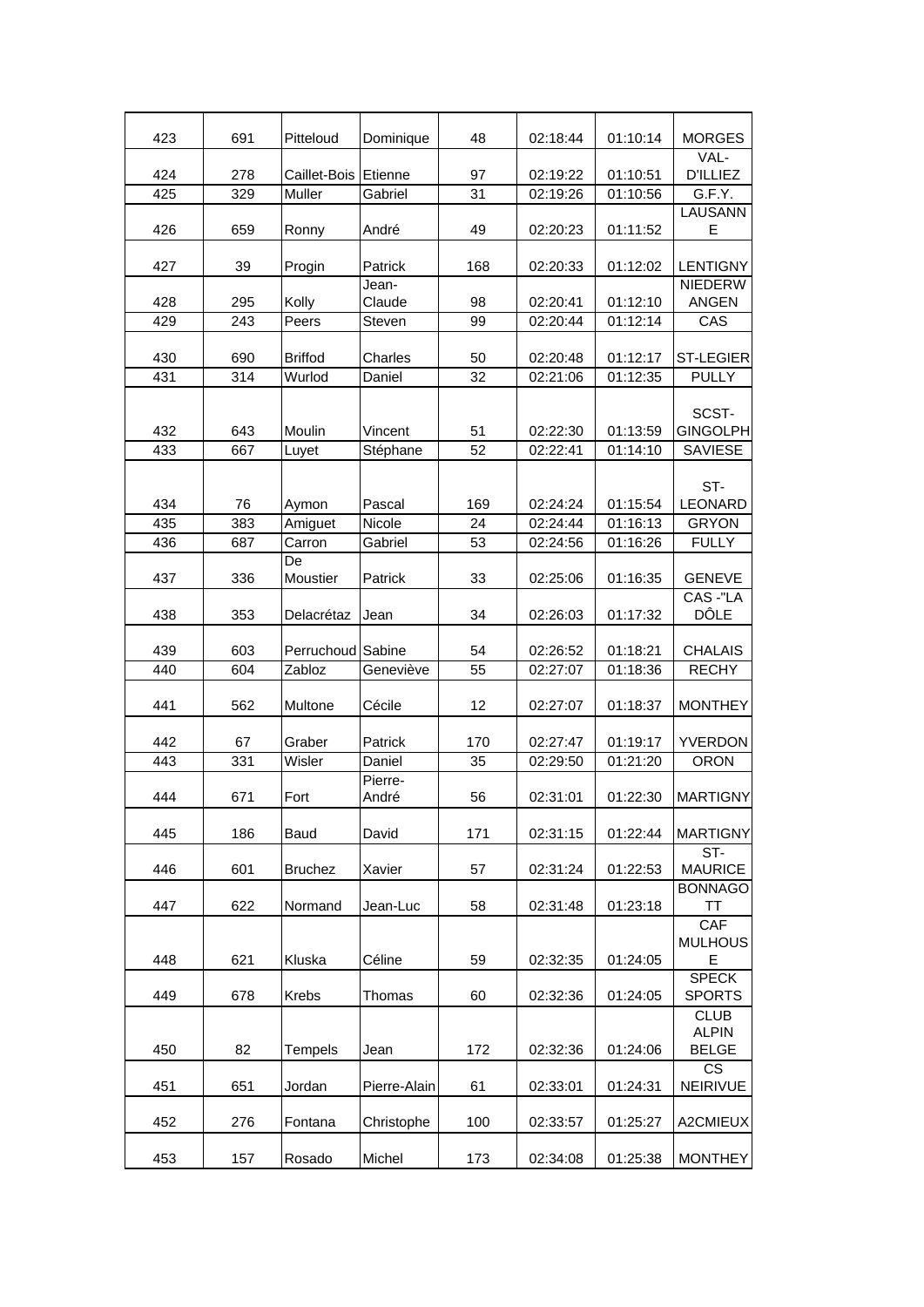| 423        | 691       | Pitteloud         | Dominique        | 48        | 02:18:44             | 01:10:14             | <b>MORGES</b>                         |
|------------|-----------|-------------------|------------------|-----------|----------------------|----------------------|---------------------------------------|
| 424        | 278       | Caillet-Bois      | Etienne          | 97        | 02:19:22             | 01:10:51             | VAL-<br><b>D'ILLIEZ</b>               |
| 425        | 329       | Muller            | Gabriel          | 31        | 02:19:26             | 01:10:56             | G.F.Y.                                |
|            |           |                   |                  |           |                      |                      | <b>LAUSANN</b>                        |
| 426        | 659       | Ronny             | André            | 49        | 02:20:23             | 01:11:52             | E                                     |
| 427        | 39        | Progin            | Patrick          | 168       | 02:20:33             | 01:12:02             | <b>LENTIGNY</b>                       |
| 428        | 295       | Kolly             | Jean-<br>Claude  | 98        | 02:20:41             | 01:12:10             | <b>NIEDERW</b><br><b>ANGEN</b>        |
| 429        | 243       | Peers             | Steven           | 99        | 02:20:44             | 01:12:14             | CAS                                   |
|            |           |                   |                  |           |                      |                      |                                       |
| 430        | 690       | <b>Briffod</b>    | Charles          | 50        | 02:20:48             | 01:12:17             | <b>ST-LEGIER</b>                      |
| 431        | 314       | Wurlod            | Daniel           | 32        | 02:21:06             | 01:12:35             | <b>PULLY</b>                          |
| 432        | 643       | Moulin            | Vincent          | 51        | 02:22:30             | 01:13:59             | SCST-<br><b>GINGOLPH</b>              |
| 433        | 667       | Luyet             | Stéphane         | 52        | 02:22:41             | 01:14:10             | <b>SAVIESE</b>                        |
| 434<br>435 | 76<br>383 | Aymon             | Pascal<br>Nicole | 169<br>24 | 02:24:24<br>02:24:44 | 01:15:54<br>01:16:13 | ST-<br><b>LEONARD</b><br><b>GRYON</b> |
| 436        | 687       | Amiguet<br>Carron | Gabriel          | 53        | 02:24:56             | 01:16:26             | <b>FULLY</b>                          |
|            |           | De                |                  |           |                      |                      |                                       |
| 437        | 336       | Moustier          | Patrick          | 33        | 02:25:06             | 01:16:35             | <b>GENEVE</b>                         |
| 438        | 353       | Delacrétaz        | Jean             | 34        | 02:26:03             | 01:17:32             | CAS -"LA<br><b>DÔLE</b>               |
| 439        | 603       | Perruchoud Sabine |                  | 54        | 02:26:52             | 01:18:21             | <b>CHALAIS</b>                        |
| 440        | 604       | Zabloz            | Geneviève        | 55        | 02:27:07             | 01:18:36             | <b>RECHY</b>                          |
| 441        | 562       | Multone           | Cécile           | 12        | 02:27:07             | 01:18:37             | <b>MONTHEY</b>                        |
| 442        | 67        | Graber            | Patrick          | 170       | 02:27:47             | 01:19:17             | YVERDON                               |
| 443        | 331       | Wisler            | Daniel           | 35        | 02:29:50             | 01:21:20             | <b>ORON</b>                           |
| 444        | 671       | Fort              | Pierre-<br>André | 56        | 02:31:01             | 01:22:30             | <b>MARTIGNY</b>                       |
| 445        | 186       | Baud              | David            | 171       | 02:31:15             | 01:22:44             | <b>MARTIGNY</b>                       |
|            |           |                   |                  |           |                      |                      | ST-                                   |
| 446        | 601       | <b>Bruchez</b>    | Xavier           | 57        | 02:31:24             | 01:22:53             | <b>MAURICE</b>                        |
| 447        | 622       | Normand           | Jean-Luc         | 58        | 02:31:48             | 01:23:18             | <b>BONNAGO</b><br><b>TT</b>           |
| 448        | 621       | Kluska            | Céline           | 59        | 02:32:35             | 01:24:05             | CAF<br><b>MULHOUS</b><br>Е            |
|            |           |                   |                  |           |                      |                      | <b>SPECK</b>                          |
| 449        | 678       | <b>Krebs</b>      | Thomas           | 60        | 02:32:36             | 01:24:05             | <b>SPORTS</b><br><b>CLUB</b>          |
| 450        | 82        | Tempels           | Jean             | 172       | 02:32:36             | 01:24:06             | <b>ALPIN</b><br><b>BELGE</b>          |
| 451        | 651       | Jordan            | Pierre-Alain     | 61        | 02:33:01             | 01:24:31             | <b>CS</b><br>NEIRIVUE                 |
| 452        | 276       | Fontana           | Christophe       | 100       | 02:33:57             | 01:25:27             | A2CMIEUX                              |
| 453        | 157       | Rosado            | Michel           | 173       | 02:34:08             | 01:25:38             | <b>MONTHEY</b>                        |
|            |           |                   |                  |           |                      |                      |                                       |